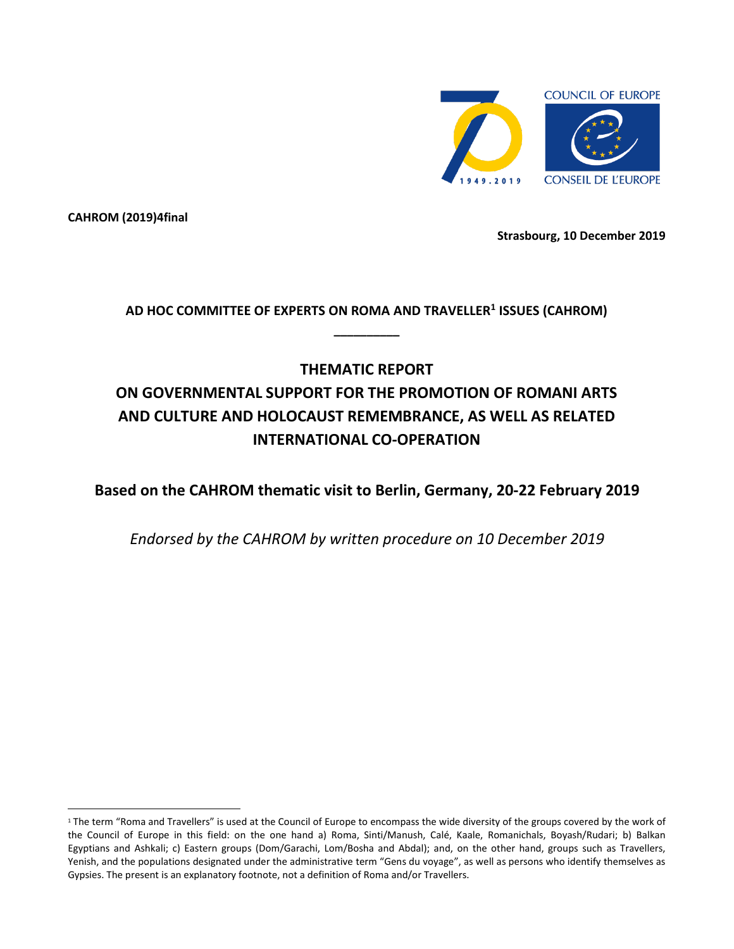

**CAHROM (2019)4final**

 $\overline{a}$ 

**Strasbourg, 10 December 2019**

**AD HOC COMMITTEE OF EXPERTS ON ROMA AND TRAVELLER<sup>1</sup> ISSUES (CAHROM) \_\_\_\_\_\_\_\_\_\_**

# **THEMATIC REPORT ON GOVERNMENTAL SUPPORT FOR THE PROMOTION OF ROMANI ARTS AND CULTURE AND HOLOCAUST REMEMBRANCE, AS WELL AS RELATED INTERNATIONAL CO-OPERATION**

**Based on the CAHROM thematic visit to Berlin, Germany, 20-22 February 2019**

*Endorsed by the CAHROM by written procedure on 10 December 2019*

<sup>&</sup>lt;sup>1</sup> The term "Roma and Travellers" is used at the Council of Europe to encompass the wide diversity of the groups covered by the work of the Council of Europe in this field: on the one hand a) Roma, Sinti/Manush, Calé, Kaale, Romanichals, Boyash/Rudari; b) Balkan Egyptians and Ashkali; c) Eastern groups (Dom/Garachi, Lom/Bosha and Abdal); and, on the other hand, groups such as Travellers, Yenish, and the populations designated under the administrative term "Gens du voyage", as well as persons who identify themselves as Gypsies. The present is an explanatory footnote, not a definition of Roma and/or Travellers.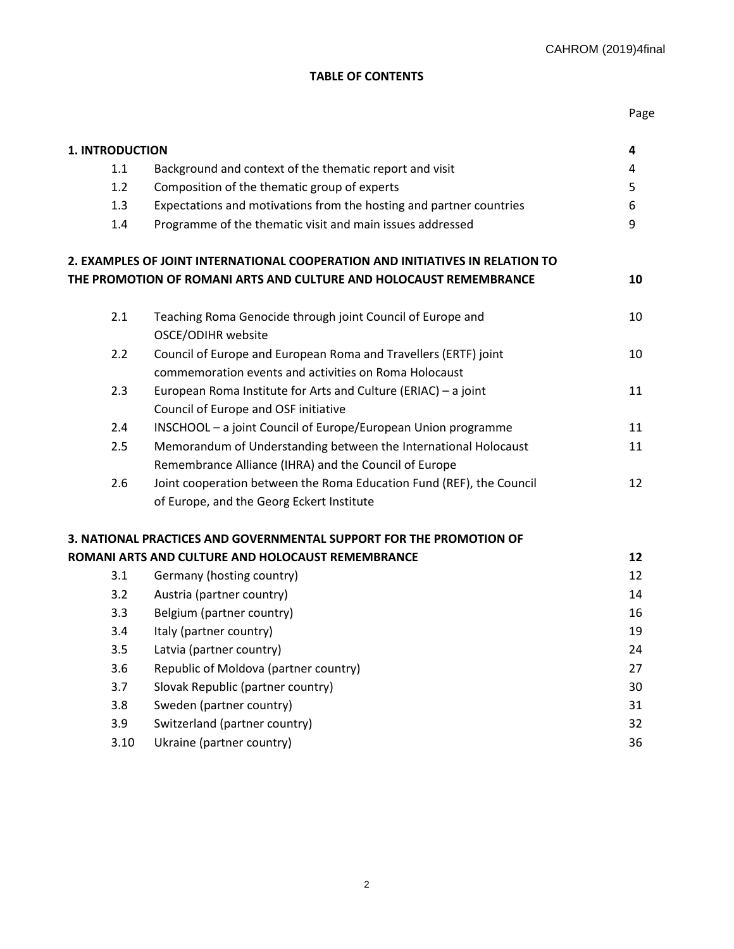# **TABLE OF CONTENTS**

| ۹<br>. .<br>۰.<br>×<br>-<br>-<br>M. |
|-------------------------------------|
|-------------------------------------|

| <b>1. INTRODUCTION</b> |                                                                               | 4  |  |
|------------------------|-------------------------------------------------------------------------------|----|--|
| 1.1                    | Background and context of the thematic report and visit                       |    |  |
| 1.2                    | Composition of the thematic group of experts                                  | 5  |  |
| 1.3                    | Expectations and motivations from the hosting and partner countries           | 6  |  |
| 1.4                    | Programme of the thematic visit and main issues addressed                     | 9  |  |
|                        | 2. EXAMPLES OF JOINT INTERNATIONAL COOPERATION AND INITIATIVES IN RELATION TO |    |  |
|                        | THE PROMOTION OF ROMANI ARTS AND CULTURE AND HOLOCAUST REMEMBRANCE            | 10 |  |
| 2.1                    | Teaching Roma Genocide through joint Council of Europe and                    | 10 |  |
|                        | OSCE/ODIHR website                                                            |    |  |
| 2.2                    | Council of Europe and European Roma and Travellers (ERTF) joint               | 10 |  |
|                        | commemoration events and activities on Roma Holocaust                         |    |  |
| 2.3                    | European Roma Institute for Arts and Culture (ERIAC) - a joint                | 11 |  |
|                        | Council of Europe and OSF initiative                                          |    |  |
| 2.4                    | INSCHOOL - a joint Council of Europe/European Union programme                 | 11 |  |
| 2.5                    | Memorandum of Understanding between the International Holocaust               | 11 |  |
|                        | Remembrance Alliance (IHRA) and the Council of Europe                         |    |  |
| 2.6                    | Joint cooperation between the Roma Education Fund (REF), the Council          | 12 |  |
|                        | of Europe, and the Georg Eckert Institute                                     |    |  |
|                        | 3. NATIONAL PRACTICES AND GOVERNMENTAL SUPPORT FOR THE PROMOTION OF           |    |  |
|                        | ROMANI ARTS AND CULTURE AND HOLOCAUST REMEMBRANCE                             | 12 |  |
| 3.1                    | Germany (hosting country)                                                     | 12 |  |
| 3.2                    | Austria (partner country)                                                     | 14 |  |
| 3.3                    | Belgium (partner country)                                                     | 16 |  |
| 3.4                    | Italy (partner country)                                                       | 19 |  |
| 3.5                    | Latvia (partner country)                                                      | 24 |  |
| 3.6                    | Republic of Moldova (partner country)                                         | 27 |  |
| 3.7                    | Slovak Republic (partner country)                                             | 30 |  |
| 3.8                    | Sweden (partner country)                                                      | 31 |  |
| 3.9                    | Switzerland (partner country)                                                 | 32 |  |
| 3.10                   | Ukraine (partner country)                                                     | 36 |  |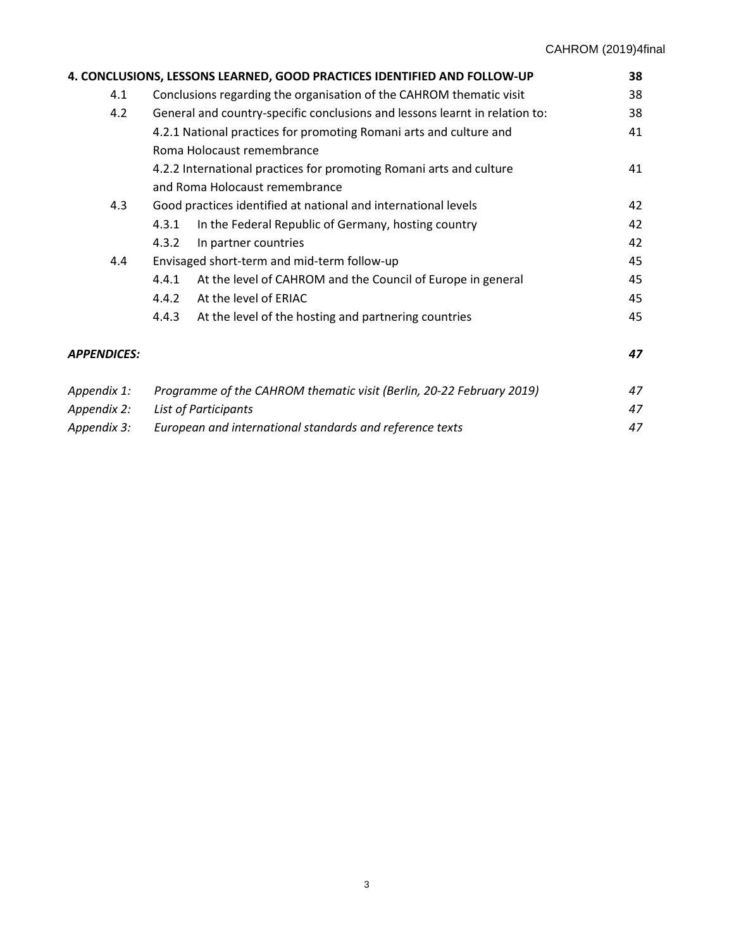| 4. CONCLUSIONS, LESSONS LEARNED, GOOD PRACTICES IDENTIFIED AND FOLLOW-UP |                                                                             |                                                             |    |  |
|--------------------------------------------------------------------------|-----------------------------------------------------------------------------|-------------------------------------------------------------|----|--|
| 4.1                                                                      | Conclusions regarding the organisation of the CAHROM thematic visit         |                                                             |    |  |
| 4.2                                                                      | General and country-specific conclusions and lessons learnt in relation to: |                                                             |    |  |
|                                                                          | 4.2.1 National practices for promoting Romani arts and culture and          |                                                             |    |  |
|                                                                          | Roma Holocaust remembrance                                                  |                                                             |    |  |
|                                                                          | 4.2.2 International practices for promoting Romani arts and culture         |                                                             |    |  |
|                                                                          | and Roma Holocaust remembrance                                              |                                                             |    |  |
| 4.3                                                                      | Good practices identified at national and international levels              | 42                                                          |    |  |
|                                                                          | 4.3.1                                                                       | In the Federal Republic of Germany, hosting country         | 42 |  |
|                                                                          | 4.3.2                                                                       | In partner countries                                        | 42 |  |
| 4.4                                                                      | Envisaged short-term and mid-term follow-up                                 |                                                             |    |  |
|                                                                          | 4.4.1                                                                       | At the level of CAHROM and the Council of Europe in general | 45 |  |
|                                                                          | 4.4.2                                                                       | At the level of ERIAC                                       | 45 |  |
|                                                                          | 4.4.3                                                                       | At the level of the hosting and partnering countries        | 45 |  |
| <b>APPENDICES:</b>                                                       |                                                                             |                                                             | 47 |  |
| Appendix 1:                                                              | Programme of the CAHROM thematic visit (Berlin, 20-22 February 2019)        |                                                             | 47 |  |
| Appendix 2:                                                              | <b>List of Participants</b>                                                 |                                                             |    |  |
| Appendix 3:                                                              | European and international standards and reference texts                    |                                                             |    |  |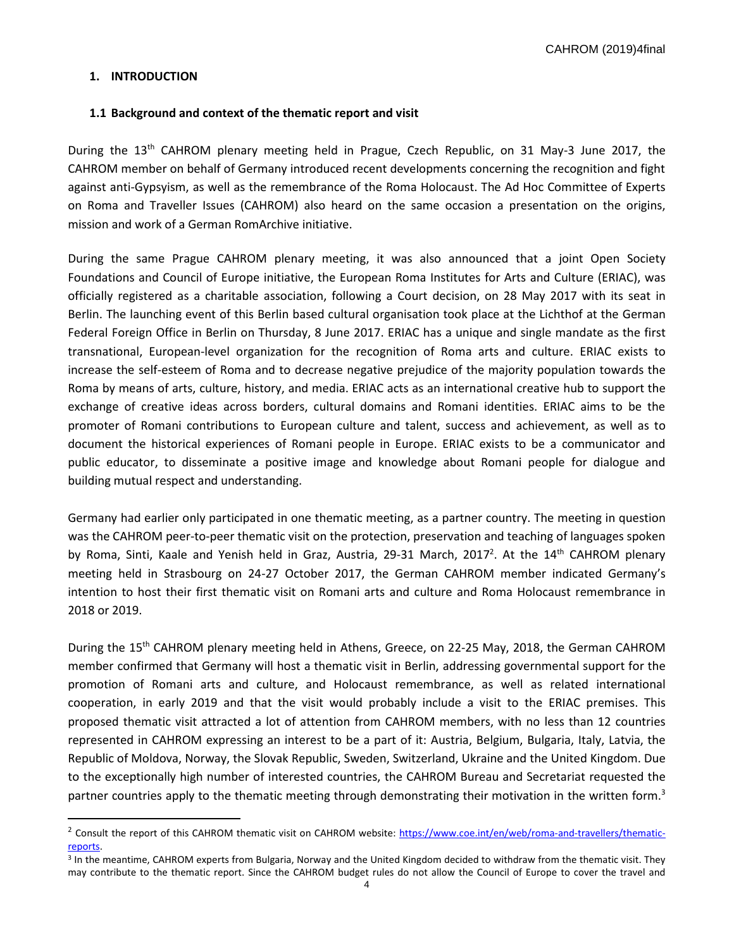## **1. INTRODUCTION**

 $\overline{\phantom{a}}$ 

#### **1.1 Background and context of the thematic report and visit**

During the 13<sup>th</sup> CAHROM plenary meeting held in Prague, Czech Republic, on 31 May-3 June 2017, the CAHROM member on behalf of Germany introduced recent developments concerning the recognition and fight against anti-Gypsyism, as well as the remembrance of the Roma Holocaust. The Ad Hoc Committee of Experts on Roma and Traveller Issues (CAHROM) also heard on the same occasion a presentation on the origins, mission and work of a German RomArchive initiative.

During the same Prague CAHROM plenary meeting, it was also announced that a joint Open Society Foundations and Council of Europe initiative, the European Roma Institutes for Arts and Culture (ERIAC), was officially registered as a charitable association, following a Court decision, on 28 May 2017 with its seat in Berlin. The launching event of this Berlin based cultural organisation took place at the Lichthof at the German Federal Foreign Office in Berlin on Thursday, 8 June 2017. ERIAC has a unique and single mandate as the first transnational, European-level organization for the recognition of Roma arts and culture. ERIAC exists to increase the self-esteem of Roma and to decrease negative prejudice of the majority population towards the Roma by means of arts, culture, history, and media. ERIAC acts as an international creative hub to support the exchange of creative ideas across borders, cultural domains and Romani identities. ERIAC aims to be the promoter of Romani contributions to European culture and talent, success and achievement, as well as to document the historical experiences of Romani people in Europe. ERIAC exists to be a communicator and public educator, to disseminate a positive image and knowledge about Romani people for dialogue and building mutual respect and understanding.

Germany had earlier only participated in one thematic meeting, as a partner country. The meeting in question was the CAHROM peer-to-peer thematic visit on the protection, preservation and teaching of languages spoken by Roma, Sinti, Kaale and Yenish held in Graz, Austria, 29-31 March, 2017<sup>2</sup>. At the 14<sup>th</sup> CAHROM plenary meeting held in Strasbourg on 24-27 October 2017, the German CAHROM member indicated Germany's intention to host their first thematic visit on Romani arts and culture and Roma Holocaust remembrance in 2018 or 2019.

During the 15<sup>th</sup> CAHROM plenary meeting held in Athens, Greece, on 22-25 May, 2018, the German CAHROM member confirmed that Germany will host a thematic visit in Berlin, addressing governmental support for the promotion of Romani arts and culture, and Holocaust remembrance, as well as related international cooperation, in early 2019 and that the visit would probably include a visit to the ERIAC premises. This proposed thematic visit attracted a lot of attention from CAHROM members, with no less than 12 countries represented in CAHROM expressing an interest to be a part of it: Austria, Belgium, Bulgaria, Italy, Latvia, the Republic of Moldova, Norway, the Slovak Republic, Sweden, Switzerland, Ukraine and the United Kingdom. Due to the exceptionally high number of interested countries, the CAHROM Bureau and Secretariat requested the partner countries apply to the thematic meeting through demonstrating their motivation in the written form.<sup>3</sup>

<sup>&</sup>lt;sup>2</sup> Consult the report of this CAHROM thematic visit on CAHROM website: [https://www.coe.int/en/web/roma-and-travellers/thematic](https://www.coe.int/en/web/roma-and-travellers/thematic-reports)[reports.](https://www.coe.int/en/web/roma-and-travellers/thematic-reports) 

<sup>&</sup>lt;sup>3</sup> In the meantime, CAHROM experts from Bulgaria, Norway and the United Kingdom decided to withdraw from the thematic visit. They may contribute to the thematic report. Since the CAHROM budget rules do not allow the Council of Europe to cover the travel and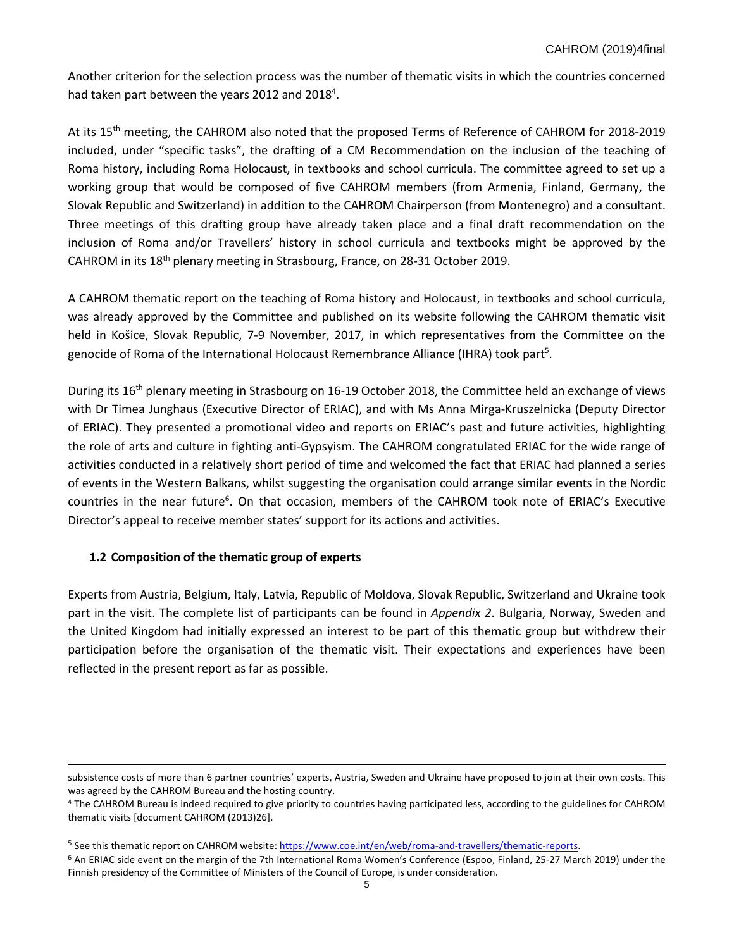Another criterion for the selection process was the number of thematic visits in which the countries concerned had taken part between the years 2012 and 2018<sup>4</sup>.

At its 15<sup>th</sup> meeting, the CAHROM also noted that the proposed Terms of Reference of CAHROM for 2018-2019 included, under "specific tasks", the drafting of a CM Recommendation on the inclusion of the teaching of Roma history, including Roma Holocaust, in textbooks and school curricula. The committee agreed to set up a working group that would be composed of five CAHROM members (from Armenia, Finland, Germany, the Slovak Republic and Switzerland) in addition to the CAHROM Chairperson (from Montenegro) and a consultant. Three meetings of this drafting group have already taken place and a final draft recommendation on the inclusion of Roma and/or Travellers' history in school curricula and textbooks might be approved by the CAHROM in its 18<sup>th</sup> plenary meeting in Strasbourg, France, on 28-31 October 2019.

A CAHROM thematic report on the teaching of Roma history and Holocaust, in textbooks and school curricula, was already approved by the Committee and published on its website following the CAHROM thematic visit held in Košice, Slovak Republic, 7-9 November, 2017, in which representatives from the Committee on the genocide of Roma of the International Holocaust Remembrance Alliance (IHRA) took part<sup>5</sup>.

During its 16th plenary meeting in Strasbourg on 16-19 October 2018, the Committee held an exchange of views with Dr Timea Junghaus (Executive Director of ERIAC), and with Ms Anna Mirga-Kruszelnicka (Deputy Director of ERIAC). They presented a promotional video and reports on ERIAC's past and future activities, highlighting the role of arts and culture in fighting anti-Gypsyism. The CAHROM congratulated ERIAC for the wide range of activities conducted in a relatively short period of time and welcomed the fact that ERIAC had planned a series of events in the Western Balkans, whilst suggesting the organisation could arrange similar events in the Nordic countries in the near future<sup>6</sup>. On that occasion, members of the CAHROM took note of ERIAC's Executive Director's appeal to receive member states' support for its actions and activities.

# **1.2 Composition of the thematic group of experts**

 $\overline{\phantom{a}}$ 

Experts from Austria, Belgium, Italy, Latvia, Republic of Moldova, Slovak Republic, Switzerland and Ukraine took part in the visit. The complete list of participants can be found in *Appendix 2*. Bulgaria, Norway, Sweden and the United Kingdom had initially expressed an interest to be part of this thematic group but withdrew their participation before the organisation of the thematic visit. Their expectations and experiences have been reflected in the present report as far as possible.

subsistence costs of more than 6 partner countries' experts, Austria, Sweden and Ukraine have proposed to join at their own costs. This was agreed by the CAHROM Bureau and the hosting country.

<sup>4</sup> The CAHROM Bureau is indeed required to give priority to countries having participated less, according to the guidelines for CAHROM thematic visits [document CAHROM (2013)26].

<sup>&</sup>lt;sup>5</sup> See this thematic report on CAHROM website: [https://www.coe.int/en/web/roma-and-travellers/thematic-reports.](https://www.coe.int/en/web/roma-and-travellers/thematic-reports)

<sup>6</sup> An ERIAC side event on the margin of the 7th International Roma Women's Conference (Espoo, Finland, 25-27 March 2019) under the Finnish presidency of the Committee of Ministers of the Council of Europe, is under consideration.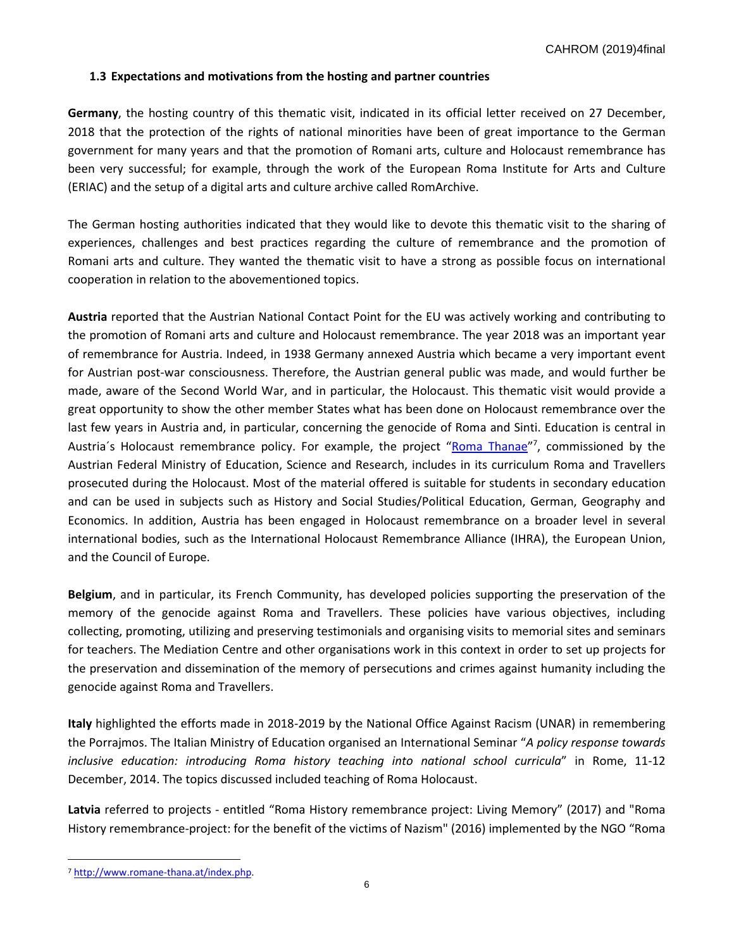## **1.3 Expectations and motivations from the hosting and partner countries**

**Germany**, the hosting country of this thematic visit, indicated in its official letter received on 27 December, 2018 that the protection of the rights of national minorities have been of great importance to the German government for many years and that the promotion of Romani arts, culture and Holocaust remembrance has been very successful; for example, through the work of the European Roma Institute for Arts and Culture (ERIAC) and the setup of a digital arts and culture archive called RomArchive.

The German hosting authorities indicated that they would like to devote this thematic visit to the sharing of experiences, challenges and best practices regarding the culture of remembrance and the promotion of Romani arts and culture. They wanted the thematic visit to have a strong as possible focus on international cooperation in relation to the abovementioned topics.

**Austria** reported that the Austrian National Contact Point for the EU was actively working and contributing to the promotion of Romani arts and culture and Holocaust remembrance. The year 2018 was an important year of remembrance for Austria. Indeed, in 1938 Germany annexed Austria which became a very important event for Austrian post-war consciousness. Therefore, the Austrian general public was made, and would further be made, aware of the Second World War, and in particular, the Holocaust. This thematic visit would provide a great opportunity to show the other member States what has been done on Holocaust remembrance over the last few years in Austria and, in particular, concerning the genocide of Roma and Sinti. Education is central in Austria's Holocaust remembrance policy. For example, the project "**[Roma Thanae](http://www.romane-thana.at/index.php)**"<sup>7</sup>, commissioned by the Austrian Federal Ministry of Education, Science and Research, includes in its curriculum Roma and Travellers prosecuted during the Holocaust. Most of the material offered is suitable for students in secondary education and can be used in subjects such as History and Social Studies/Political Education, German, Geography and Economics. In addition, Austria has been engaged in Holocaust remembrance on a broader level in several international bodies, such as the International Holocaust Remembrance Alliance (IHRA), the European Union, and the Council of Europe.

**Belgium**, and in particular, its French Community, has developed policies supporting the preservation of the memory of the genocide against Roma and Travellers. These policies have various objectives, including collecting, promoting, utilizing and preserving testimonials and organising visits to memorial sites and seminars for teachers. The Mediation Centre and other organisations work in this context in order to set up projects for the preservation and dissemination of the memory of persecutions and crimes against humanity including the genocide against Roma and Travellers.

**Italy** highlighted the efforts made in 2018-2019 by the National Office Against Racism (UNAR) in remembering the Porrajmos. The Italian Ministry of Education organised an International Seminar "*A policy response towards inclusive education: introducing Roma history teaching into national school curricula*" in Rome, 11-12 December, 2014. The topics discussed included teaching of Roma Holocaust.

**Latvia** referred to projects - entitled "Roma History remembrance project: Living Memory" (2017) and "Roma History remembrance-project: for the benefit of the victims of Nazism" (2016) implemented by the NGO "Roma

l

<sup>7</sup> [http://www.romane-thana.at/index.php.](http://www.romane-thana.at/index.php)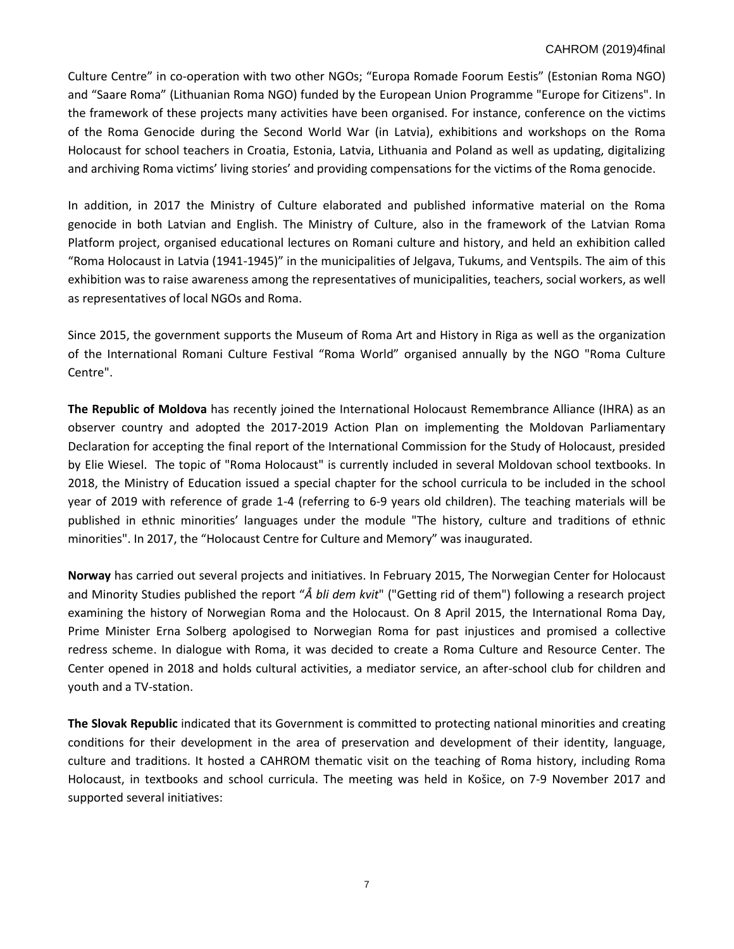Culture Centre" in co-operation with two other NGOs; "Europa Romade Foorum Eestis" (Estonian Roma NGO) and "Saare Roma" (Lithuanian Roma NGO) funded by the European Union Programme "Europe for Citizens". In the framework of these projects many activities have been organised. For instance, conference on the victims of the Roma Genocide during the Second World War (in Latvia), exhibitions and workshops on the Roma Holocaust for school teachers in Croatia, Estonia, Latvia, Lithuania and Poland as well as updating, digitalizing and archiving Roma victims' living stories' and providing compensations for the victims of the Roma genocide.

In addition, in 2017 the Ministry of Culture elaborated and published informative material on the Roma genocide in both Latvian and English. The Ministry of Culture, also in the framework of the Latvian Roma Platform project, organised educational lectures on Romani culture and history, and held an exhibition called "Roma Holocaust in Latvia (1941-1945)" in the municipalities of Jelgava, Tukums, and Ventspils. The aim of this exhibition was to raise awareness among the representatives of municipalities, teachers, social workers, as well as representatives of local NGOs and Roma.

Since 2015, the government supports the Museum of Roma Art and History in Riga as well as the organization of the International Romani Culture Festival "Roma World" organised annually by the NGO "Roma Culture Centre".

**The Republic of Moldova** has recently joined the International Holocaust Remembrance Alliance (IHRA) as an observer country and adopted the 2017-2019 Action Plan on implementing the Moldovan Parliamentary Declaration for accepting the final report of the International Commission for the Study of Holocaust, presided by Elie Wiesel. The topic of "Roma Holocaust" is currently included in several Moldovan school textbooks. In 2018, the Ministry of Education issued a special chapter for the school curricula to be included in the school year of 2019 with reference of grade 1-4 (referring to 6-9 years old children). The teaching materials will be published in ethnic minorities' languages under the module "The history, culture and traditions of ethnic minorities". In 2017, the "Holocaust Centre for Culture and Memory" was inaugurated.

**Norway** has carried out several projects and initiatives. In February 2015, The Norwegian Center for Holocaust and Minority Studies published the report "*Å bli dem kvit*" ("Getting rid of them") following a research project examining the history of Norwegian Roma and the Holocaust. On 8 April 2015, the International Roma Day, Prime Minister Erna Solberg apologised to Norwegian Roma for past injustices and promised a collective redress scheme. In dialogue with Roma, it was decided to create a Roma Culture and Resource Center. The Center opened in 2018 and holds cultural activities, a mediator service, an after-school club for children and youth and a TV-station.

**The Slovak Republic** indicated that its Government is committed to protecting national minorities and creating conditions for their development in the area of preservation and development of their identity, language, culture and traditions. It hosted a CAHROM thematic visit on the teaching of Roma history, including Roma Holocaust, in textbooks and school curricula. The meeting was held in Košice, on 7-9 November 2017 and supported several initiatives: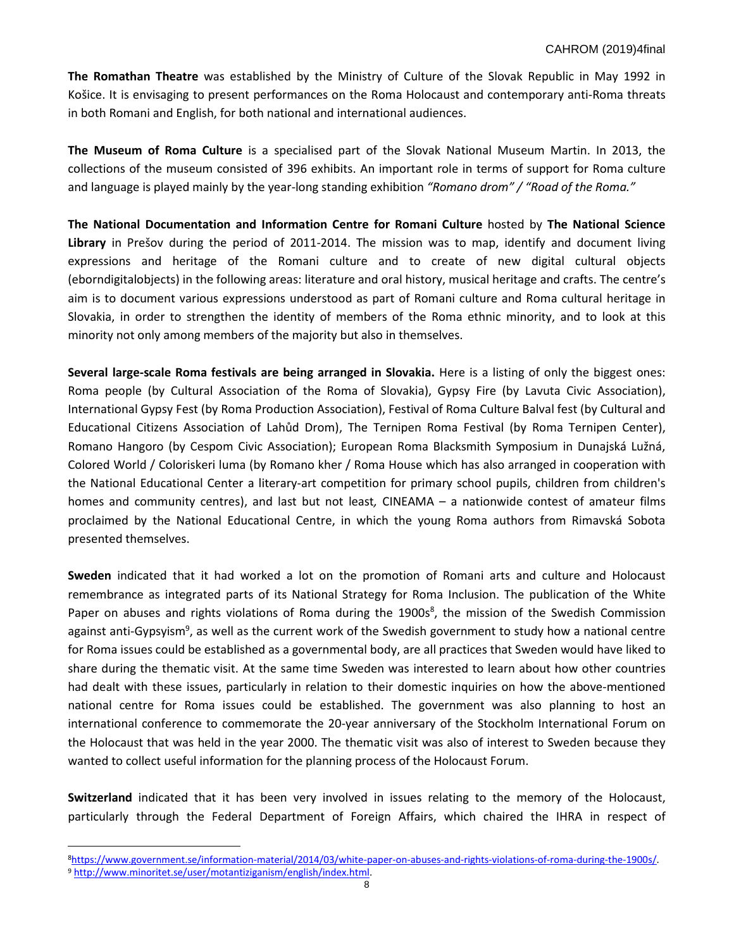**The Romathan Theatre** was established by the Ministry of Culture of the Slovak Republic in May 1992 in Košice. It is envisaging to present performances on the Roma Holocaust and contemporary anti-Roma threats in both Romani and English, for both national and international audiences.

**The Museum of Roma Culture** is a specialised part of the Slovak National Museum Martin. In 2013, the collections of the museum consisted of 396 exhibits. An important role in terms of support for Roma culture and language is played mainly by the year-long standing exhibition *"Romano drom" / "Road of the Roma."*

**The National Documentation and Information Centre for Romani Culture** hosted by **The National Science Library** in Prešov during the period of 2011-2014. The mission was to map, identify and document living expressions and heritage of the Romani culture and to create of new digital cultural objects (eborndigitalobjects) in the following areas: literature and oral history, musical heritage and crafts. The centre's aim is to document various expressions understood as part of Romani culture and Roma cultural heritage in Slovakia, in order to strengthen the identity of members of the Roma ethnic minority, and to look at this minority not only among members of the majority but also in themselves.

**Several large-scale Roma festivals are being arranged in Slovakia.** Here is a listing of only the biggest ones: Roma people (by Cultural Association of the Roma of Slovakia), Gypsy Fire (by Lavuta Civic Association), International Gypsy Fest (by Roma Production Association), Festival of Roma Culture Balval fest (by Cultural and Educational Citizens Association of Lahůd Drom), The Ternipen Roma Festival (by Roma Ternipen Center), Romano Hangoro (by Cespom Civic Association); European Roma Blacksmith Symposium in Dunajská Lužná, Colored World / Coloriskeri luma (by Romano kher / Roma House which has also arranged in cooperation with the National Educational Center a literary-art competition for primary school pupils, children from children's homes and community centres), and last but not least*,* CINEAMA – a nationwide contest of amateur films proclaimed by the National Educational Centre, in which the young Roma authors from Rimavská Sobota presented themselves.

**Sweden** indicated that it had worked a lot on the promotion of Romani arts and culture and Holocaust remembrance as integrated parts of its National Strategy for Roma Inclusion. The publication of the White Paper on abuses and rights violations of Roma during the 1900s<sup>8</sup>, the mission of the Swedish Commission against anti-Gypsyism<sup>9</sup>, as well as the current work of the Swedish government to study how a national centre for Roma issues could be established as a governmental body, are all practices that Sweden would have liked to share during the thematic visit. At the same time Sweden was interested to learn about how other countries had dealt with these issues, particularly in relation to their domestic inquiries on how the above-mentioned national centre for Roma issues could be established. The government was also planning to host an international conference to commemorate the 20-year anniversary of the Stockholm International Forum on the Holocaust that was held in the year 2000. The thematic visit was also of interest to Sweden because they wanted to collect useful information for the planning process of the Holocaust Forum.

**Switzerland** indicated that it has been very involved in issues relating to the memory of the Holocaust, particularly through the Federal Department of Foreign Affairs, which chaired the IHRA in respect of

 $\overline{a}$ 

<sup>8</sup>[https://www.government.se/information-material/2014/03/white-paper-on-abuses-and-rights-violations-of-roma-during-the-1900s/.](https://www.government.se/information-material/2014/03/white-paper-on-abuses-and-rights-violations-of-roma-during-the-1900s/) <sup>9</sup> [http://www.minoritet.se/user/motantiziganism/english/index.html.](http://www.minoritet.se/user/motantiziganism/english/index.html)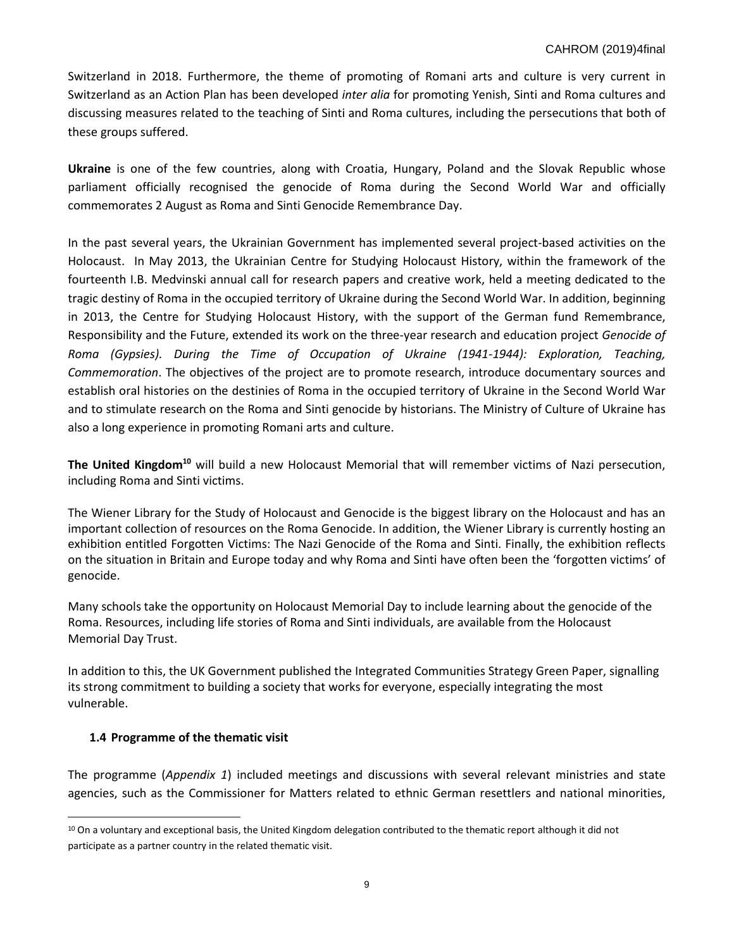Switzerland in 2018. Furthermore, the theme of promoting of Romani arts and culture is very current in Switzerland as an Action Plan has been developed *inter alia* for promoting Yenish, Sinti and Roma cultures and discussing measures related to the teaching of Sinti and Roma cultures, including the persecutions that both of these groups suffered.

**Ukraine** is one of the few countries, along with Croatia, Hungary, Poland and the Slovak Republic whose parliament officially recognised the genocide of Roma during the Second World War and officially commemorates 2 August as Roma and Sinti Genocide Remembrance Day.

In the past several years, the Ukrainian Government has implemented several project-based activities on the Holocaust. In May 2013, the Ukrainian Centre for Studying Holocaust History, within the framework of the fourteenth I.B. Medvinski annual call for research papers and creative work, held a meeting dedicated to the tragic destiny of Roma in the occupied territory of Ukraine during the Second World War. In addition, beginning in 2013, the Centre for Studying Holocaust History, with the support of the German fund Remembrance, Responsibility and the Future, extended its work on the three-year research and education project *Genocide of Roma (Gypsies). During the Time of Occupation of Ukraine (1941-1944): Exploration, Teaching, Commemoration*. The objectives of the project are to promote research, introduce documentary sources and establish oral histories on the destinies of Roma in the occupied territory of Ukraine in the Second World War and to stimulate research on the Roma and Sinti genocide by historians. The Ministry of Culture of Ukraine has also a long experience in promoting Romani arts and culture.

**The United Kingdom<sup>10</sup>** will build a new Holocaust Memorial that will remember victims of Nazi persecution, including Roma and Sinti victims.

The Wiener Library for the Study of Holocaust and Genocide is the biggest library on the Holocaust and has an important collection of resources on the Roma Genocide. In addition, the Wiener Library is currently hosting an exhibition entitled Forgotten Victims: The Nazi Genocide of the Roma and Sinti. Finally, the exhibition reflects on the situation in Britain and Europe today and why Roma and Sinti have often been the 'forgotten victims' of genocide.

Many schools take the opportunity on Holocaust Memorial Day to include learning about the genocide of the Roma. Resources, including life stories of Roma and Sinti individuals, are available from the Holocaust Memorial Day Trust.

In addition to this, the UK Government published the Integrated Communities Strategy Green Paper, signalling its strong commitment to building a society that works for everyone, especially integrating the most vulnerable.

## **1.4 Programme of the thematic visit**

l

The programme (*Appendix 1*) included meetings and discussions with several relevant ministries and state agencies, such as the Commissioner for Matters related to ethnic German resettlers and national minorities,

<sup>&</sup>lt;sup>10</sup> On a voluntary and exceptional basis, the United Kingdom delegation contributed to the thematic report although it did not participate as a partner country in the related thematic visit.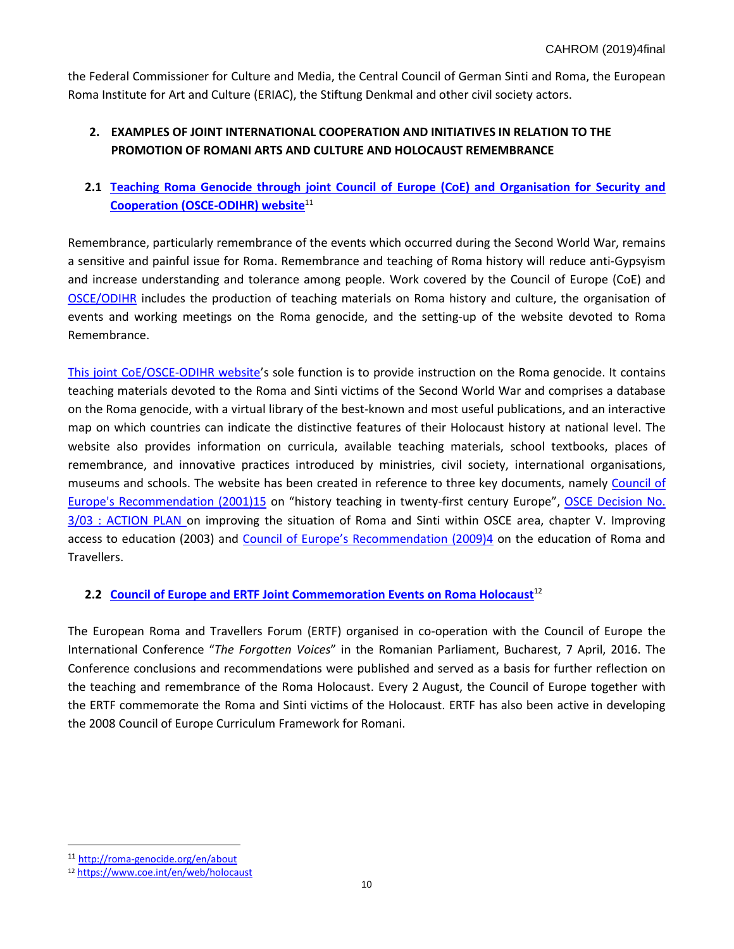the Federal Commissioner for Culture and Media, the Central Council of German Sinti and Roma, the European Roma Institute for Art and Culture (ERIAC), the Stiftung Denkmal and other civil society actors.

# **2. EXAMPLES OF JOINT INTERNATIONAL COOPERATION AND INITIATIVES IN RELATION TO THE PROMOTION OF ROMANI ARTS AND CULTURE AND HOLOCAUST REMEMBRANCE**

# **2.1 [Teaching Roma Genocide through joint Council of Europe \(CoE\) and Organisation for Security and](http://roma-genocide.org/en/about)  [Cooperation \(OSCE-ODIHR\)](http://roma-genocide.org/en/about) website**<sup>11</sup>

Remembrance, particularly remembrance of the events which occurred during the Second World War, remains a sensitive and painful issue for Roma. Remembrance and teaching of Roma history will reduce anti-Gypsyism and increase understanding and tolerance among people. Work covered by the Council of Europe (CoE) an[d](http://www.osce.org/odihr/roma) [OSCE/ODIHR](http://www.osce.org/odihr/roma) includes the production of teaching materials on Roma history and culture, the organisation of events and working meetings on the Roma genocide, and the setting-up of the website devoted to Roma Remembrance.

[This joint CoE/OSCE-ODIHR website](http://roma-genocide.org/en/about)'s sole function is to provide instruction on the Roma genocide. It contains teaching materials devoted to the Roma and Sinti victims of the Second World War and comprises a database on the Roma genocide, with a virtual library of the best-known and most useful publications, and an interactive map on which countries can indicate the distinctive features of their Holocaust history at national level. The website also provides information on curricula, available teaching materials, school textbooks, places of remembrance, and innovative practices introduced by ministries, civil society, international organisations, museums and schools. The website has been created in reference to three key documents, namely [Council of](https://wcd.coe.int/ViewDoc.jsp?id=234237&Site=CM&BackColorInternet=C3C3C3&BackColorIntranet=EDB021&BackColorLogged=F5D383) Europe's [Recommendation \(2001\)15](https://wcd.coe.int/ViewDoc.jsp?id=234237&Site=CM&BackColorInternet=C3C3C3&BackColorIntranet=EDB021&BackColorLogged=F5D383) on "history teaching in twenty-first century Europe", [OSCE Decision No.](http://www.osce.org/odihr/17554)  [3/03 : ACTION PLAN](http://www.osce.org/odihr/17554) on improving the situation of Roma and Sinti within OSCE area, chapter V. Improving access to education (2003) and Counc[il of Europe's Recommendation \(2009\)4](https://wcd.coe.int/ViewDoc.jsp?id=1462637) on the education of Roma and Travellers.

# **2.2 Council of Europe and ERTF [Joint Commemoration Events on Roma Holocaust](https://www.coe.int/en/web/holocaust)**<sup>12</sup>

The European Roma and Travellers Forum (ERTF) organised in co-operation with the Council of Europe the International Conference "*The Forgotten Voices*" in the Romanian Parliament, Bucharest, 7 April, 2016. The Conference conclusions and recommendations were published and served as a basis for further reflection on the teaching and remembrance of the Roma Holocaust. Every 2 August, the Council of Europe together with the ERTF commemorate the Roma and Sinti victims of the Holocaust. ERTF has also been active in developing the 2008 Council of Europe Curriculum Framework for Romani.

 $\overline{a}$ 

<sup>11</sup> <http://roma-genocide.org/en/about>

<sup>12</sup> <https://www.coe.int/en/web/holocaust>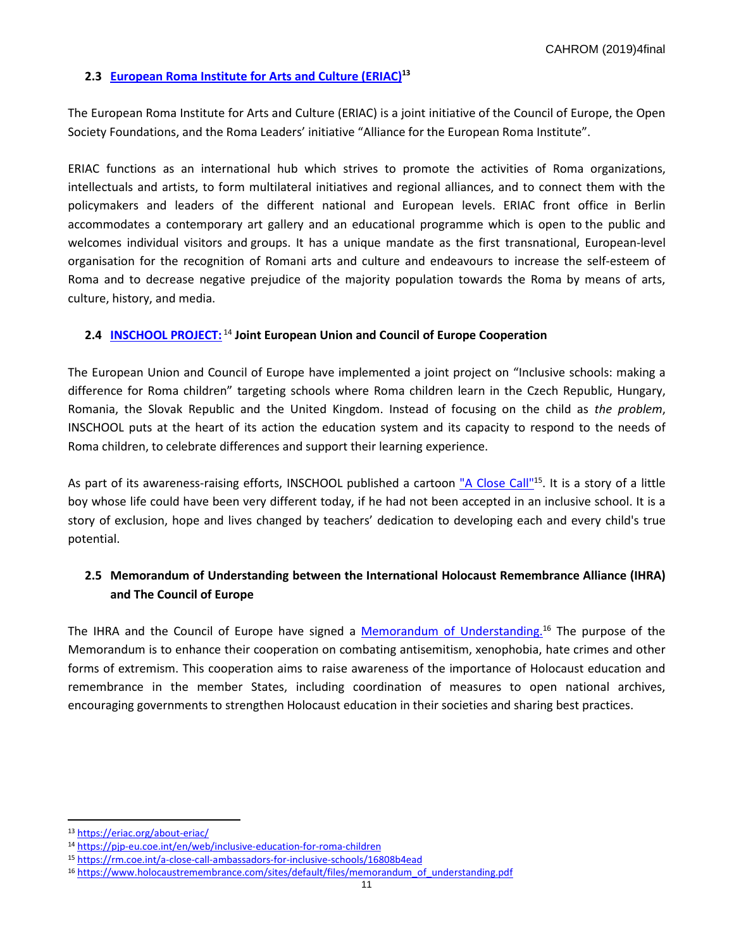# **2.3 [European Roma Institute for Arts and](https://eriac.org/about-eriac/) Culture (ERIAC) 13**

The European Roma Institute for Arts and Culture (ERIAC) is a joint initiative of the Council of Europe, the Open Society Foundations, and the Roma Leaders' initiative "Alliance for the European Roma Institute".

ERIAC functions as an international hub which strives to promote the activities of Roma organizations, intellectuals and artists, to form multilateral initiatives and regional alliances, and to connect them with the policymakers and leaders of the different national and European levels. ERIAC front office in Berlin accommodates a contemporary art gallery and an educational programme which is open to the public and welcomes individual visitors and groups. It has a unique mandate as the first transnational, European-level organisation for the recognition of Romani arts and culture and endeavours to increase the self-esteem of Roma and to decrease negative prejudice of the majority population towards the Roma by means of arts, culture, history, and media.

## **2.4 [INSCHOOL PROJECT:](https://pjp-eu.coe.int/en/web/inclusive-education-for-roma-children)** <sup>14</sup> **Joint European Union and Council of Europe Cooperation**

The European Union and Council of Europe have implemented a joint project on "Inclusive schools: making a difference for Roma children" targeting schools where Roma children learn in the Czech Republic, Hungary, Romania, the Slovak Republic and the United Kingdom. Instead of focusing on the child as *the problem*, INSCHOOL puts at the heart of its action the education system and its capacity to respond to the needs of Roma children, to celebrate differences and support their learning experience.

As part of its awareness-raising efforts, INSCHOOL published a cartoon ["A Close Call"](https://rm.coe.int/a-close-call-ambassadors-for-inclusive-schools/16808b4ead)15. It is a story of a little boy whose life could have been very different today, if he had not been accepted in an inclusive school. It is a story of exclusion, hope and lives changed by teachers' dedication to developing each and every child's true potential.

# **2.5 Memorandum of Understanding between the International Holocaust Remembrance Alliance (IHRA) and The Council of Europe**

The IHRA and the Council of Europe have signed a [Memorandum of Understanding.](https://www.holocaustremembrance.com/sites/default/files/memorandum_of_understanding.pdf)<sup>16</sup> The purpose of the Memorandum is to enhance their cooperation on combating antisemitism, xenophobia, hate crimes and other forms of extremism. This cooperation aims to raise awareness of the importance of Holocaust education and remembrance in the member States, including coordination of measures to open national archives, encouraging governments to strengthen Holocaust education in their societies and sharing best practices.

<sup>13</sup> <https://eriac.org/about-eriac/>

<sup>14</sup> <https://pjp-eu.coe.int/en/web/inclusive-education-for-roma-children>

<sup>15</sup> <https://rm.coe.int/a-close-call-ambassadors-for-inclusive-schools/16808b4ead>

<sup>&</sup>lt;sup>16</sup> [https://www.holocaustremembrance.com/sites/default/files/memorandum\\_of\\_understanding.pdf](https://www.holocaustremembrance.com/sites/default/files/memorandum_of_understanding.pdf)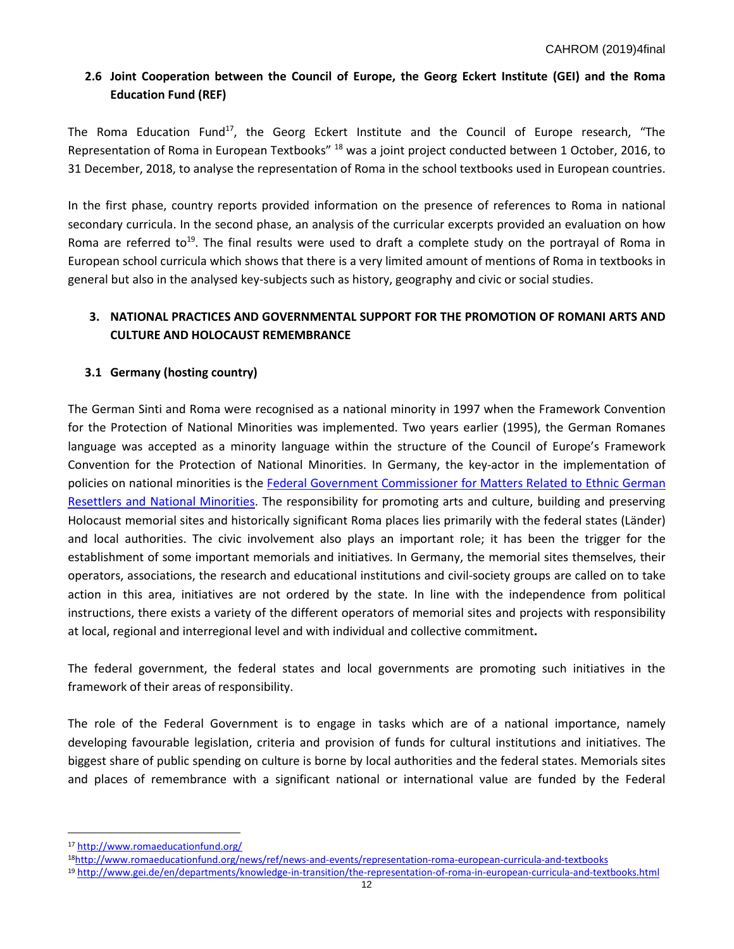# **2.6 Joint Cooperation between the Council of Europe, the Georg Eckert Institute (GEI) and the Roma Education Fund (REF)**

The Roma Education Fund<sup>17</sup>, the Georg Eckert Institute and the Council of Europe research, "The Representation of Roma in European Textbooks" <sup>18</sup> was a joint project conducted between 1 October, 2016, to 31 December, 2018, to analyse the representation of Roma in the school textbooks used in European countries.

In the first phase, country reports provided information on the presence of references to Roma in national secondary curricula. In the second phase, an analysis of the curricular excerpts provided an evaluation on how Roma are referred to<sup>19</sup>. The final results were used to draft a complete study on the portrayal of Roma in European school curricula which shows that there is a very limited amount of mentions of Roma in textbooks in general but also in the analysed key-subjects such as history, geography and civic or social studies.

# **3. NATIONAL PRACTICES AND GOVERNMENTAL SUPPORT FOR THE PROMOTION OF ROMANI ARTS AND CULTURE AND HOLOCAUST REMEMBRANCE**

# **3.1 Germany (hosting country)**

The German Sinti and Roma were recognised as a national minority in 1997 when the Framework Convention for the Protection of National Minorities was implemented. Two years earlier (1995), the German Romanes language was accepted as a minority language within the structure of the Council of Europe's Framework Convention for the Protection of National Minorities. In Germany, the key-actor in the implementation of policies on national minorities is the [Federal Government Commissioner for Matters Related to Ethnic](https://www.aussiedlerbeauftragter.de/AUSB/DE/Home/startseite_node.html) German [Resettlers and National Minorities.](https://www.aussiedlerbeauftragter.de/AUSB/DE/Home/startseite_node.html) The responsibility for promoting arts and culture, building and preserving Holocaust memorial sites and historically significant Roma places lies primarily with the federal states (Länder) and local authorities. The civic involvement also plays an important role; it has been the trigger for the establishment of some important memorials and initiatives. In Germany, the memorial sites themselves, their operators, associations, the research and educational institutions and civil-society groups are called on to take action in this area, initiatives are not ordered by the state. In line with the independence from political instructions, there exists a variety of the different operators of memorial sites and projects with responsibility at local, regional and interregional level and with individual and collective commitment**.**

The federal government, the federal states and local governments are promoting such initiatives in the framework of their areas of responsibility.

The role of the Federal Government is to engage in tasks which are of a national importance, namely developing favourable legislation, criteria and provision of funds for cultural institutions and initiatives. The biggest share of public spending on culture is borne by local authorities and the federal states. Memorials sites and places of remembrance with a significant national or international value are funded by the Federal

<sup>17</sup> <http://www.romaeducationfund.org/>

<sup>18</sup><http://www.romaeducationfund.org/news/ref/news-and-events/representation-roma-european-curricula-and-textbooks>

<sup>19</sup> <http://www.gei.de/en/departments/knowledge-in-transition/the-representation-of-roma-in-european-curricula-and-textbooks.html>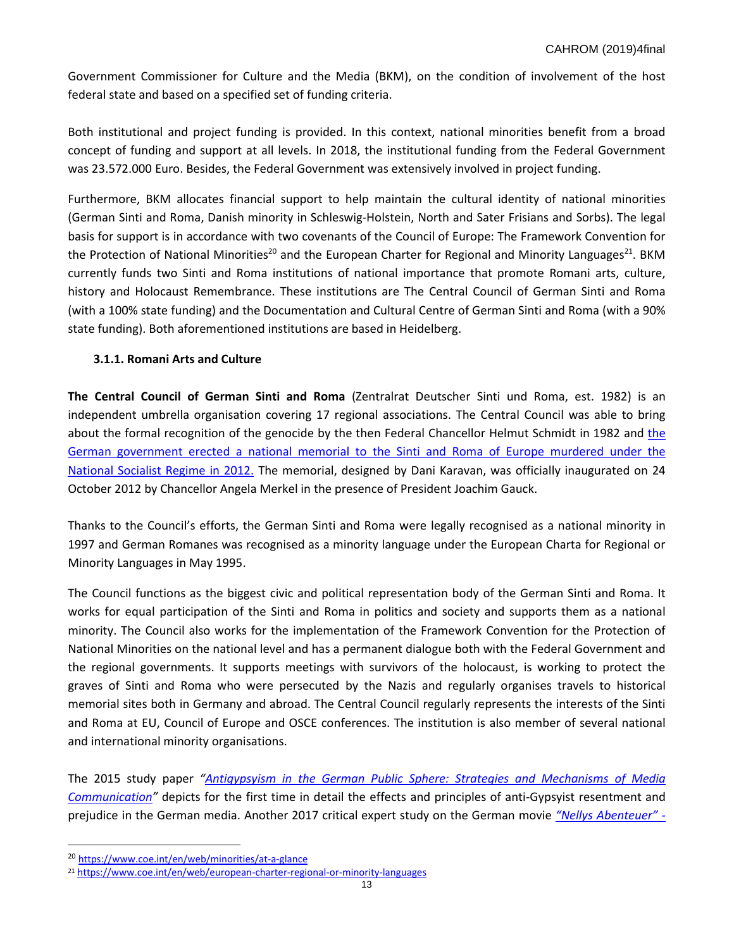Government Commissioner for Culture and the Media (BKM), on the condition of involvement of the host federal state and based on a specified set of funding criteria.

Both institutional and project funding is provided. In this context, national minorities benefit from a broad concept of funding and support at all levels. In 2018, the institutional funding from the Federal Government was 23.572.000 Euro. Besides, the Federal Government was extensively involved in project funding.

Furthermore, BKM allocates financial support to help maintain the cultural identity of national minorities (German Sinti and Roma, Danish minority in Schleswig-Holstein, North and Sater Frisians and Sorbs). The legal basis for support is in accordance with two covenants of the Council of Europe: The Framework Convention for the Protection of National Minorities<sup>20</sup> and the European Charter for Regional and Minority Languages<sup>21</sup>. BKM currently funds two Sinti and Roma institutions of national importance that promote Romani arts, culture, history and Holocaust Remembrance. These institutions are The Central Council of German Sinti and Roma (with a 100% state funding) and the Documentation and Cultural Centre of German Sinti and Roma (with a 90% state funding). Both aforementioned institutions are based in Heidelberg.

# **3.1.1. Romani Arts and Culture**

**The Central Council of German Sinti and Roma** (Zentralrat Deutscher Sinti und Roma, est. 1982) is an independent umbrella organisation covering 17 regional associations. The Central Council was able to bring about [the](https://www.dw.com/en/chancellor-merkel-inaugurates-a-memorial-to-roma-and-sinti/a-16327051) formal recognition of the genocide by the then Federal Chancellor Helmut Schmidt in 1982 and the German government [erected a national memorial to the Sinti and Roma of Europe murdered under the](https://www.dw.com/en/chancellor-merkel-inaugurates-a-memorial-to-roma-and-sinti/a-16327051) National [Socialist Regime](https://www.dw.com/en/chancellor-merkel-inaugurates-a-memorial-to-roma-and-sinti/a-16327051) in 2012. The memorial, designed by Dani Karavan, was officially inaugurated on 24 October 2012 by Chancellor Angela Merkel in the presence of President Joachim Gauck.

Thanks to the Council's efforts, the German Sinti and Roma were legally recognised as a national minority in 1997 and German Romanes was recognised as a minority language under the European Charta for Regional or Minority Languages in May 1995.

The Council functions as the biggest civic and political representation body of the German Sinti and Roma. It works for equal participation of the Sinti and Roma in politics and society and supports them as a national minority. The Council also works for the implementation of the Framework Convention for the Protection of National Minorities on the national level and has a permanent dialogue both with the Federal Government and the regional governments. It supports meetings with survivors of the holocaust, is working to protect the graves of Sinti and Roma who were persecuted by the Nazis and regularly organises travels to historical memorial sites both in Germany and abroad. The Central Council regularly represents the interests of the Sinti and Roma at EU, Council of Europe and OSCE conferences. The institution is also member of several national and international minority organisations.

The 2015 study paper *"[Antigypsyism in the German Public Sphere:](https://zentralrat.sintiundroma.de/en/antigypsyism-in-the-german-public-sphere-strategies-and-mechanisms-of-media-communication/) Strategies and Mechanisms of Media [Communication](https://zentralrat.sintiundroma.de/en/antigypsyism-in-the-german-public-sphere-strategies-and-mechanisms-of-media-communication/)"* depicts for the first time in detail the effects and principles of anti-Gypsyist resentment and prejudice in the German media. Another 2017 critical expert study on the German movie *"[Nellys Abenteuer](https://zentralrat.sintiundroma.de/en/gutachten-zum-kinder-und-jugendfilm-nellys-abenteuer/)" -*

 $\overline{a}$ 

<sup>20</sup> <https://www.coe.int/en/web/minorities/at-a-glance>

<sup>21</sup> <https://www.coe.int/en/web/european-charter-regional-or-minority-languages>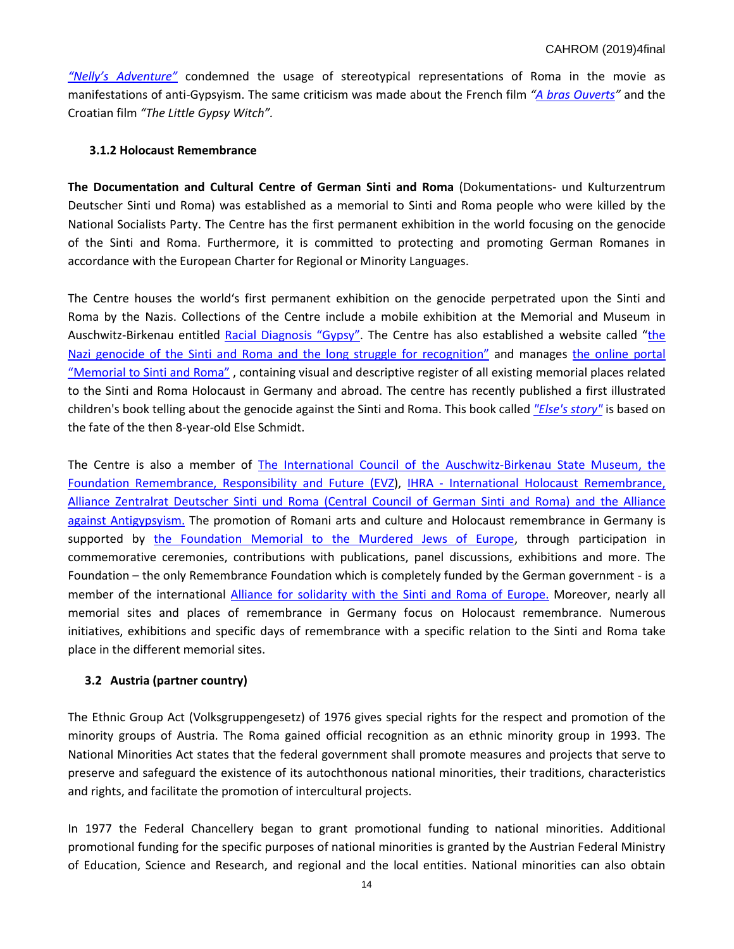*["Nelly's Adventure"](https://zentralrat.sintiundroma.de/en/gutachten-zum-kinder-und-jugendfilm-nellys-abenteuer/)* condemned the usage of stereotypical representations of Roma in the movie as manifestations of anti-Gypsyism. The same criticism was made about the French film *"[A bras Ouverts](https://rroma.org/en/a-bras-ouverts-an-analysis/)"* and the Croatian film *"The Little Gypsy Witch".*

## **3.1.2 Holocaust Remembrance**

**The Documentation and Cultural Centre of German Sinti and Roma** (Dokumentations- und Kulturzentrum Deutscher Sinti und Roma) was established as a memorial to Sinti and Roma people who were killed by the National Socialists Party. The Centre has the first permanent exhibition in the world focusing on the genocide of the Sinti and Roma. Furthermore, it is committed to protecting and promoting German Romanes in accordance with the European Charter for Regional or Minority Languages.

The Centre houses the world's first permanent exhibition on the genocide perpetrated upon the Sinti and Roma by the Nazis. Collections of the Centre include a mobile exhibition at the Memorial and Museum in Auschwitz-Birkenau entitled [Racial Diagno](http://www.sintiundroma.de/fileadmin/dokumente/zentrum/ausstellungen/transp_Ausst_2017/Portable_Exhibition_Flyer.pdf)sis "Gypsy". The Centre has also established a website called "the [Nazi genocide of the Sinti and Roma and the long struggle for reco](https://www.sintiundroma.org/en/the-path-to-genocide/)gnition" and manages [the online portal](http://gedenkorte.sintiundroma.de/index.php)  ["Memorial to Sinti and Roma"](http://gedenkorte.sintiundroma.de/index.php) , containing visual and descriptive register of all existing memorial places related to the Sinti and Roma Holocaust in Germany and abroad. The centre has recently published a first illustrated children's book telling about the genocide against the Sinti and Roma. This book called *["Else's story"](http://www.elses-geschichte.de/)* is based on the fate of the then 8-year-old Else Schmidt.

The Centre is also a member of [The International Council of the Auschwitz-Birkenau State Museum,](http://auschwitz.org/en/museum/auschwitz-council/) [the](https://www.stiftung-evz.de/eng/the-foundation.html)  Foundation Remembrance, [Responsibility and](https://www.stiftung-evz.de/eng/the-foundation.html) Future (EVZ), IHRA - [International Holocaust Remembrance,](https://www.holocaustremembrance.com/international-holocaust-remembrance-alliance)  [Alliance](https://www.holocaustremembrance.com/international-holocaust-remembrance-alliance) Zentralrat Deutscher Sinti [und Roma \(Central Council of German Sinti and](https://zentralrat.sintiundroma.de/zentralrat/) Roma) and [the Alliance](http://antigypsyism.eu/?page_id=55)  [against Antigypsyism.](http://antigypsyism.eu/?page_id=55) The promotion of Romani arts and culture and Holocaust remembrance in Germany is supported by [the Foundation Memorial to the Murdered Jews of Europe,](https://www.stiftung-denkmal.de/en/foundation.html) through participation in commemorative ceremonies, contributions with publications, panel discussions, exhibitions and more. The Foundation – the only Remembrance Foundation which is completely funded by the German government - is a member of the international [Alliance for solidarity with the Sinti and Roma of Europe.](https://romaday.org/Alliance) Moreover, nearly all memorial sites and places of remembrance in Germany focus on Holocaust remembrance. Numerous initiatives, exhibitions and specific days of remembrance with a specific relation to the Sinti and Roma take place in the different memorial sites.

## **3.2 Austria (partner country)**

The Ethnic Group Act (Volksgruppengesetz) of 1976 gives special rights for the respect and promotion of the minority groups of Austria. The Roma gained official recognition as an ethnic minority group in 1993. The National Minorities Act states that the federal government shall promote measures and projects that serve to preserve and safeguard the existence of its autochthonous national minorities, their traditions, characteristics and rights, and facilitate the promotion of intercultural projects.

In 1977 the Federal Chancellery began to grant promotional funding to national minorities. Additional promotional funding for the specific purposes of national minorities is granted by the Austrian Federal Ministry of Education, Science and Research, and regional and the local entities. National minorities can also obtain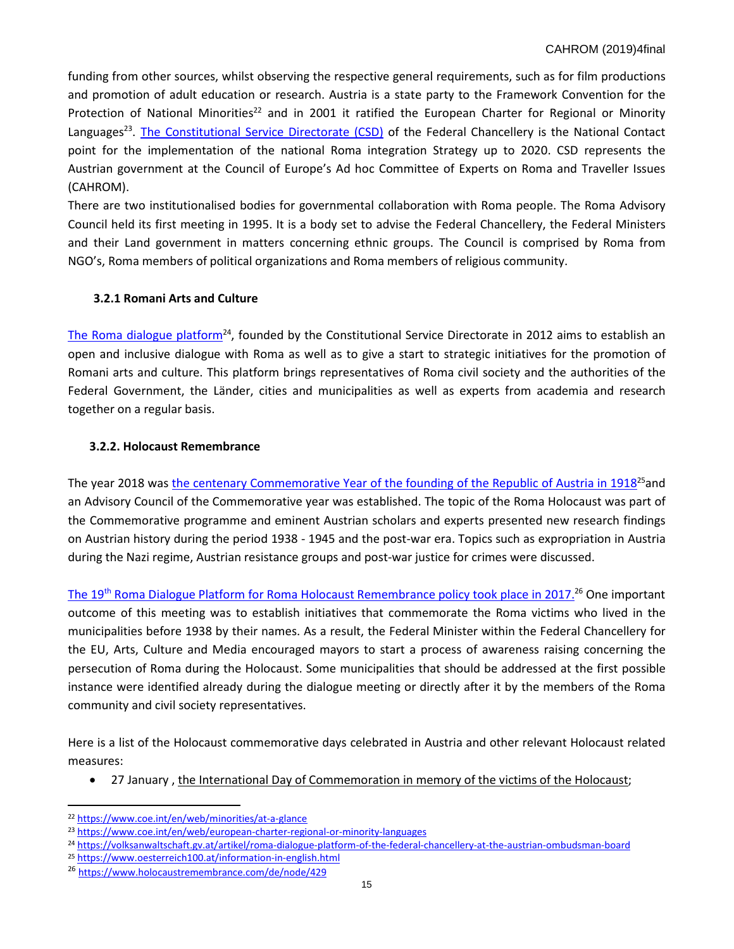funding from other sources, whilst observing the respective general requirements, such as for film productions and promotion of adult education or research. Austria is a state party to the Framework Convention for the Protection of National Minorities<sup>22</sup> and in 2001 it ratified the European Charter for Regional or Minority Languages<sup>23</sup>. [The Constitutional Service Directorate \(CSD\)](https://www.bundeskanzleramt.gv.at/site/7656/default.aspx) of the Federal Chancellery is the National Contact point for the implementation of the national Roma integration Strategy up to 2020. CSD represents the Austrian government at the Council of Europe's Ad hoc Committee of Experts on Roma and Traveller Issues (CAHROM).

There are two institutionalised bodies for governmental collaboration with Roma people. The Roma Advisory Council held its first meeting in 1995. It is a body set to advise the Federal Chancellery, the Federal Ministers and their Land government in matters concerning ethnic groups. The Council is comprised by Roma from NGO's, Roma members of political organizations and Roma members of religious community.

# **3.2.1 Romani Arts and Culture**

[The Roma dialogue](https://volksanwaltschaft.gv.at/artikel/roma-dialogue-platform-of-the-federal-chancellery-at-the-austrian-ombudsman-board) platform<sup>24</sup>, founded by the Constitutional Service Directorate in 2012 aims to establish an open and inclusive dialogue with Roma as well as to give a start to strategic initiatives for the promotion of Romani arts and culture. This platform brings representatives of Roma civil society and the authorities of the Federal Government, the Länder, cities and municipalities as well as experts from academia and research together on a regular basis.

# **3.2.2. Holocaust Remembrance**

The year 2018 was [the centenary Commemorative Year of the founding of the Republic of](https://www.oesterreich100.at/information-in-english.html) Austria in 1918<sup>25</sup>and an Advisory Council of the Commemorative year was established. The topic of the Roma Holocaust was part of the Commemorative programme and eminent Austrian scholars and experts presented new research findings on Austrian history during the period 1938 - 1945 and the post-war era. Topics such as expropriation in Austria during the Nazi regime, Austrian resistance groups and post-war justice for crimes were discussed.

The 19<sup>th</sup> Roma Dialogue Platform for [Roma Holocaust Remembrance policy](https://www.holocaustremembrance.com/de/node/429) took place in 2017.<sup>26</sup> One important outcome of this meeting was to establish initiatives that commemorate the Roma victims who lived in the municipalities before 1938 by their names. As a result, the Federal Minister within the Federal Chancellery for the EU, Arts, Culture and Media encouraged mayors to start a process of awareness raising concerning the persecution of Roma during the Holocaust. Some municipalities that should be addressed at the first possible instance were identified already during the dialogue meeting or directly after it by the members of the Roma community and civil society representatives.

Here is a list of the Holocaust commemorative days celebrated in Austria and other relevant Holocaust related measures:

• 27 January , the International Day [of Commemoration in memory of the victims of the](https://www.holocaustremembrance.com/index.php/stories/international-holocaust-remembrance-day-2016) Holocaust;

 $\overline{a}$ 

<sup>22</sup> <https://www.coe.int/en/web/minorities/at-a-glance>

<sup>23</sup> <https://www.coe.int/en/web/european-charter-regional-or-minority-languages>

<sup>24</sup> <https://volksanwaltschaft.gv.at/artikel/roma-dialogue-platform-of-the-federal-chancellery-at-the-austrian-ombudsman-board>

<sup>25</sup> <https://www.oesterreich100.at/information-in-english.html>

<sup>26</sup> <https://www.holocaustremembrance.com/de/node/429>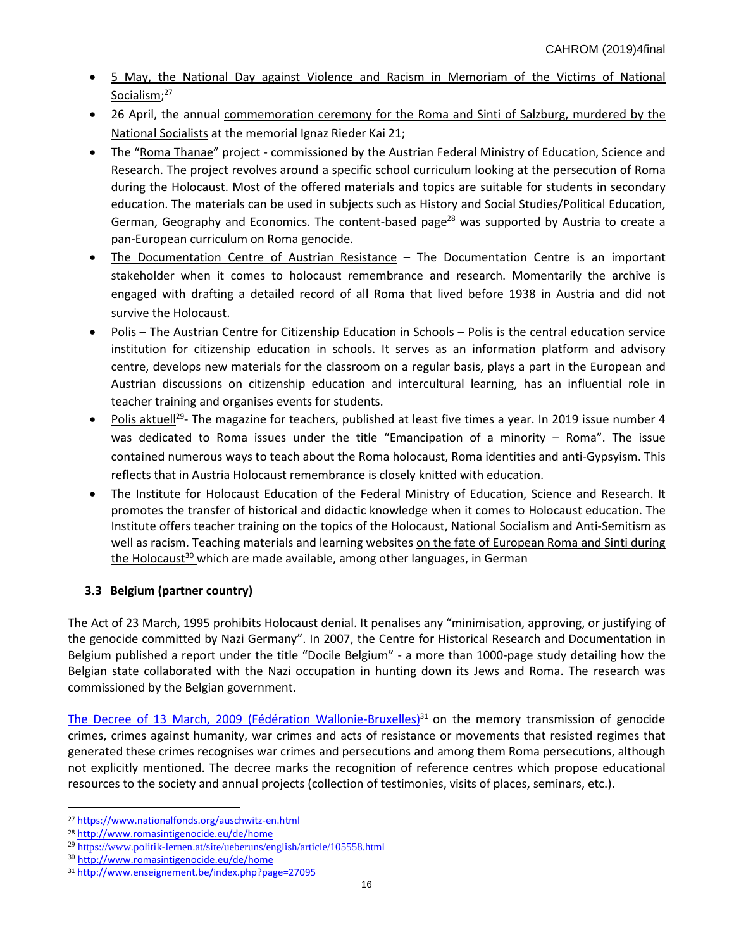- 5 May, [the National Day against Violence and Racism in Memoriam of the Victims of National](https://www.nationalfonds.org/auschwitz-en.html)  [Socialism;](https://www.nationalfonds.org/auschwitz-en.html)<sup>27</sup>
- 26 April, the annual [commemoration ceremony for the Roma and Sinti of Salzburg, murdered by the](https://www.holocaustremembrance.com/news-archive/annual-commemoration-roma-and-sinti-salzburg)  [National Socialists](https://www.holocaustremembrance.com/news-archive/annual-commemoration-roma-and-sinti-salzburg) at the memorial Ignaz Rieder Kai 21;
- The "[Roma Thanae](http://www.romane-thana.at/index.php)" project commissioned by the Austrian Federal Ministry of Education, Science and Research. The project revolves around a specific school curriculum looking at the persecution of Roma during the Holocaust. Most of the offered materials and topics are suitable for students in secondary education. The materials can be used in subjects such as History and Social Studies/Political Education, German, Geography and Economics. The content-based page<sup>28</sup> was supported by Austria to create a pan-European curriculum on Roma genocide.
- [The Documentation Centre](https://www.doew.at/english) of Austrian Resistance The Documentation Centre is an important stakeholder when it comes to holocaust remembrance and research. Momentarily the archive is engaged with drafting a detailed record of all Roma that lived before 1938 in Austria and did not survive the Holocaust.
- Polis The [Austrian Centre for Citizenship Education in Schools](https://www.politik-lernen.at/site/ueberuns/english) Polis is the central education service institution for citizenship education in schools. It serves as an information platform and advisory centre, develops new materials for the classroom on a regular basis, plays a part in the European and Austrian discussions on citizenship education and intercultural learning, has an influential role in teacher training and organises events for students.
- Polis [aktuell](https://www.politik-lernen.at/site/ueberuns/english/article/105558.html)<sup>29</sup>- The magazine for teachers, published at least five times a year. In 2019 issue number 4 was dedicated to Roma issues under the title "Emancipation of a minority – Roma". The issue contained numerous ways to teach about the Roma holocaust, Roma identities and anti-Gypsyism. This reflects that in Austria Holocaust remembrance is closely knitted with education.
- The Institute for Holocaust Education of the [Federal Ministry of Education, Science and Research.](http://www.erinnern.at/bundeslaender/oesterreich) It promotes the transfer of historical and didactic knowledge when it comes to Holocaust education. The Institute offers teacher training on the topics of the Holocaust, National Socialism and Anti-Semitism as well as racism. Teaching materials and learning websites [on the fate of European Roma](http://www.romasintigenocide.eu/de/home) and Sinti during [the Holocaust](http://www.romasintigenocide.eu/de/home)<sup>30</sup> which are made available, among other languages, in German

# **3.3 Belgium (partner country)**

The Act of 23 March, 1995 prohibits Holocaust denial. It penalises any "minimisation, approving, or justifying of the genocide committed by Nazi Germany". In 2007, the Centre for Historical Research and Documentation in Belgium published a report under the title "Docile Belgium" - a more than 1000-page study detailing how the Belgian state collaborated with the Nazi occupation in hunting down its Jews and Roma. The research was commissioned by the Belgian government.

[The Decree of 13 March, 2009 \(Fédération Wallonie-Bruxelles\)](http://www.enseignement.be/index.php?page=27095)<sup>31</sup> on the memory transmission of genocide crimes, crimes against humanity, war crimes and acts of resistance or movements that resisted regimes that generated these crimes recognises war crimes and persecutions and among them Roma persecutions, although not explicitly mentioned. The decree marks the recognition of reference centres which propose educational resources to the society and annual projects (collection of testimonies, visits of places, seminars, etc.).

<sup>27</sup> <https://www.nationalfonds.org/auschwitz-en.html>

<sup>28</sup> <http://www.romasintigenocide.eu/de/home>

<sup>&</sup>lt;sup>29</sup> <https://www.politik-lernen.at/site/ueberuns/english/article/105558.html>

<sup>30</sup> <http://www.romasintigenocide.eu/de/home>

<sup>31</sup> <http://www.enseignement.be/index.php?page=27095>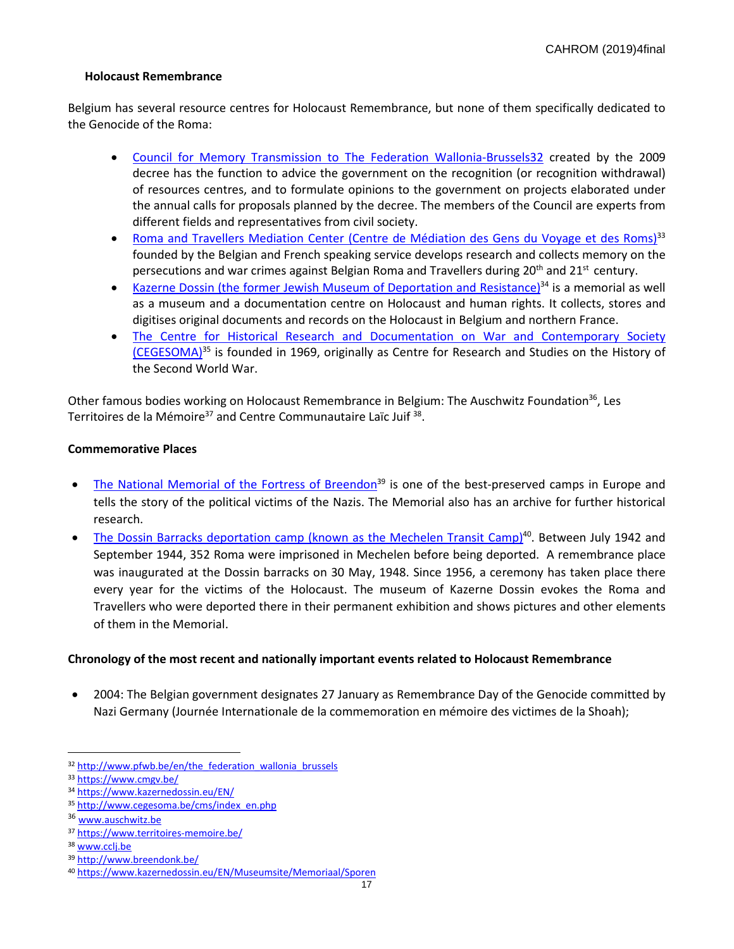## **Holocaust Remembrance**

Belgium has several resource centres for Holocaust Remembrance, but none of them specifically dedicated to the Genocide of the Roma:

- [Council for Memory Transmission to The Federation Wallonia-Brussels3](http://www.pfwb.be/en/the_federation_wallonia_brussels)2 created by the 2009 decree has the function to advice the government on the recognition (or recognition withdrawal) of resources centres, and to formulate opinions to the government on projects elaborated under the annual calls for proposals planned by the decree. The members of the Council are experts from different fields and representatives from civil society.
- [Roma and Travellers Mediation Center \(Centre de Médiation des Gens du Voyage et des Roms\)](https://www.cmgv.be/)<sup>33</sup> founded by the Belgian and French speaking service develops research and collects memory on the persecutions and war crimes against Belgian Roma and Travellers during 20<sup>th</sup> and 21<sup>st</sup> century.
- Kazerne Dossin (the former Jewish [Museum of Deportation and Resistance\)](https://www.kazernedossin.eu/EN/)<sup>34</sup> is a memorial as well as a museum and a documentation centre on Holocaust and human rights. It collects, stores and digitises original documents and records on the Holocaust in Belgium and northern France.
- [The Centre for Historical Research and Documentation on War and Contemporary Society](http://www.cegesoma.be/cms/index_en.php)  [\(CEGESOMA\)](http://www.cegesoma.be/cms/index_en.php)<sup>35</sup> is founded in 1969, originally as Centre for Research and Studies on the History of the Second World War.

Other famous bodies working on Holocaust Remembrance in Belgium: The Auschwitz Foundation<sup>36</sup>, Les Territoires de la Mémoire<sup>37</sup> and Centre Communautaire Laïc Juif <sup>38</sup>.

#### **Commemorative Places**

- [The National Memorial of the Fortress of Breendon](http://www.breendonk.be/)<sup>39</sup> is one of the best-preserved camps in Europe and tells the story of the political victims of the Nazis. The Memorial also has an archive for further historical research.
- The [Dossin Barracks deportation camp](https://www.kazernedossin.eu/EN/Museumsite/Memoriaal/Sporen) (known as the Mechelen Transit Camp)<sup>40</sup>. Between July 1942 and September 1944, 352 Roma were imprisoned in Mechelen before being deported. A remembrance place was inaugurated at the Dossin barracks on 30 May, 1948. Since 1956, a ceremony has taken place there every year for the victims of the Holocaust. The museum of Kazerne Dossin evokes the Roma and Travellers who were deported there in their permanent exhibition and shows pictures and other elements of them in the Memorial.

## **Chronology of the most recent and nationally important events related to Holocaust Remembrance**

• 2004: The Belgian government designates 27 January as Remembrance Day of the Genocide committed by Nazi Germany (Journée Internationale de la commemoration en mémoire des victimes de la Shoah);

<sup>32</sup> [http://www.pfwb.be/en/the\\_federation\\_wallonia\\_brussels](http://www.pfwb.be/en/the_federation_wallonia_brussels)

<sup>33</sup> <https://www.cmgv.be/>

<sup>34</sup> <https://www.kazernedossin.eu/EN/>

<sup>35</sup> [http://www.cegesoma.be/cms/index\\_en.php](http://www.cegesoma.be/cms/index_en.php)

<sup>36</sup> [www.auschwitz.be](http://www.auschwitz.be/)

<sup>37</sup> <https://www.territoires-memoire.be/>

<sup>38</sup> www.cclj.be

<sup>39</sup> <http://www.breendonk.be/>

<sup>40</sup> <https://www.kazernedossin.eu/EN/Museumsite/Memoriaal/Sporen>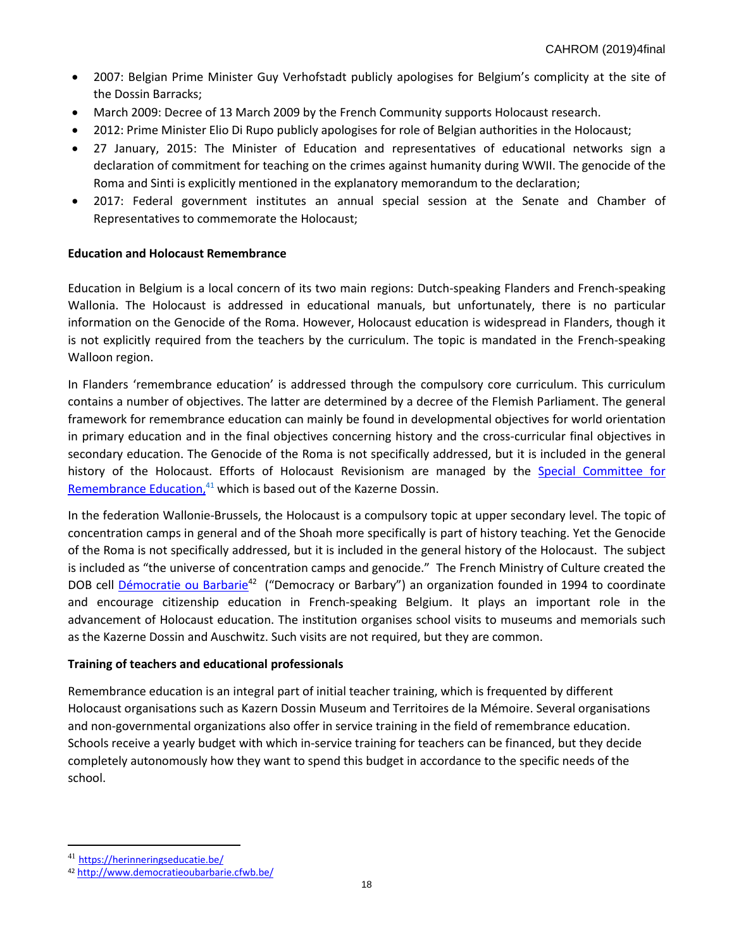- 2007: Belgian Prime Minister Guy Verhofstadt publicly apologises for Belgium's complicity at the site of the Dossin Barracks;
- March 2009: Decree of 13 March 2009 by the French Community supports Holocaust research.
- 2012: Prime Minister Elio Di Rupo publicly apologises for role of Belgian authorities in the Holocaust;
- 27 January, 2015: The Minister of Education and representatives of educational networks sign a declaration of commitment for teaching on the crimes against humanity during WWII. The genocide of the Roma and Sinti is explicitly mentioned in the explanatory memorandum to the declaration;
- 2017: Federal government institutes an annual special session at the Senate and Chamber of Representatives to commemorate the Holocaust;

# **Education and Holocaust Remembrance**

Education in Belgium is a local concern of its two main regions: Dutch-speaking Flanders and French-speaking Wallonia. The Holocaust is addressed in educational manuals, but unfortunately, there is no particular information on the Genocide of the Roma. However, Holocaust education is widespread in Flanders, though it is not explicitly required from the teachers by the curriculum. The topic is mandated in the French-speaking Walloon region.

In Flanders 'remembrance education' is addressed through the compulsory core curriculum. This curriculum contains a number of objectives. The latter are determined by a decree of the Flemish Parliament. The general framework for remembrance education can mainly be found in developmental objectives for world orientation in primary education and in the final objectives concerning history and the cross-curricular final objectives in secondary education. The Genocide of the Roma is not specifically addressed, but it is included in the general history of the Holocaust. Efforts of Holocaust Revisionism are managed by the Special Committee for [Remembrance Education,](https://herinneringseducatie.be/)<sup>41</sup> which is based out of the Kazerne Dossin.

In the federation Wallonie-Brussels, the Holocaust is a compulsory topic at upper secondary level. The topic of concentration camps in general and of the Shoah more specifically is part of history teaching. Yet the Genocide of the Roma is not specifically addressed, but it is included in the general history of the Holocaust. The subject is included as "the universe of concentration camps and genocide." The French Ministry of Culture created the DOB cell *[Démocratie ou Barbarie](http://www.democratieoubarbarie.cfwb.be/index.php?id=7800)<sup>42</sup>* ("Democracy or Barbary") an organization founded in 1994 to coordinate and encourage citizenship education in French-speaking Belgium. It plays an important role in the advancement of Holocaust education. The institution organises school visits to museums and memorials such as the Kazerne Dossin and Auschwitz. Such visits are not required, but they are common.

## **Training of teachers and educational professionals**

Remembrance education is an integral part of initial teacher training, which is frequented by different Holocaust organisations such as Kazern Dossin Museum and Territoires de la Mémoire. Several organisations and non-governmental organizations also offer in service training in the field of remembrance education. Schools receive a yearly budget with which in-service training for teachers can be financed, but they decide completely autonomously how they want to spend this budget in accordance to the specific needs of the school.

<sup>41</sup> <https://herinneringseducatie.be/>

<sup>42</sup> <http://www.democratieoubarbarie.cfwb.be/>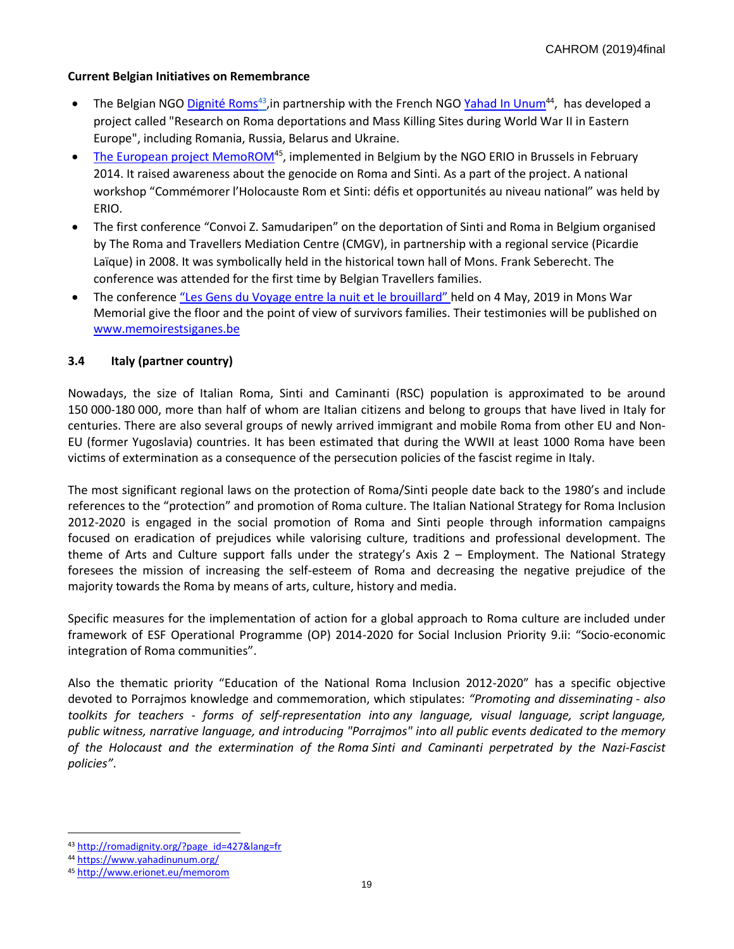## **Current Belgian Initiatives on Remembrance**

- The Belgian NGO *Dignité Roms<sup>43</sup>,* in partnership with the French NGO [Yahad In Unum](http://www.yahadinunum.org/fr-porajmos/?lang=en)<sup>44</sup>, has developed a project called "Research on Roma deportations and Mass Killing Sites during World War II in Eastern Europe", including Romania, Russia, Belarus and Ukraine.
- [The European project MemoROM](http://www.erionet.eu/memorom)<sup>45</sup>, implemented in Belgium by the NGO ERIO in Brussels in February 2014. It raised awareness about the genocide on Roma and Sinti. As a part of the project. A national workshop "Commémorer l'Holocauste Rom et Sinti: défis et opportunités au niveau national" was held by ERIO.
- The first conference "Convoi Z. Samudaripen" on the deportation of Sinti and Roma in Belgium organised by The Roma and Travellers Mediation Centre (CMGV), in partnership with a regional service (Picardie Laïque) in 2008. It was symbolically held in the historical town hall of Mons. Frank Seberecht. The conference was attended for the first time by Belgian Travellers families.
- The conference "Les Gens [du Voyage entre la nuit et le brouillard](https://cmgv.be/actualite/505-conference-les-gens-du-voyage-entre-la-nuit-et-le-brouillard-mons-samedi-4-mai-a-14h30)" held on 4 May, 2019 in Mons War Memorial give the floor and the point of view of survivors families. Their testimonies will be published on [www.memoirestsiganes.be](http://www.memoirestsiganes.be/)

# **3.4 Italy (partner country)**

Nowadays, the size of Italian Roma, Sinti and Caminanti (RSC) population is approximated to be around 150 000-180 000, more than half of whom are Italian citizens and belong to groups that have lived in Italy for centuries. There are also several groups of newly arrived immigrant and mobile Roma from other EU and Non-EU (former Yugoslavia) countries. It has been estimated that during the WWII at least 1000 Roma have been victims of extermination as a consequence of the persecution policies of the fascist regime in Italy.

The most significant regional laws on the protection of Roma/Sinti people date back to the 1980's and include references to the "protection" and promotion of Roma culture. The Italian National Strategy for Roma Inclusion 2012-2020 is engaged in the social promotion of Roma and Sinti people through information campaigns focused on eradication of prejudices while valorising culture, traditions and professional development. The theme of Arts and Culture support falls under the strategy's Axis 2 – Employment. The National Strategy foresees the mission of increasing the self-esteem of Roma and decreasing the negative prejudice of the majority towards the Roma by means of arts, culture, history and media.

Specific measures for the implementation of action for a global approach to Roma culture are included under framework of ESF Operational Programme (OP) 2014-2020 for Social Inclusion Priority 9.ii: "Socio-economic integration of Roma communities".

Also the thematic priority "Education of the National Roma Inclusion 2012-2020" has a specific objective devoted to Porrajmos knowledge and commemoration, which stipulates: *"Promoting and disseminating - also toolkits for teachers - forms of self-representation into any language, visual language, script language, public witness, narrative language, and introducing "Porrajmos" into all public events dedicated to the memory of the Holocaust and the extermination of the Roma Sinti and Caminanti perpetrated by the Nazi-Fascist policies"*.

<sup>43</sup> [http://romadignity.org/?page\\_id=427&lang=fr](http://romadignity.org/?page_id=427&lang=fr)

<sup>44</sup> <https://www.yahadinunum.org/>

<sup>45</sup> <http://www.erionet.eu/memorom>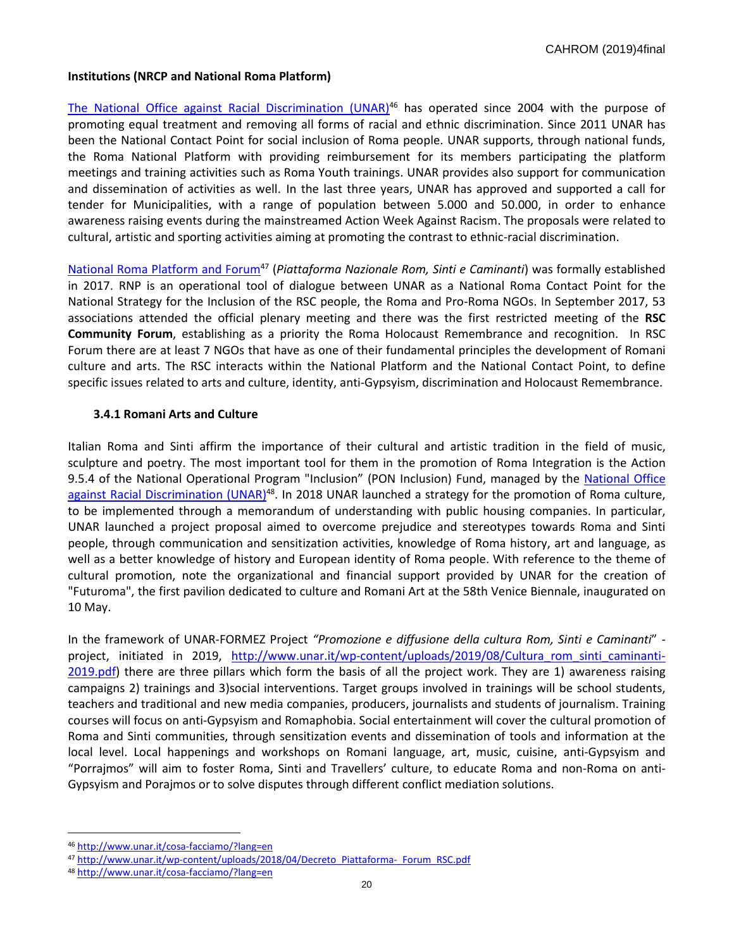## **Institutions (NRCP and National Roma Platform)**

The [National Office against Racial Discrimination \(UNAR\)](http://www.unar.it/cosa-facciamo/?lang=en)<sup>46</sup> has operated since 2004 with the purpose of promoting equal treatment and removing all forms of racial and ethnic discrimination. Since 2011 UNAR has been the National Contact Point for social inclusion of Roma people. UNAR supports, through national funds, the Roma National Platform with providing reimbursement for its members participating the platform meetings and training activities such as Roma Youth trainings. UNAR provides also support for communication and dissemination of activities as well. In the last three years, UNAR has approved and supported a call for tender for Municipalities, with a range of population between 5.000 and 50.000, in order to enhance awareness raising events during the mainstreamed Action Week Against Racism. The proposals were related to cultural, artistic and sporting activities aiming at promoting the contrast to ethnic-racial discrimination.

[National Roma Platform and Forum](http://www.unar.it/wp-content/uploads/2018/04/Decreto_Piattaforma-_Forum_RSC.pdf)<sup>47</sup> (*Piattaforma Nazionale Rom, Sinti e Caminanti*) was formally established in 2017. RNP is an operational tool of dialogue between UNAR as a National Roma Contact Point for the National Strategy for the Inclusion of the RSC people, the Roma and Pro-Roma NGOs. In September 2017, 53 associations attended the official plenary meeting and there was the first restricted meeting of the **RSC Community Forum**, establishing as a priority the Roma Holocaust Remembrance and recognition. In RSC Forum there are at least 7 NGOs that have as one of their fundamental principles the development of Romani culture and arts. The RSC interacts within the National Platform and the National Contact Point, to define specific issues related to arts and culture, identity, anti-Gypsyism, discrimination and Holocaust Remembrance.

## **3.4.1 Romani Arts and Culture**

Italian Roma and Sinti affirm the importance of their cultural and artistic tradition in the field of music, sculpture and poetry. The most important tool for them in the promotion of Roma Integration is the Action 9.5.4 of the National Operational Program "Inclusion" (PON Inclusion) Fund, managed by the [National Office](http://www.unar.it/cosa-facciamo/?lang=en)  against [Racial Discrimination \(UNAR\)](http://www.unar.it/cosa-facciamo/?lang=en)<sup>48</sup>. In 2018 UNAR launched a strategy for the promotion of Roma culture, to be implemented through a memorandum of understanding with public housing companies. In particular, UNAR launched a project proposal aimed to overcome prejudice and stereotypes towards Roma and Sinti people, through communication and sensitization activities, knowledge of Roma history, art and language, as well as a better knowledge of history and European identity of Roma people. With reference to the theme of cultural promotion, note the organizational and financial support provided by UNAR for the creation of "Futuroma", the first pavilion dedicated to culture and Romani Art at the 58th Venice Biennale, inaugurated on 10 May.

In the framework of UNAR-FORMEZ Project *"Promozione e diffusione della cultura Rom, Sinti e Caminanti*" project, initiated in 2019, [http://www.unar.it/wp-content/uploads/2019/08/Cultura\\_rom\\_sinti\\_caminanti-](http://www.unar.it/wp-content/uploads/2019/08/Cultura_rom_sinti_caminanti-2019.pdf)[2019.pdf\)](http://www.unar.it/wp-content/uploads/2019/08/Cultura_rom_sinti_caminanti-2019.pdf) there are three pillars which form the basis of all the project work. They are 1) awareness raising campaigns 2) trainings and 3)social interventions. Target groups involved in trainings will be school students, teachers and traditional and new media companies, producers, journalists and students of journalism. Training courses will focus on anti-Gypsyism and Romaphobia. Social entertainment will cover the cultural promotion of Roma and Sinti communities, through sensitization events and dissemination of tools and information at the local level. Local happenings and workshops on Romani language, art, music, cuisine, anti-Gypsyism and "Porrajmos" will aim to foster Roma, Sinti and Travellers' culture, to educate Roma and non-Roma on anti-Gypsyism and Porajmos or to solve disputes through different conflict mediation solutions.

<sup>46</sup> <http://www.unar.it/cosa-facciamo/?lang=en>

<sup>47</sup> [http://www.unar.it/wp-content/uploads/2018/04/Decreto\\_Piattaforma-\\_Forum\\_RSC.pdf](http://www.unar.it/wp-content/uploads/2018/04/Decreto_Piattaforma-_Forum_RSC.pdf)

<sup>48</sup> <http://www.unar.it/cosa-facciamo/?lang=en>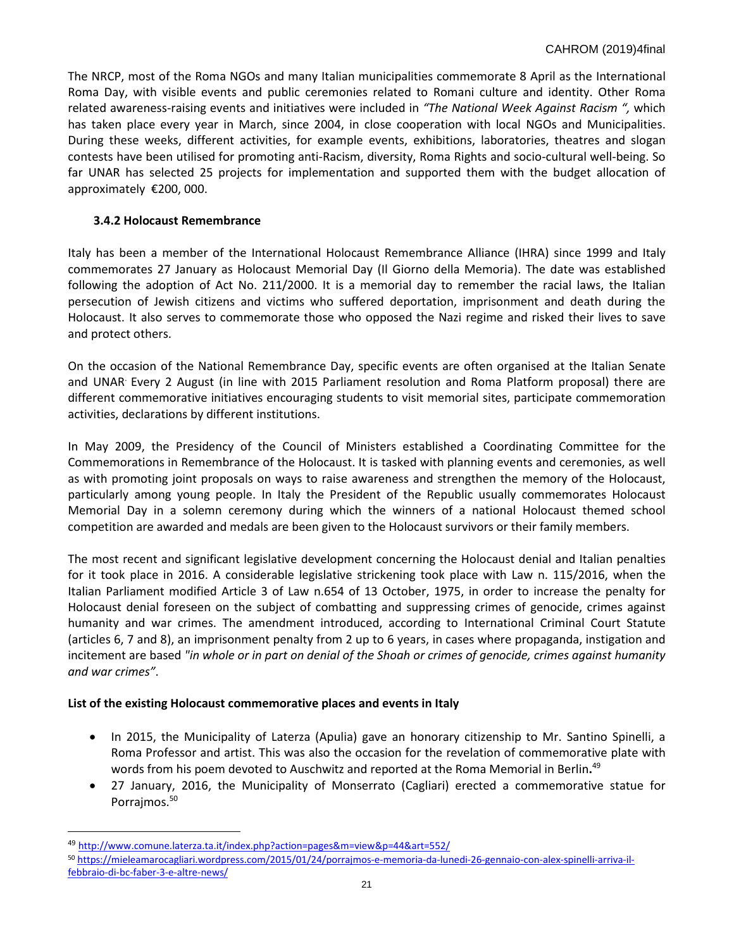The NRCP, most of the Roma NGOs and many Italian municipalities commemorate 8 April as the International Roma Day, with visible events and public ceremonies related to Romani culture and identity. Other Roma related awareness-raising events and initiatives were included in *"[The National Week Against Racism](http://weekagainstracism.eu/) ",* which has taken place every year in March, since 2004, in close cooperation with local NGOs and Municipalities. During these weeks, different activities, for example events, exhibitions, laboratories, theatres and slogan contests have been utilised for promoting anti-Racism, diversity, Roma Rights and socio-cultural well-being. So far UNAR has selected 25 projects for implementation and supported them with the budget allocation of approximately €200, 000.

# **3.4.2 Holocaust Remembrance**

Italy has been a member of the International Holocaust Remembrance Alliance (IHRA) since 1999 and Italy commemorates 27 January as Holocaust Memorial Day (Il Giorno della Memoria). The date was established following the adoption of Act No. 211/2000. It is a memorial day to remember the racial laws, the Italian persecution of Jewish citizens and victims who suffered deportation, imprisonment and death during the Holocaust. It also serves to commemorate those who opposed the Nazi regime and risked their lives to save and protect others.

On the occasion of the National Remembrance Day, specific events are often organised at the Italian Senate and UNAR. Every 2 August (in line with 2015 Parliament resolution and Roma Platform proposal) there are different commemorative initiatives encouraging students to visit memorial sites, participate commemoration activities, declarations by different institutions.

In May 2009, the Presidency of the Council of Ministers established a Coordinating Committee for the Commemorations in Remembrance of the Holocaust. It is tasked with planning events and ceremonies, as well as with promoting joint proposals on ways to raise awareness and strengthen the memory of the Holocaust, particularly among young people. In Italy the President of the Republic usually commemorates Holocaust Memorial Day in a solemn ceremony during which the winners of a national Holocaust themed school competition are awarded and medals are been given to the Holocaust survivors or their family members.

The most recent and significant legislative development concerning the Holocaust denial and Italian penalties for it took place in 2016. A considerable legislative strickening took place with Law n. 115/2016, when the Italian Parliament modified Article 3 of Law n.654 of 13 October, 1975, in order to increase the penalty for Holocaust denial foreseen on the subject of combatting and suppressing crimes of genocide, crimes against humanity and war crimes. The amendment introduced, according to International Criminal Court Statute (articles 6, 7 and 8), an imprisonment penalty from 2 up to 6 years, in cases where propaganda, instigation and incitement are based *"in whole or in part on denial of the Shoah or crimes of genocide, crimes against humanity and war crimes"*.

# **List of the existing Holocaust commemorative places and events in Italy**

- In 2015, the Municipality of Laterza (Apulia) gave an honorary citizenship to Mr. Santino Spinelli, a Roma Professor and artist. This was also the occasion for the revelation of commemorative plate with words from his poem devoted to Auschwitz and reported at the Roma Memorial in Berlin**.** 49
- 27 January, 2016, the Municipality of Monserrato (Cagliari) erected [a commemorative statue for](https://mieleamarocagliari.wordpress.com/2015/01/24/porrajmos-e-memoria-da-lunedi-26-gennaio-con-alex-spinelli-arriva-il-febbraio-di-bc-faber-3-e-altre-news/) [Porrajmos.](https://mieleamarocagliari.wordpress.com/2015/01/24/porrajmos-e-memoria-da-lunedi-26-gennaio-con-alex-spinelli-arriva-il-febbraio-di-bc-faber-3-e-altre-news/)<sup>50</sup>

<sup>49</sup> <http://www.comune.laterza.ta.it/index.php?action=pages&m=view&p=44&art=552/>

<sup>50</sup> [https://mieleamarocagliari.wordpress.com/2015/01/24/porrajmos-e-memoria-da-lunedi-26-gennaio-con-alex-spinelli-arriva-il](https://mieleamarocagliari.wordpress.com/2015/01/24/porrajmos-e-memoria-da-lunedi-26-gennaio-con-alex-spinelli-arriva-il-febbraio-di-bc-faber-3-e-altre-news/)[febbraio-di-bc-faber-3-e-altre-news/](https://mieleamarocagliari.wordpress.com/2015/01/24/porrajmos-e-memoria-da-lunedi-26-gennaio-con-alex-spinelli-arriva-il-febbraio-di-bc-faber-3-e-altre-news/)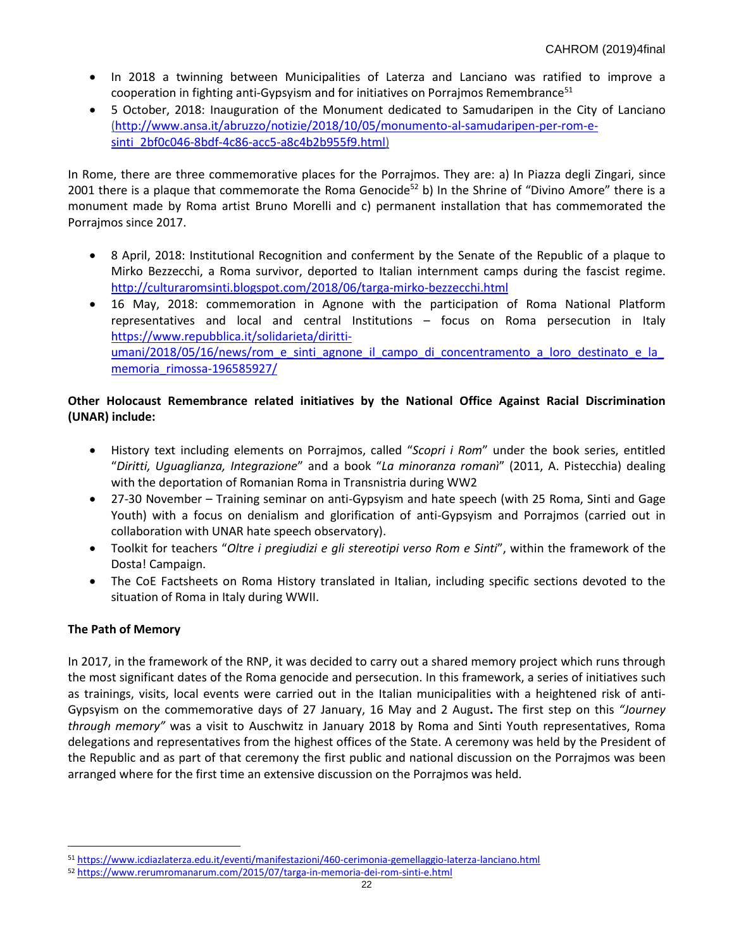- In 2018 a twinning between Municipalities of Laterza and Lanciano was ratified to improve a cooperation in fighting anti-Gypsyism and for initiatives on Porrajmos Remembrance $51$
- 5 October, 2018: Inauguration of the Monument dedicated to Samudaripen in the City of Lanciano [\(http://www.ansa.it/abruzzo/notizie/2018/10/05/monumento-al-samudaripen-per-rom-e](http://www.ansa.it/abruzzo/notizie/2018/10/05/monumento-al-samudaripen-per-rom-e-sinti_2bf0c046-8bdf-4c86-acc5-a8c4b2b955f9.html)[sinti\\_2bf0c046-8bdf-4c86-acc5-a8c4b2b955f9.html\)](http://www.ansa.it/abruzzo/notizie/2018/10/05/monumento-al-samudaripen-per-rom-e-sinti_2bf0c046-8bdf-4c86-acc5-a8c4b2b955f9.html)

In Rome, there are three commemorative places for the Porrajmos. They are: a) In Piazza degli Zingari, since 2001 there is a plaque that commemorate the Roma Genocide<sup>52</sup> b) In the Shrine of "Divino Amore" there is a monument made by Roma artist Bruno Morelli and c) permanent installation that has commemorated the Porrajmos since 2017.

- 8 April, 2018: Institutional Recognition and conferment by the Senate of the Republic of a plaque to Mirko Bezzecchi, a Roma survivor, deported to Italian internment camps during the fascist regime. <http://culturaromsinti.blogspot.com/2018/06/targa-mirko-bezzecchi.html>
- 16 May, 2018: commemoration in Agnone with the participation of Roma National Platform representatives and local and central Institutions – focus on Roma persecution in Italy [https://www.repubblica.it/solidarieta/diritti](https://www.repubblica.it/solidarieta/diritti-umani/2018/05/16/news/rom_e_sinti_agnone_il_campo_di_concentramento_a_loro_destinato_e_la_memoria_rimossa-196585927/)[umani/2018/05/16/news/rom\\_e\\_sinti\\_agnone\\_il\\_campo\\_di\\_concentramento\\_a\\_loro\\_destinato\\_e\\_la\\_](https://www.repubblica.it/solidarieta/diritti-umani/2018/05/16/news/rom_e_sinti_agnone_il_campo_di_concentramento_a_loro_destinato_e_la_memoria_rimossa-196585927/) [memoria\\_rimossa-196585927/](https://www.repubblica.it/solidarieta/diritti-umani/2018/05/16/news/rom_e_sinti_agnone_il_campo_di_concentramento_a_loro_destinato_e_la_memoria_rimossa-196585927/)

# **Other Holocaust Remembrance related initiatives by the National Office Against Racial Discrimination (UNAR) include:**

- History text including elements on Porrajmos, called "*Scopri i Rom*" under the book series, entitled "*Diritti, Uguaglianza, Integrazione*" and a book "*La minoranza romanì*" (2011, A. Pistecchia) dealing with the deportation of Romanian Roma in Transnistria during WW2
- 27-30 November Training seminar on anti-Gypsyism and hate speech (with 25 Roma, Sinti and Gage Youth) with a focus on denialism and glorification of anti-Gypsyism and Porrajmos (carried out in collaboration with UNAR hate speech observatory).
- Toolkit for teachers "*Oltre i pregiudizi e gli stereotipi verso Rom e Sinti*", within the framework of the Dosta! Campaign.
- The CoE Factsheets on Roma History translated in Italian, including specific sections devoted to the situation of Roma in Italy during WWII.

# **The Path of Memory**

 $\overline{a}$ 

In 2017, in the framework of the RNP, it was decided to carry out a shared memory project which runs through the most significant dates of the Roma genocide and persecution. In this framework, a series of initiatives such as trainings, visits, local events were carried out in the Italian municipalities with a heightened risk of anti-Gypsyism on the commemorative days of 27 January, 16 May and 2 August**.** The first step on this *"Journey through memory"* was a visit to Auschwitz in January 2018 by Roma and Sinti Youth representatives, Roma delegations and representatives from the highest offices of the State. A ceremony was held by the President of the Republic and as part of that ceremony the first public and national discussion on the Porrajmos was been arranged where for the first time an extensive discussion on the Porrajmos was held.

<sup>51</sup> <https://www.icdiazlaterza.edu.it/eventi/manifestazioni/460-cerimonia-gemellaggio-laterza-lanciano.html>

<sup>52</sup> <https://www.rerumromanarum.com/2015/07/targa-in-memoria-dei-rom-sinti-e.html>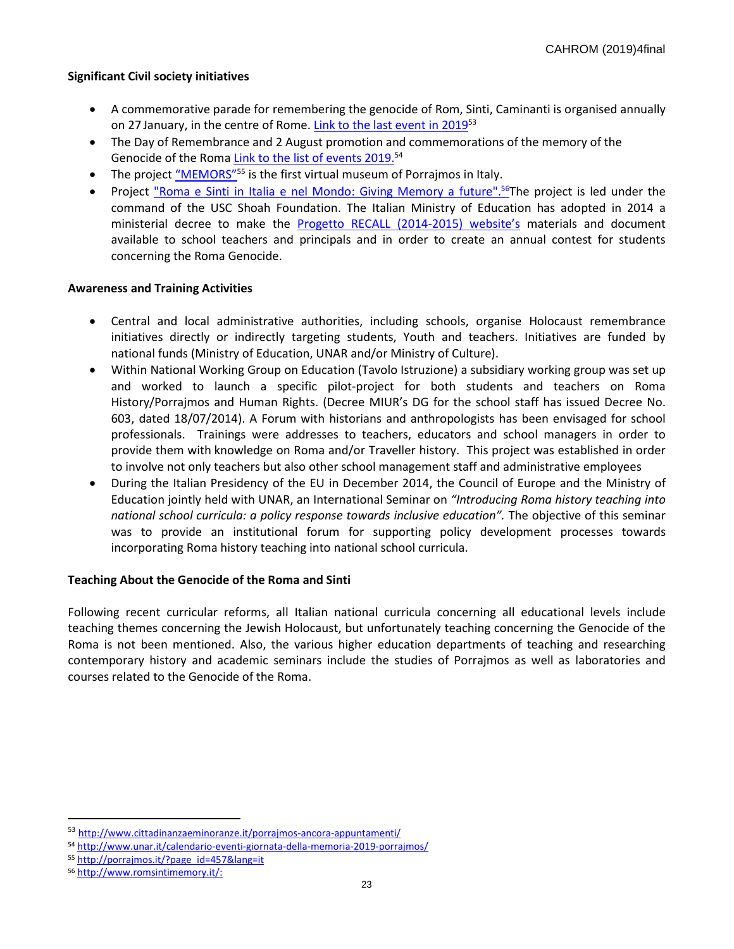## **Significant Civil society initiatives**

- A commemorative parade for remembering the genocide of Rom, Sinti, Caminanti is organised annually on 27 January, in the centre of Rome. <u>Link to the last event in 2019</u><sup>53</sup>
- The Day of Remembrance and 2 August promotion and commemorations of the memory of the Genocide of the Roma Link to the list of [events 2019.](http://www.unar.it/calendario-eventi-giornata-della-memoria-2019-porrajmos/)<sup>54</sup>
- The project "MEM[ORS"](http://porrajmos.it/?page_id=457&lang=it)<sup>55</sup> is the first virtual museum of Porrajmos in Italy.
- Project "Roma e Sinti in Italia e nel Mondo: Giving Memory a future".<sup>56</sup>The project is led under the command of the USC Shoah Foundation. The Italian Ministry of Education has adopted in 2014 a ministerial decree to make the [Progetto RECALL](https://www.mariomieli.net/il-circolo/roma-pride/) (2014-2015) website's materials and document available to school teachers and principals and in order to create an annual contest for students concerning the Roma Genocide.

#### **Awareness and Training Activities**

- Central and local administrative authorities, including schools, organise Holocaust remembrance initiatives directly or indirectly targeting students, Youth and teachers. Initiatives are funded by national funds (Ministry of Education, UNAR and/or Ministry of Culture).
- Within National Working Group on Education (Tavolo Istruzione) a subsidiary working group was set up and worked to launch a specific pilot-project for both students and teachers on Roma History/Porrajmos and Human Rights. (Decree MIUR's DG for the school staff has issued Decree No. 603, dated 18/07/2014). A Forum with historians and anthropologists has been envisaged for school professionals. Trainings were addresses to teachers, educators and school managers in order to provide them with knowledge on Roma and/or Traveller history. This project was established in order to involve not only teachers but also other school management staff and administrative employees
- During the Italian Presidency of the EU in December 2014, the Council of Europe and the Ministry of Education jointly held with UNAR, an International Seminar on *"Introducing Roma history teaching into national school curricula: a policy response towards inclusive education".* The objective of this seminar was to provide an institutional forum for supporting policy development processes towards incorporating Roma history teaching into national school curricula.

## **Teaching About the Genocide of the Roma and Sinti**

Following recent curricular reforms, all Italian national curricula concerning all educational levels include teaching themes concerning the Jewish Holocaust, but unfortunately teaching concerning the Genocide of the Roma is not been mentioned. Also, the various higher education departments of teaching and researching contemporary history and academic seminars include the studies of Porrajmos as well as laboratories and courses related to the Genocide of the Roma.

<sup>53</sup> <http://www.cittadinanzaeminoranze.it/porrajmos-ancora-appuntamenti/>

<sup>54</sup> <http://www.unar.it/calendario-eventi-giornata-della-memoria-2019-porrajmos/>

<sup>55</sup> [http://porrajmos.it/?page\\_id=457&lang=it](http://porrajmos.it/?page_id=457&lang=it)

<sup>56</sup> [http://www.romsintimemory.it/:](http://www.romsintimemory.it/)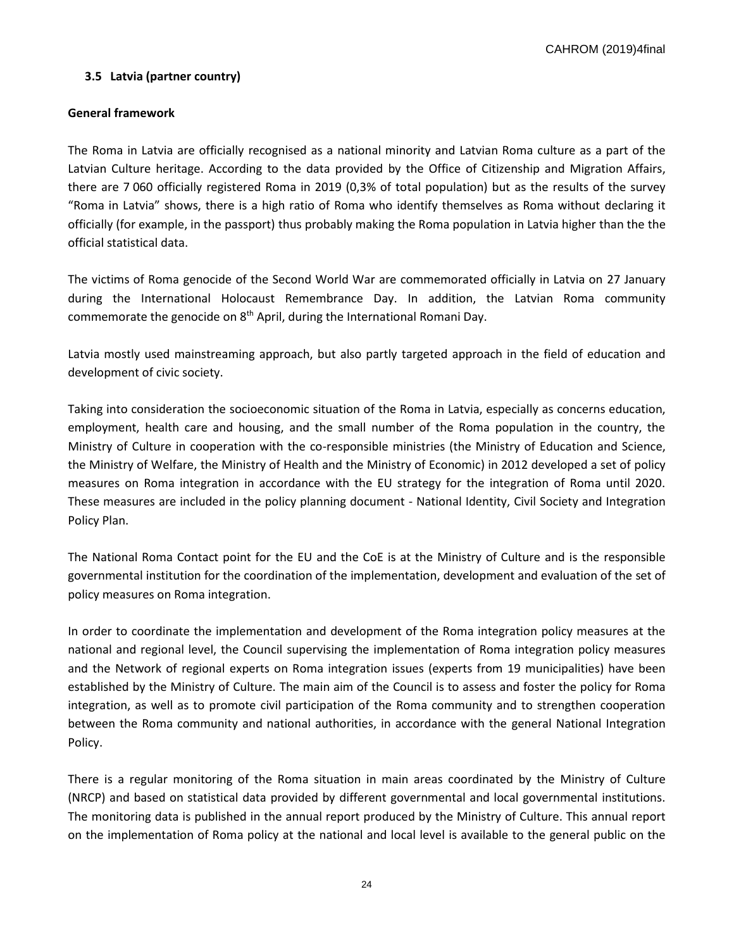CAHROM (2019)4final

## **3.5 Latvia (partner country)**

#### **General framework**

The Roma in Latvia are officially recognised as a national minority and Latvian Roma culture as a part of the Latvian Culture heritage. According to the data provided by the Office of Citizenship and Migration Affairs, there are 7 060 officially registered Roma in 2019 (0,3% of total population) but as the results of the survey "Roma in Latvia" shows, there is a high ratio of Roma who identify themselves as Roma without declaring it officially (for example, in the passport) thus probably making the Roma population in Latvia higher than the the official statistical data.

The victims of Roma genocide of the Second World War are commemorated officially in Latvia on 27 January during the International Holocaust Remembrance Day. In addition, the Latvian Roma community commemorate the genocide on 8<sup>th</sup> April, during the International Romani Day.

Latvia mostly used mainstreaming approach, but also partly targeted approach in the field of education and development of civic society.

Taking into consideration the socioeconomic situation of the Roma in Latvia, especially as concerns education, employment, health care and housing, and the small number of the Roma population in the country, the Ministry of Culture in cooperation with the co-responsible ministries (the Ministry of Education and Science, the Ministry of Welfare, the Ministry of Health and the Ministry of Economic) in 2012 developed a set of policy measures on Roma integration in accordance with the EU strategy for the integration of Roma until 2020. These measures are included in the policy planning document - National Identity, Civil Society and Integration Policy Plan.

The National Roma Contact point for the EU and the CoE is at the Ministry of Culture and is the responsible governmental institution for the coordination of the implementation, development and evaluation of the set of policy measures on Roma integration.

In order to coordinate the implementation and development of the Roma integration policy measures at the national and regional level, the Council supervising the implementation of Roma integration policy measures and the Network of regional experts on Roma integration issues (experts from 19 municipalities) have been established by the Ministry of Culture. The main aim of the Council is to assess and foster the policy for Roma integration, as well as to promote civil participation of the Roma community and to strengthen cooperation between the Roma community and national authorities, in accordance with the general National Integration Policy.

There is a regular monitoring of the Roma situation in main areas coordinated by the Ministry of Culture (NRCP) and based on statistical data provided by different governmental and local governmental institutions. The monitoring data is published in the annual report produced by the Ministry of Culture. This annual report on the implementation of Roma policy at the national and local level is available to the general public on the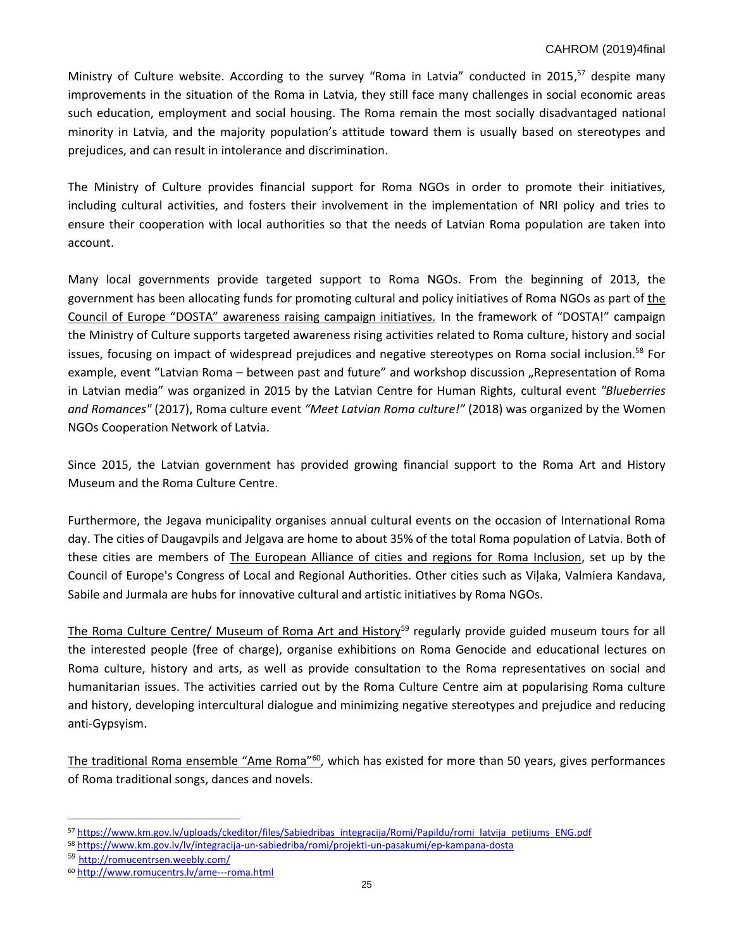## CAHROM (2019)4final

Ministry of Culture website. According to the survey "Roma in Latvia" conducted in 2015,<sup>57</sup> despite many improvements in the situation of the Roma in Latvia, they still face many challenges in social economic areas such education, employment and social housing. The Roma remain the most socially disadvantaged national minority in Latvia, and the majority population's attitude toward them is usually based on stereotypes and prejudices, and can result in intolerance and discrimination.

The Ministry of Culture provides financial support for Roma NGOs in order to promote their initiatives, including cultural activities, and fosters their involvement in the implementation of NRI policy and tries to ensure their cooperation with local authorities so that the needs of Latvian Roma population are taken into account.

Many local governments provide targeted support to Roma NGOs. From the beginning of 2013, the government has been allocating funds for promoting cultural and policy initiatives of Roma NGOs as part of [the](https://www.coe.int/en/web/roma-and-travellers/dosta-campaign)  [Council of Europe "DOS](https://www.coe.int/en/web/roma-and-travellers/dosta-campaign)TA" awareness raising campaign initiatives. In the framework of "DOSTA!" campaign the Ministry of Culture supports targeted awareness rising activities related to Roma culture, history and social issues, focusing on impact of widespread prejudices and negative stereotypes on Roma social inclusion.<sup>58</sup> For example, event "Latvian Roma – between past and future" and workshop discussion "Representation of Roma in Latvian media" was organized in 2015 by the Latvian Centre for Human Rights, cultural event *"Blueberries and Romances"* (2017), Roma culture event *"Meet Latvian Roma culture!"* (2018) was organized by the Women NGOs Cooperation Network of Latvia.

Since 2015, the Latvian government has provided growing financial support to the Roma Art and History Museum and the Roma Culture Centre.

Furthermore, the Jegava municipality organises annual cultural events on the occasion of International Roma day. The cities of Daugavpils and Jelgava are home to about 35% of the total Roma population of Latvia. Both of these cities are members of [The European Alliance of cities and regions for Roma Inclusion,](http://www.roma-alliance.org/en/page/33-about-us.html) set up by the Council of Europe's Congress of Local and Regional Authorities. Other cities such as Viļaka, Valmiera Kandava, Sabile and Jurmala are hubs for innovative cultural and artistic initiatives by Roma NGOs.

The [Roma Culture Centre/ Museum of Roma Art and History](http://romucentrsen.weebly.com/museum.html)<sup>59</sup> regularly provide guided museum tours for all the interested people (free of charge), organise exhibitions on Roma Genocide and educational lectures on Roma culture, history and arts, as well as provide consultation to the Roma representatives on social and humanitarian issues. The activities carried out by the Roma Culture Centre aim at popularising Roma culture and history, developing intercultural dialogue and minimizing negative stereotypes and prejudice and reducing anti-Gypsyism.

The traditional Roma [ensemble "Ame Roma"](http://www.romucentrs.lv/ame---roma.html)<sup>60</sup>, which has existed for more than 50 years, gives performances of Roma traditional songs, dances and novels.

l

<sup>57</sup> [https://www.km.gov.lv/uploads/ckeditor/files/Sabiedribas\\_integracija/Romi/Papildu/romi\\_latvija\\_petijums\\_ENG.pdf](https://www.km.gov.lv/uploads/ckeditor/files/Sabiedribas_integracija/Romi/Papildu/romi_latvija_petijums_ENG.pdf)

<sup>58</sup> <https://www.km.gov.lv/lv/integracija-un-sabiedriba/romi/projekti-un-pasakumi/ep-kampana-dosta>

<sup>59</sup> <http://romucentrsen.weebly.com/>

<sup>60</sup> <http://www.romucentrs.lv/ame---roma.html>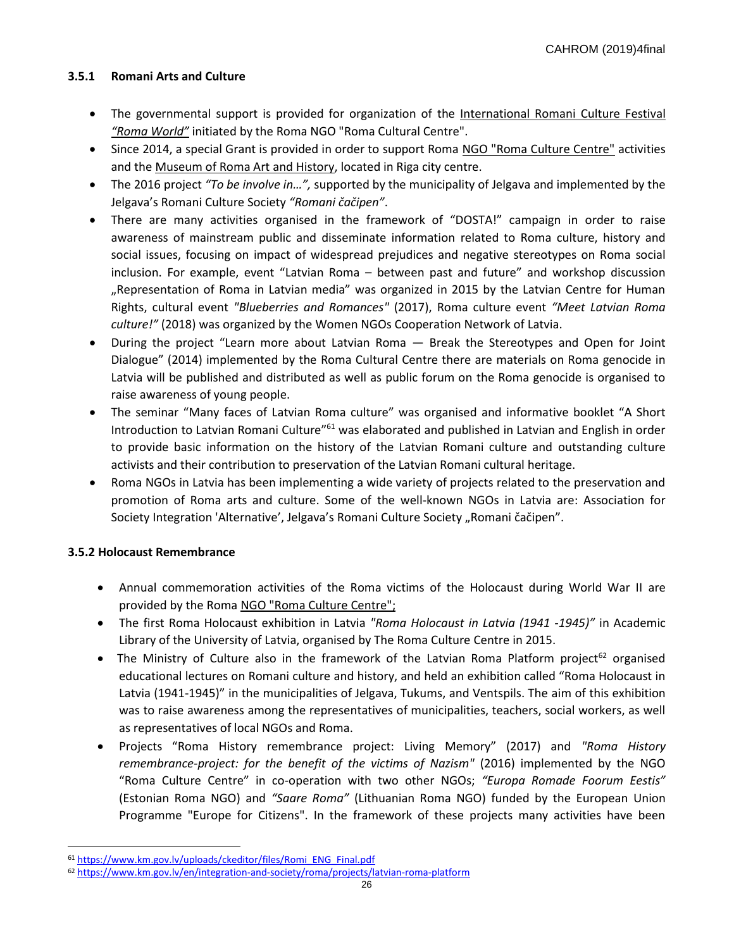# **3.5.1 Romani Arts and Culture**

- The governmental support is provided for organization of the [International Romani Culture Festival](http://www.romucentrs.lv/roma-world-festiv257ls.html)  *"Roma [World"](http://www.romucentrs.lv/roma-world-festiv257ls.html)* initiated by the Roma NGO "Roma Cultural Centre".
- Since 2014, a special Grant is provided in order to support Roma [NGO "Roma Culture Centre"](http://romucentrsen.weebly.com/) activities and the [Museum of Roma Art and History,](http://romucentrsen.weebly.com/museum.html) located in Riga city centre.
- The 2016 project *"To be involve in…",* supported by the municipality of Jelgava and implemented by the Jelgava's Romani Culture Society *"Romani čačipen"*.
- There are many activities organised in the framework of "DOSTA!" campaign in order to raise awareness of mainstream public and disseminate information related to Roma culture, history and social issues, focusing on impact of widespread prejudices and negative stereotypes on Roma social inclusion. For example, event "Latvian Roma – between past and future" and workshop discussion "Representation of Roma in Latvian media" was organized in 2015 by the Latvian Centre for Human Rights, cultural event *"Blueberries and Romances"* (2017), Roma culture event *"Meet Latvian Roma culture!"* (2018) was organized by the Women NGOs Cooperation Network of Latvia.
- During the project "Learn more about Latvian Roma Break the Stereotypes and Open for Joint Dialogue" (2014) implemented by the Roma Cultural Centre there are materials on Roma genocide in Latvia will be published and distributed as well as public forum on the Roma genocide is organised to raise awareness of young people.
- The seminar "Many faces of Latvian Roma culture" was organised and informative booklet "A Short Introduction to Latvian Romani Culture<sup>"61</sup> was elaborated and published in Latvian and English in order to provide basic information on the history of the Latvian Romani culture and outstanding culture activists and their contribution to preservation of the Latvian Romani cultural heritage.
- Roma NGOs in Latvia has been implementing a wide variety of projects related to the preservation and promotion of Roma arts and culture. Some of the well-known NGOs in Latvia are: Association for Society Integration 'Alternative', Jelgava's Romani Culture Society "Romani čačipen".

# **3.5.2 Holocaust Remembrance**

 $\overline{a}$ 

- Annual commemoration activities of the Roma victims of the Holocaust during World War II are provided by the Rom[a NGO "Roma Culture Centre";](http://romucentrsen.weebly.com/)
- The first Roma Holocaust exhibition in Latvia *"Roma Holocaust in Latvia (1941 -1945)"* in Academic Library of the University of Latvia, organised by The Roma Culture Centre in 2015.
- The Ministry of Culture also in the framework of the Latvian Roma Platform project<sup>62</sup> organised educational lectures on Romani culture and history, and held an exhibition called "Roma Holocaust in Latvia (1941-1945)" in the municipalities of Jelgava, Tukums, and Ventspils. The aim of this exhibition was to raise awareness among the representatives of municipalities, teachers, social workers, as well as representatives of local NGOs and Roma.
- Projects "Roma History remembrance project: Living Memory" (2017) and *"Roma History remembrance-project: for the benefit of the victims of Nazism"* (2016) implemented by the NGO "Roma Culture Centre" in co-operation with two other NGOs; *"Europa Romade Foorum Eestis"* (Estonian Roma NGO) and *"Saare Roma"* (Lithuanian Roma NGO) funded by the European Union Programme "Europe for Citizens". In the framework of these projects many activities have been

<sup>61</sup> [https://www.km.gov.lv/uploads/ckeditor/files/Romi\\_ENG\\_Final.pdf](https://www.km.gov.lv/uploads/ckeditor/files/Romi_ENG_Final.pdf)

<sup>62</sup> <https://www.km.gov.lv/en/integration-and-society/roma/projects/latvian-roma-platform>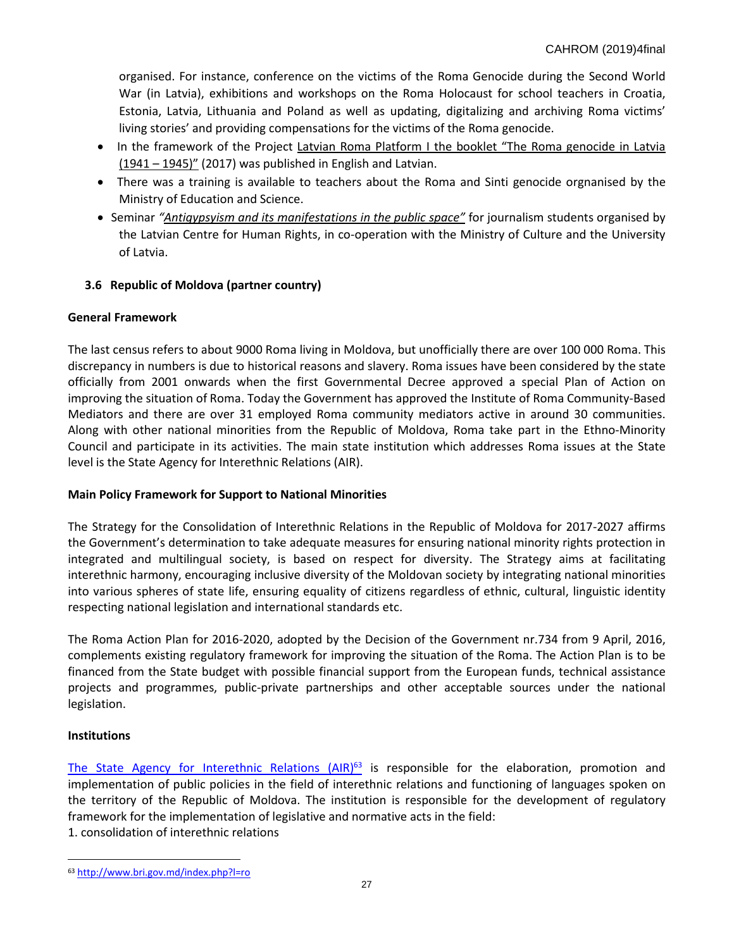organised. For instance, conference on the victims of the Roma Genocide during the Second World War (in Latvia), exhibitions and workshops on the Roma Holocaust for school teachers in Croatia, Estonia, Latvia, Lithuania and Poland as well as updating, digitalizing and archiving Roma victims' living stories' and providing compensations for the victims of the Roma genocide.

- •In the framework of the Project [Latvian Roma Platform I](https://www.km.gov.lv/uploads/ckeditor/files/Sabiedribas_integracija/Romi/ENG/SummaryReport_RomaPlatformI_ENG_2017.pdf) [the booklet "The Roma genocide in Latvia](https://www.km.gov.lv/uploads/ckeditor/files/Sabiedribas_integracija/Romi/ENG/Buklets_ENG_Print_13%20Marts.pdf)   $(1941 - 1945)$ " (2017) was published in English and Latvian.
- There was a training is available to teachers about the Roma and Sinti genocide orgnanised by the Ministry of Education and Science.
- Seminar *["Antigypsyism and its manifestations in the public space"](https://www.km.gov.lv/lv/integracija-un-sabiedriba/romi/projekti-un-pasakumi/ep-kampana-dosta)* for journalism students organised by the Latvian Centre for Human Rights, in co-operation with the Ministry of Culture and the University of Latvia.

# **3.6 Republic of Moldova (partner country)**

## **General Framework**

The last census refers to about 9000 Roma living in Moldova, but unofficially there are over 100 000 Roma. This discrepancy in numbers is due to historical reasons and slavery. Roma issues have been considered by the state officially from 2001 onwards when the first Governmental Decree approved a special Plan of Action on improving the situation of Roma. Today the Government has approved the Institute of Roma Community-Based Mediators and there are over 31 employed Roma community mediators active in around 30 communities. Along with other national minorities from the Republic of Moldova, Roma take part in the Ethno-Minority Council and participate in its activities. The main state institution which addresses Roma issues at the State level is the State Agency for Interethnic Relations (AIR).

## **Main Policy Framework for Support to National Minorities**

The Strategy for the Consolidation of Interethnic Relations in the Republic of Moldova for 2017-2027 affirms the Government's determination to take adequate measures for ensuring national minority rights protection in integrated and multilingual society, is based on respect for diversity. The Strategy aims at facilitating interethnic harmony, encouraging inclusive diversity of the Moldovan society by integrating national minorities into various spheres of state life, ensuring equality of citizens regardless of ethnic, cultural, linguistic identity respecting national legislation and international standards etc.

The Roma Action Plan for 2016-2020, adopted by the Decision of the Government nr.734 from 9 April, 2016, complements existing regulatory framework for improving the situation of the Roma. The Action Plan is to be financed from the State budget with possible financial support from the European funds, technical assistance projects and programmes, public-private partnerships and other acceptable sources under the national legislation.

## **Institutions**

l

[The State Agency for Interethnic Relations](http://www.bri.gov.md/index.php?l=ro)  $(AIR)^{63}$  is responsible for the elaboration, promotion and implementation of public policies in the field of interethnic relations and functioning of languages spoken on the territory of the Republic of Moldova. The institution is responsible for the development of regulatory framework for the implementation of legislative and normative acts in the field:

1. consolidation of interethnic relations

<sup>63</sup> <http://www.bri.gov.md/index.php?l=ro>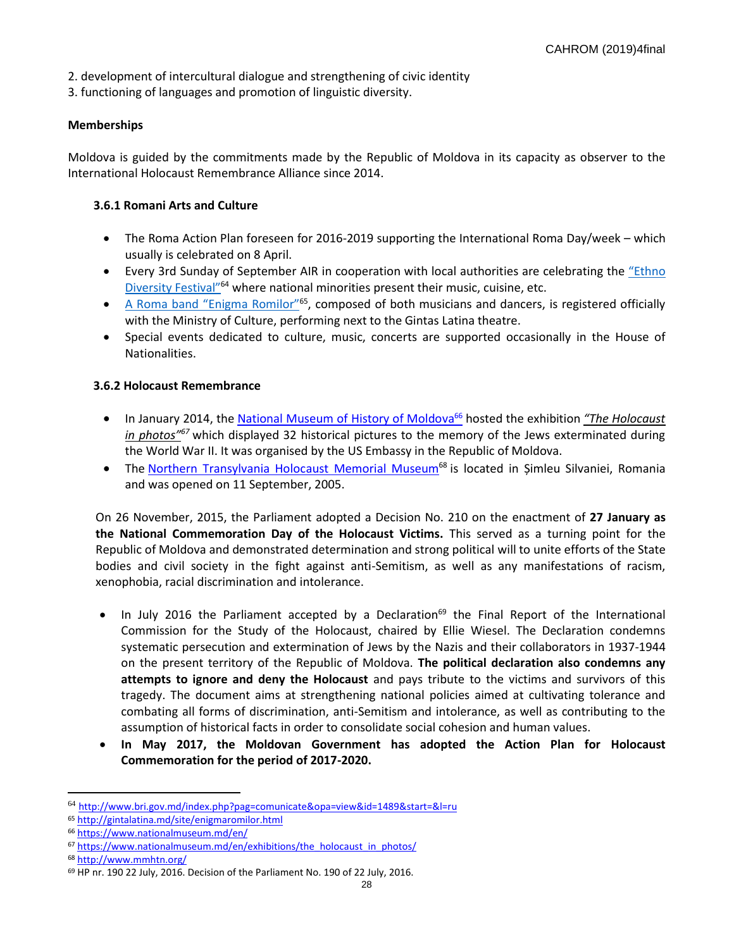- 2. development of intercultural dialogue and strengthening of civic identity
- 3. functioning of languages and promotion of linguistic diversity.

## **Memberships**

Moldova is guided by the commitments made by the Republic of Moldova in its capacity as observer to the International Holocaust Remembrance Alliance since 2014.

## **3.6.1 Romani Arts and Culture**

- The Roma Action Plan foreseen for 2016-2019 supporting the International Roma Day/week which usually is celebrated on 8 April.
- Every 3rd Sunday of September AIR in cooperation with local authorities are celebrating the "Ethno Diversit[y Festival"](http://www.bri.gov.md/index.php?pag=comunicate&opa=view&id=1489&start=&l=ru)<sup>64</sup> where national minorities present their music, cuisine, etc.
- A Roma [band "Enigma Romilor"](http://gintalatina.md/site/enigmaromilor.html)<sup>65</sup>, composed of both musicians and dancers, is registered officially with the Ministry of Culture, performing next to the Gintas Latina theatre.
- Special events dedicated to culture, music, concerts are supported occasionally in the House of Nationalities.

# **3.6.2 Holocaust Remembrance**

- In January 2014, the [National Museum of History of Moldova](http://www.nationalmuseum.md/en/)<sup>66</sup> hosted the exhibition *"[The Holocaust](http://www.nationalmuseum.md/en/exhibitions/the_holocaust_in_photos/)  [in pho](http://www.nationalmuseum.md/en/exhibitions/the_holocaust_in_photos/)tos"<sup>67</sup>* which displayed 32 historical pictures to the memory of the Jews exterminated during the World War II. It was organised by the US Embassy in the Republic of Moldova.
- The [Northern Transylvania Holocaust Memorial Museum](http://www.mmhtn.org/)<sup>68</sup> is located in Șimleu Silvaniei, Romania and was opened on 11 September, 2005.

On 26 November, 2015, the Parliament adopted a Decision No. 210 on the enactment of **27 January as the National Commemoration Day of the Holocaust Victims.** This served as a turning point for the Republic of Moldova and demonstrated determination and strong political will to unite efforts of the State bodies and civil society in the fight against anti-Semitism, as well as any manifestations of racism, xenophobia, racial discrimination and intolerance.

- In July 2016 the Parliament accepted by a Declaration<sup>69</sup> the Final Report of the International Commission for the Study of the Holocaust, chaired by Ellie Wiesel. The Declaration condemns systematic persecution and extermination of Jews by the Nazis and their collaborators in 1937-1944 on the present territory of the Republic of Moldova. **The political declaration also condemns any attempts to ignore and deny the Holocaust** and pays tribute to the victims and survivors of this tragedy. The document aims at strengthening national policies aimed at cultivating tolerance and combating all forms of discrimination, anti-Semitism and intolerance, as well as contributing to the assumption of historical facts in order to consolidate social cohesion and human values.
- **In May 2017, the Moldovan Government has adopted the Action Plan for Holocaust Commemoration for the period of 2017-2020.**

<sup>64</sup> <http://www.bri.gov.md/index.php?pag=comunicate&opa=view&id=1489&start=&l=ru>

<sup>65</sup> <http://gintalatina.md/site/enigmaromilor.html>

<sup>66</sup> <https://www.nationalmuseum.md/en/>

<sup>67</sup> [https://www.nationalmuseum.md/en/exhibitions/the\\_holocaust\\_in\\_photos/](https://www.nationalmuseum.md/en/exhibitions/the_holocaust_in_photos/)

<sup>68</sup> <http://www.mmhtn.org/>

<sup>69</sup> HP nr. 190 22 July, 2016. Decision of the Parliament No. 190 of 22 July, 2016.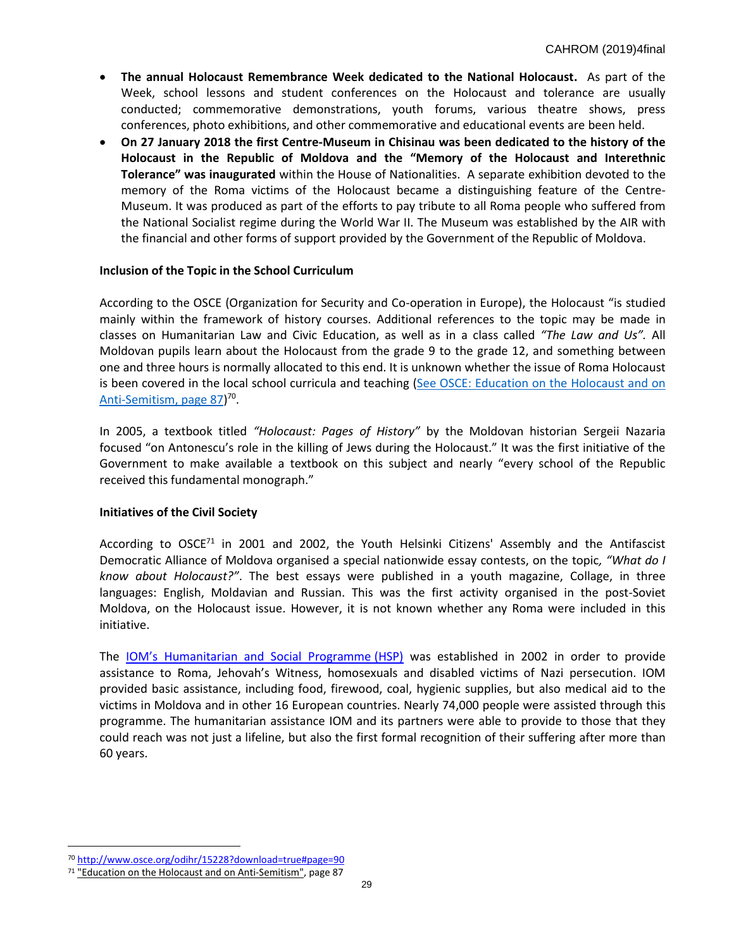- **The annual Holocaust Remembrance Week dedicated to the National Holocaust.** As part of the Week, school lessons and student conferences on the Holocaust and tolerance are usually conducted; commemorative demonstrations, youth forums, various theatre shows, press conferences, photo exhibitions, and other commemorative and educational events are been held.
- **On 27 January 2018 the first Centre-Museum in Chisinau was been dedicated to the history of the Holocaust in the Republic of Moldova and the "Memory of the Holocaust and Interethnic Tolerance" was inaugurated** within the House of Nationalities. A separate exhibition devoted to the memory of the Roma victims of the Holocaust became a distinguishing feature of the Centre-Museum. It was produced as part of the efforts to pay tribute to all Roma people who suffered from the National Socialist regime during the World War II. The Museum was established by the AIR with the financial and other forms of support provided by the Government of the Republic of Moldova.

#### **Inclusion of the Topic in the School Curriculum**

According to the OSCE (Organization for Security and Co-operation in Europe), the Holocaust "is studied mainly within the framework of history courses. Additional references to the topic may be made in classes on Humanitarian Law and Civic Education, as well as in a class called *"The Law and Us".* All Moldovan pupils learn about the Holocaust from the grade 9 to the grade 12, and something between one and three hours is normally allocated to this end. It is unknown whether the issue of Roma Holocaust is been covered in the local school curricula and teaching [\(See OSCE: Education on the Holocaust and on](http://www.osce.org/odihr/15228?download=true#page=90)  [Anti-Semitism, page 87\)](http://www.osce.org/odihr/15228?download=true#page=90)<sup>70</sup>.

In 2005, a textbook titled *"Holocaust: Pages of History"* by the Moldovan historian Sergeii Nazaria focused "on Antonescu's role in the killing of Jews during the Holocaust." It was the first initiative of the Government to make available a textbook on this subject and nearly "every school of the Republic received this fundamental monograph."

#### **Initiatives of the Civil Society**

According to  $OSCE^{71}$  in 2001 and 2002, the Youth Helsinki Citizens' Assembly and the Antifascist Democratic Alliance of Moldova organised a special nationwide essay contests, on the topic*, "What do I know about Holocaust?"*. The best essays were published in a youth magazine, Collage, in three languages: English, Moldavian and Russian. This was the first activity organised in the post-Soviet Moldova, on the Holocaust issue. However, it is not known whether any Roma were included in this initiative.

The IOM'[s Humanitarian and Social Programme](https://www.iom.int/files/live/sites/iom/files/What-We-Do/docs/Roma-Holocaust-Survivors-Humanitarian-and-Social-Programmes-RHS-HSP.pdf) (HSP) was established in 2002 in order to provide assistance to Roma, Jehovah's Witness, homosexuals and disabled victims of Nazi persecution. IOM provided basic assistance, including food, firewood, coal, hygienic supplies, but also medical aid to the victims in Moldova and in other 16 European countries. Nearly 74,000 people were assisted through this programme. The humanitarian assistance IOM and its partners were able to provide to those that they could reach was not just a lifeline, but also the first formal recognition of their suffering after more than 60 years.

 $\overline{a}$ 

<sup>70</sup> <http://www.osce.org/odihr/15228?download=true#page=90>

 $71$  ["Education on the](http://www.osce.org/odihr/15228?download=true#page=90) Holocaust and on Anti-Semitism", page 87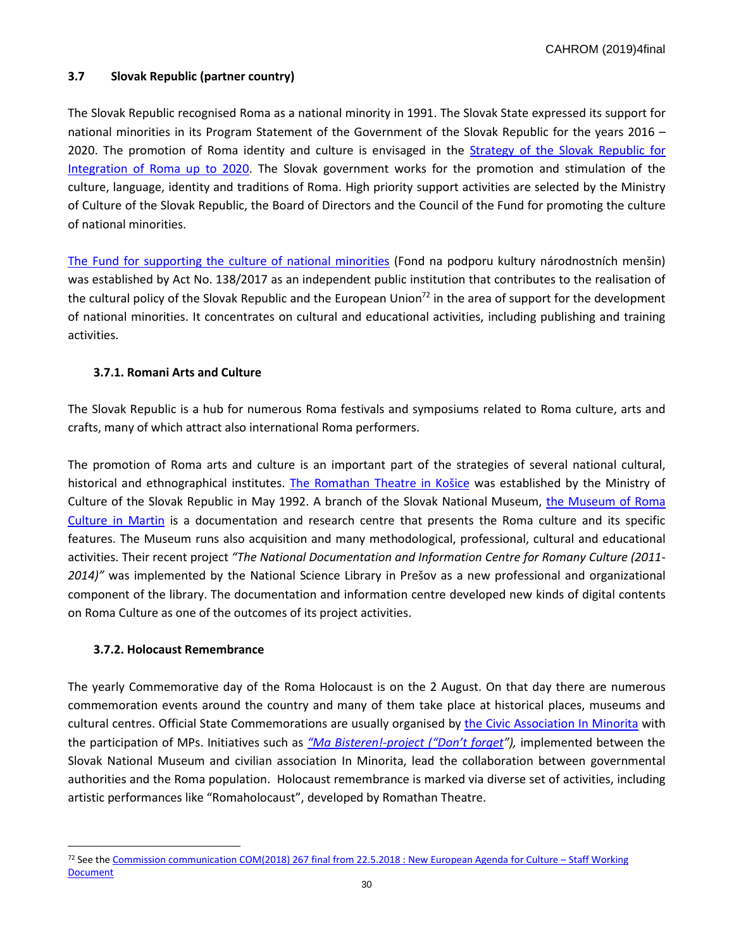# **3.7 Slovak Republic (partner country)**

The Slovak Republic recognised Roma as a national minority in 1991. The Slovak State expressed its support for national minorities in its Program Statement of the Government of the Slovak Republic for the years 2016 – 2020. The promotion of Roma identity and culture is envisaged in the [Strategy of the Slovak Republic](https://www.employment.gov.sk/files/legislativa/dokumenty-zoznamy-pod/strategyoftheslovakrepublicforintegrationof-romaupto2020.pdf) for [Integration of Roma up to 2020.](https://www.employment.gov.sk/files/legislativa/dokumenty-zoznamy-pod/strategyoftheslovakrepublicforintegrationof-romaupto2020.pdf) The Slovak government works for the promotion and stimulation of the culture, language, identity and traditions of Roma. High priority support activities are selected by the Ministry of Culture of the Slovak Republic, the Board of Directors and the Council of the Fund for promoting the culture of national minorities.

The Fund for supporting [the culture of national minorities](https://www.kultminor.sk/sk/) (Fond na podporu kultury národnostních menšin) was established by Act No. 138/2017 as an independent public institution that contributes to the realisation of the cultural policy of the Slovak Republic and the European Union<sup>72</sup> in the area of support for the development of national minorities. It concentrates on cultural and educational activities, including publishing and training activities.

## **3.7.1. Romani Arts and Culture**

The Slovak Republic is a hub for numerous Roma festivals and symposiums related to Roma culture, arts and crafts, many of which attract also international Roma performers.

The promotion of Roma arts and culture is an important part of the strategies of several national cultural, historical and ethnographical institutes. [The Romathan Theatre in Košice](https://www.romarchive.eu/en/theatre-and-drama/institutional-theatre/theatre-romathan-history-theatre/) was established by the Ministry of Culture of the Slovak Republic in May 1992. A branch of the Slovak National Museum, the [Museum of Roma](https://www.snm.sk/?about-the-museum-17)  [Culture in Martin](https://www.snm.sk/?about-the-museum-17) is a documentation and research centre that presents the Roma culture and its specific features. The Museum runs also acquisition and many methodological, professional, cultural and educational activities. Their recent project *"The National Documentation and Information Centre for Romany Culture (2011- 2014)"* was implemented by the National Science Library in Prešov as a new professional and organizational component of the library. The documentation and information centre developed new kinds of digital contents on Roma Culture as one of the outcomes of its project activities.

## **3.7.2. Holocaust Remembrance**

 $\overline{a}$ 

The yearly Commemorative day of the Roma Holocaust is on the 2 August. On that day there are numerous commemoration events around the country and many of them take place at historical places, museums and cultural centres. Official State Commemorations are usually organised by [the Civic Association In](http://www.romaholocaust.sk/en/dont-forget/161-in-minorita-civic-association) Minorita with the participation of MPs. Initiatives such as *"Ma [Bisteren!-project \(](http://www.romaholocaust.sk/en/dont-forget/109-do-not-forget)"Don't forget"),* implemented between the Slovak National Museum and civilian association In Minorita, lead the collaboration between governmental authorities and the Roma population. Holocaust remembrance is marked via diverse set of activities, including artistic performances like "Romaholocaust", developed by Romathan Theatre.

<sup>72</sup> See the [Commission communication COM\(2018\) 267 final from 22.5.2018 : New European Agenda for](https://ec.europa.eu/culture/policy/strategic-framework_en) Culture – Staff Working [Document](https://ec.europa.eu/culture/policy/strategic-framework_en)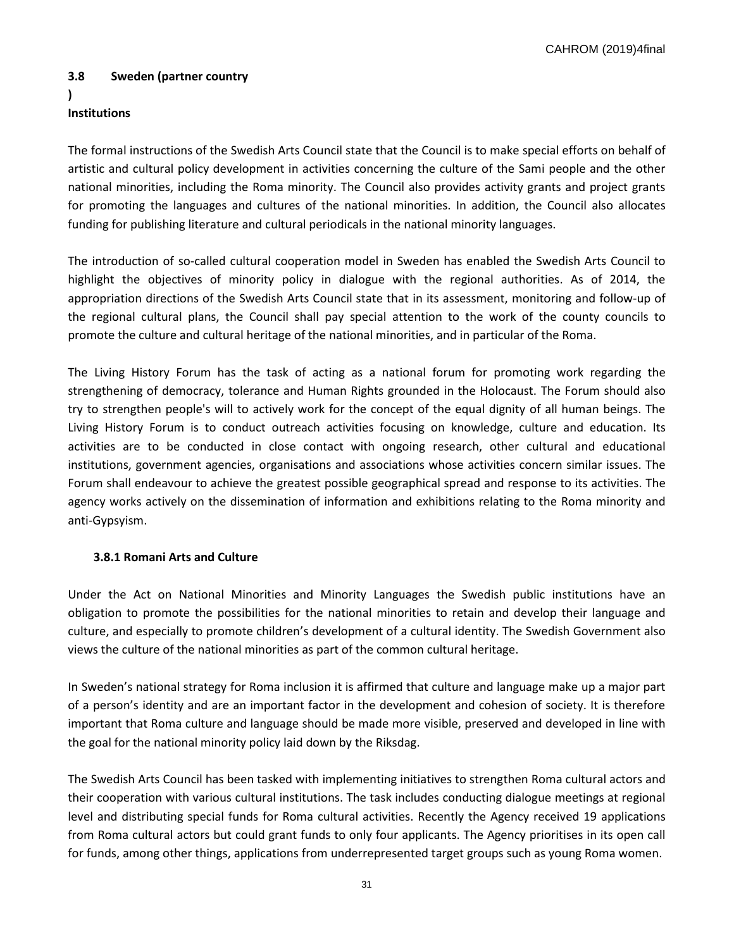CAHROM (2019)4final

# **3.8 Sweden (partner country**

# **)**

# **Institutions**

The formal instructions of the Swedish Arts Council state that the Council is to make special efforts on behalf of artistic and cultural policy development in activities concerning the culture of the Sami people and the other national minorities, including the Roma minority. The Council also provides activity grants and project grants for promoting the languages and cultures of the national minorities. In addition, the Council also allocates funding for publishing literature and cultural periodicals in the national minority languages.

The introduction of so-called cultural cooperation model in Sweden has enabled the Swedish Arts Council to highlight the objectives of minority policy in dialogue with the regional authorities. As of 2014, the appropriation directions of the Swedish Arts Council state that in its assessment, monitoring and follow-up of the regional cultural plans, the Council shall pay special attention to the work of the county councils to promote the culture and cultural heritage of the national minorities, and in particular of the Roma.

The Living History Forum has the task of acting as a national forum for promoting work regarding the strengthening of democracy, tolerance and Human Rights grounded in the Holocaust. The Forum should also try to strengthen people's will to actively work for the concept of the equal dignity of all human beings. The Living History Forum is to conduct outreach activities focusing on knowledge, culture and education. Its activities are to be conducted in close contact with ongoing research, other cultural and educational institutions, government agencies, organisations and associations whose activities concern similar issues. The Forum shall endeavour to achieve the greatest possible geographical spread and response to its activities. The agency works actively on the dissemination of information and exhibitions relating to the Roma minority and anti-Gypsyism.

# **3.8.1 Romani Arts and Culture**

Under the Act on National Minorities and Minority Languages the Swedish public institutions have an obligation to promote the possibilities for the national minorities to retain and develop their language and culture, and especially to promote children's development of a cultural identity. The Swedish Government also views the culture of the national minorities as part of the common cultural heritage.

In Sweden's national strategy for Roma inclusion it is affirmed that culture and language make up a major part of a person's identity and are an important factor in the development and cohesion of society. It is therefore important that Roma culture and language should be made more visible, preserved and developed in line with the goal for the national minority policy laid down by the Riksdag.

The Swedish Arts Council has been tasked with implementing initiatives to strengthen Roma cultural actors and their cooperation with various cultural institutions. The task includes conducting dialogue meetings at regional level and distributing special funds for Roma cultural activities. Recently the Agency received 19 applications from Roma cultural actors but could grant funds to only four applicants. The Agency prioritises in its open call for funds, among other things, applications from underrepresented target groups such as young Roma women.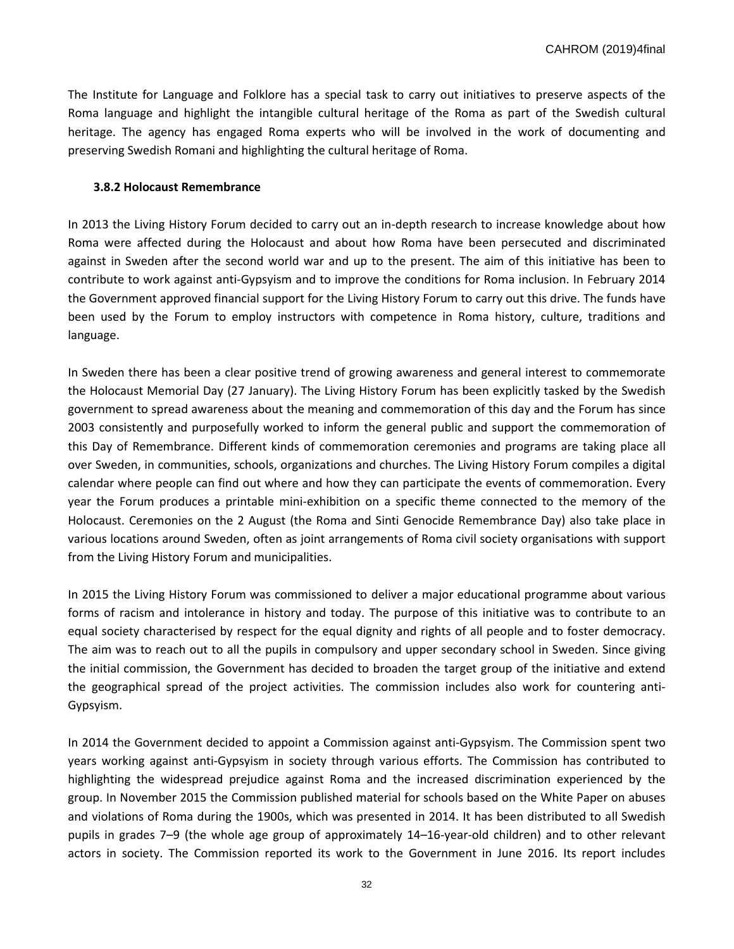The Institute for Language and Folklore has a special task to carry out initiatives to preserve aspects of the Roma language and highlight the intangible cultural heritage of the Roma as part of the Swedish cultural heritage. The agency has engaged Roma experts who will be involved in the work of documenting and preserving Swedish Romani and highlighting the cultural heritage of Roma.

## **3.8.2 Holocaust Remembrance**

In 2013 the Living History Forum decided to carry out an in-depth research to increase knowledge about how Roma were affected during the Holocaust and about how Roma have been persecuted and discriminated against in Sweden after the second world war and up to the present. The aim of this initiative has been to contribute to work against anti-Gypsyism and to improve the conditions for Roma inclusion. In February 2014 the Government approved financial support for the Living History Forum to carry out this drive. The funds have been used by the Forum to employ instructors with competence in Roma history, culture, traditions and language.

In Sweden there has been a clear positive trend of growing awareness and general interest to commemorate the Holocaust Memorial Day (27 January). The Living History Forum has been explicitly tasked by the Swedish government to spread awareness about the meaning and commemoration of this day and the Forum has since 2003 consistently and purposefully worked to inform the general public and support the commemoration of this Day of Remembrance. Different kinds of commemoration ceremonies and programs are taking place all over Sweden, in communities, schools, organizations and churches. The Living History Forum compiles a digital calendar where people can find out where and how they can participate the events of commemoration. Every year the Forum produces a printable mini-exhibition on a specific theme connected to the memory of the Holocaust. Ceremonies on the 2 August (the Roma and Sinti Genocide Remembrance Day) also take place in various locations around Sweden, often as joint arrangements of Roma civil society organisations with support from the Living History Forum and municipalities.

In 2015 the Living History Forum was commissioned to deliver a major educational programme about various forms of racism and intolerance in history and today. The purpose of this initiative was to contribute to an equal society characterised by respect for the equal dignity and rights of all people and to foster democracy. The aim was to reach out to all the pupils in compulsory and upper secondary school in Sweden. Since giving the initial commission, the Government has decided to broaden the target group of the initiative and extend the geographical spread of the project activities. The commission includes also work for countering anti-Gypsyism.

In 2014 the Government decided to appoint a Commission against anti-Gypsyism. The Commission spent two years working against anti-Gypsyism in society through various efforts. The Commission has contributed to highlighting the widespread prejudice against Roma and the increased discrimination experienced by the group. In November 2015 the Commission published material for schools based on the White Paper on abuses and violations of Roma during the 1900s, which was presented in 2014. It has been distributed to all Swedish pupils in grades 7–9 (the whole age group of approximately 14–16-year-old children) and to other relevant actors in society. The Commission reported its work to the Government in June 2016. Its report includes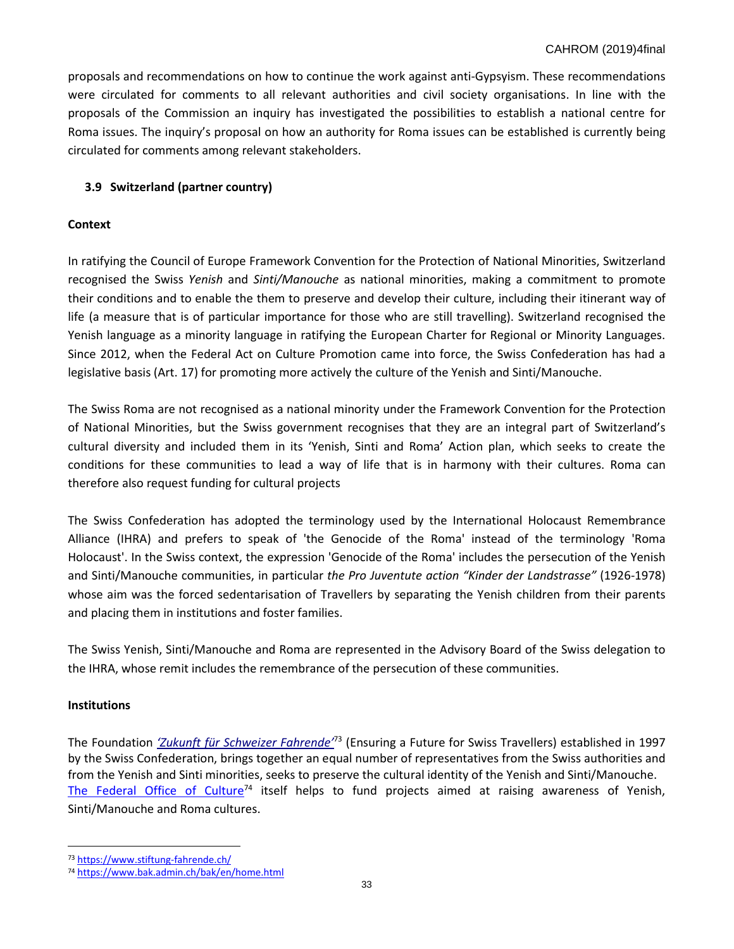proposals and recommendations on how to continue the work against anti-Gypsyism. These recommendations were circulated for comments to all relevant authorities and civil society organisations. In line with the proposals of the Commission an inquiry has investigated the possibilities to establish a national centre for Roma issues. The inquiry's proposal on how an authority for Roma issues can be established is currently being circulated for comments among relevant stakeholders.

# **3.9 Switzerland (partner country)**

## **Context**

In ratifying the Council of Europe Framework Convention for the Protection of National Minorities, Switzerland recognised the Swiss *Yenish* and *Sinti/Manouche* as national minorities, making a commitment to promote their conditions and to enable the them to preserve and develop their culture, including their itinerant way of life (a measure that is of particular importance for those who are still travelling). Switzerland recognised the Yenish language as a minority language in ratifying the European Charter for Regional or Minority Languages. Since 2012, when the Federal Act on Culture Promotion came into force, the Swiss Confederation has had a legislative basis (Art. 17) for promoting more actively the culture of the Yenish and Sinti/Manouche.

The Swiss Roma are not recognised as a national minority under the Framework Convention for the Protection of National Minorities, but the Swiss government recognises that they are an integral part of Switzerland's cultural diversity and included them in its 'Yenish, Sinti and Roma' Action plan, which seeks to create the conditions for these communities to lead a way of life that is in harmony with their cultures. Roma can therefore also request funding for cultural projects

The Swiss Confederation has adopted the terminology used by the International Holocaust Remembrance Alliance (IHRA) and prefers to speak of 'the Genocide of the Roma' instead of the terminology 'Roma Holocaust'. In the Swiss context, the expression 'Genocide of the Roma' includes the persecution of the Yenish and Sinti/Manouche communities, in particular *the Pro Juventute action "Kinder der Landstrasse"* (1926-1978) whose aim was the forced sedentarisation of Travellers by separating the Yenish children from their parents and placing them in institutions and foster families.

The Swiss Yenish, Sinti/Manouche and Roma are represented in the Advisory Board of the Swiss delegation to the IHRA, whose remit includes the remembrance of the persecution of these communities.

## **Institutions**

 $\overline{a}$ 

The Foundation *['Zukunft für Schweize](https://www.stiftung-fahrende.ch/)r Fahrende'* <sup>73</sup> (Ensuring a Future for Swiss Travellers) established in 1997 by the Swiss Confederation, brings together an equal number of representatives from the Swiss authorities and from the Yenish and Sinti minorities, seeks to preserve the cultural identity of the Yenish and Sinti/Manouche. [The Federal Office of Culture](https://www.bak.admin.ch/bak/en/home.html)<sup>74</sup> itself helps to fund projects aimed at raising awareness of Yenish, Sinti/Manouche and Roma cultures.

<sup>73</sup> <https://www.stiftung-fahrende.ch/>

<sup>74</sup> <https://www.bak.admin.ch/bak/en/home.html>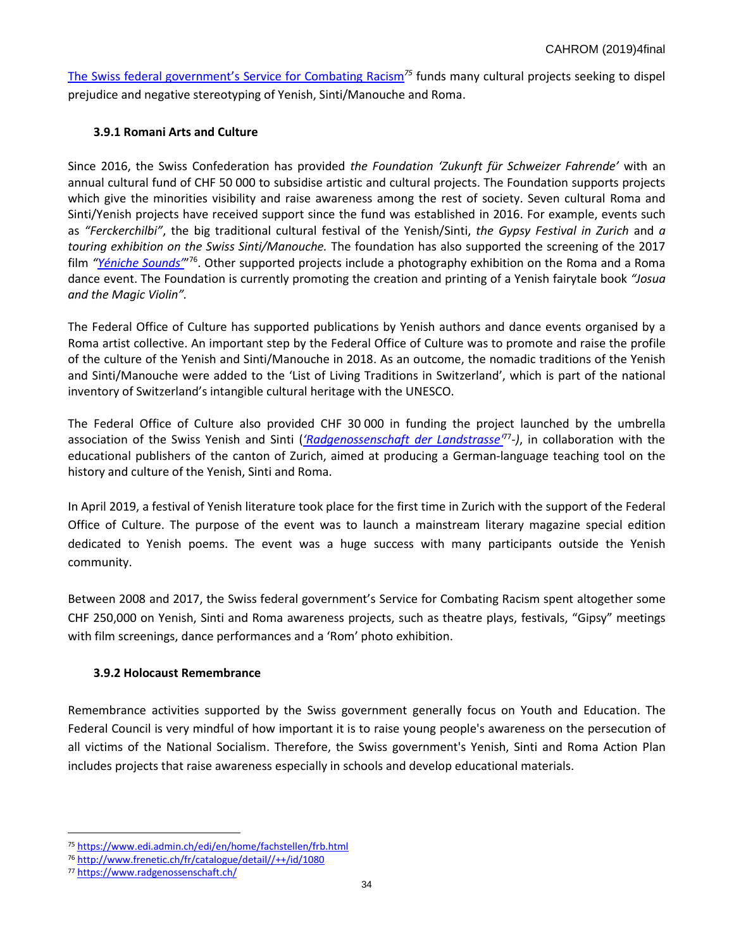[The Swiss federal government](https://www.edi.admin.ch/edi/en/home/fachstellen/frb.html)'s Service for Combating Racism*<sup>75</sup>* funds many cultural projects seeking to dispel prejudice and negative stereotyping of Yenish, Sinti/Manouche and Roma.

# **3.9.1 Romani Arts and Culture**

Since 2016, the Swiss Confederation has provided *the Foundation 'Zukunft für Schweizer Fahrende'* with an annual cultural fund of CHF 50 000 to subsidise artistic and cultural projects. The Foundation supports projects which give the minorities visibility and raise awareness among the rest of society. Seven cultural Roma and Sinti/Yenish projects have received support since the fund was established in 2016. For example, events such as *"Ferckerchilbi"*, the big traditional cultural festival of the Yenish/Sinti, *the Gypsy Festival in Zurich* and *a touring exhibition on the Swiss Sinti/Manouche.* The foundation has also supported the screening of the 2017 film "*Yéniche Sounds*"<sup>76</sup>. Other supported projects include a photography exhibition on the Roma and a Roma dance event. The Foundation is currently promoting the creation and printing of a Yenish fairytale book *"Josua and the Magic Violin".* 

The Federal Office of Culture has supported publications by Yenish authors and dance events organised by a Roma artist collective. An important step by the Federal Office of Culture was to promote and raise the profile of the culture of the Yenish and Sinti/Manouche in 2018. As an outcome, the nomadic traditions of the Yenish and Sinti/Manouche were added to the 'List of Living Traditions in Switzerland', which is part of the national inventory of Switzerland's intangible cultural heritage with the UNESCO.

The Federal Office of Culture also provided CHF 30 000 in funding the project launched by the umbrella association of the Swiss Yenish and Sinti (*'[Radgenossenschaft der Landstrasse'](https://www.radgenossenschaft.ch/)*<sup>77</sup> *-)*, in collaboration with the educational publishers of the canton of Zurich, aimed at producing a German-language teaching tool on the history and culture of the Yenish, Sinti and Roma.

In April 2019, a festival of Yenish literature took place for the first time in Zurich with the support of the Federal Office of Culture. The purpose of the event was to launch a mainstream literary magazine special edition dedicated to Yenish poems. The event was a huge success with many participants outside the Yenish community.

Between 2008 and 2017, the Swiss federal government's Service for Combating Racism spent altogether some CHF 250,000 on Yenish, Sinti and Roma awareness projects, such as theatre plays, festivals, "Gipsy" meetings with film screenings, dance performances and a 'Rom' photo exhibition.

# **3.9.2 Holocaust Remembrance**

Remembrance activities supported by the Swiss government generally focus on Youth and Education. The Federal Council is very mindful of how important it is to raise young people's awareness on the persecution of all victims of the National Socialism. Therefore, the Swiss government's Yenish, Sinti and Roma Action Plan includes projects that raise awareness especially in schools and develop educational materials.

<sup>75</sup> <https://www.edi.admin.ch/edi/en/home/fachstellen/frb.html>

<sup>76</sup> [http://www.frenetic.ch/fr/catalogue/detail//++/id/1080](http://www.frenetic.ch/fr/catalogue/detail/++/id/1080)

<sup>77</sup> <https://www.radgenossenschaft.ch/>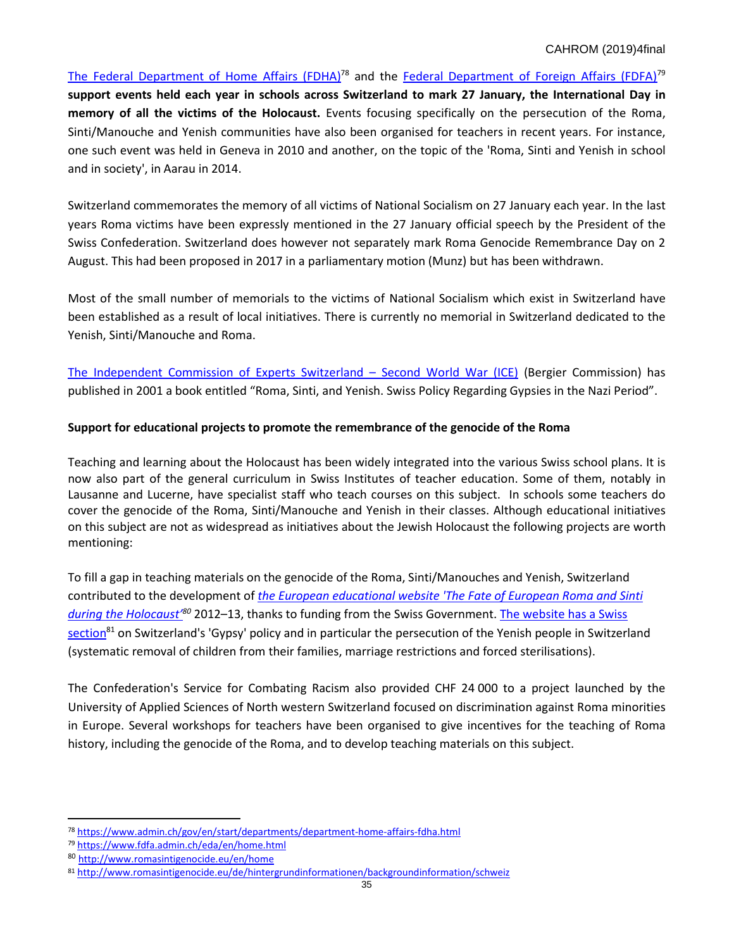[The Federal Department of Home Affairs \(FDHA\)](https://www.admin.ch/gov/en/start/departments/department-home-affairs-fdha.html)<sup>78</sup> and the [Federal Department of Foreign Affairs \(FDFA\)](https://www.fdfa.admin.ch/eda/en/home.html)<sup>79</sup> **support events held each year in schools across Switzerland to mark 27 January, the International Day in memory of all the victims of the Holocaust.** Events focusing specifically on the persecution of the Roma, Sinti/Manouche and Yenish communities have also been organised for teachers in recent years. For instance, one such event was held in Geneva in 2010 and another, on the topic of the 'Roma, Sinti and Yenish in school and in society', in Aarau in 2014.

Switzerland commemorates the memory of all victims of National Socialism on 27 January each year. In the last years Roma victims have been expressly mentioned in the 27 January official speech by the President of the Swiss Confederation. Switzerland does however not separately mark Roma Genocide Remembrance Day on 2 August. This had been proposed in 2017 in a parliamentary motion (Munz) but has been withdrawn.

Most of the small number of memorials to the victims of National Socialism which exist in Switzerland have been established as a result of local initiatives. There is currently no memorial in Switzerland dedicated to the Yenish, Sinti/Manouche and Roma.

[The Independent Commission of Experts Switzerland](https://www.uek.ch/en/) – Second World War (ICE) (Bergier Commission) has published in 2001 a book entitled "Roma, Sinti, and Yenish. Swiss Policy Regarding Gypsies in the Nazi Period".

# **Support for educational projects to promote the remembrance of the genocide of the Roma**

Teaching and learning about the Holocaust has been widely integrated into the various Swiss school plans. It is now also part of the general curriculum in Swiss Institutes of teacher education. Some of them, notably in Lausanne and Lucerne, have specialist staff who teach courses on this subject. In schools some teachers do cover the genocide of the Roma, Sinti/Manouche and Yenish in their classes. Although educational initiatives on this subject are not as widespread as initiatives about the Jewish Holocaust the following projects are worth mentioning:

To fill a gap in teaching materials on the genocide of the Roma, Sinti/Manouches and Yenish, Switzerland contributed to the development of *[the European educational website 'The](http://www.romasintigenocide.eu/en/home) Fate of European Roma and Sinti [during the Holocaust](http://www.romasintigenocide.eu/en/home)' <sup>80</sup>* 2012–13, thanks to funding from the Swiss Government. [The website has a Swiss](http://www.romasintigenocide.eu/de/hintergrundinformationen/backgroundinformation/schweiz)  [section](http://www.romasintigenocide.eu/de/hintergrundinformationen/backgroundinformation/schweiz)<sup>81</sup> on Switzerland's 'Gypsy' policy and in particular the persecution of the Yenish people in Switzerland (systematic removal of children from their families, marriage restrictions and forced sterilisations).

The Confederation's Service for Combating Racism also provided CHF 24 000 to a project launched by the University of Applied Sciences of North western Switzerland focused on discrimination against Roma minorities in Europe. Several workshops for teachers have been organised to give incentives for the teaching of Roma history, including the genocide of the Roma, and to develop teaching materials on this subject.

 $\overline{\phantom{a}}$ <sup>78</sup> <https://www.admin.ch/gov/en/start/departments/department-home-affairs-fdha.html>

<sup>79</sup> <https://www.fdfa.admin.ch/eda/en/home.html>

<sup>80</sup> <http://www.romasintigenocide.eu/en/home>

<sup>81</sup> <http://www.romasintigenocide.eu/de/hintergrundinformationen/backgroundinformation/schweiz>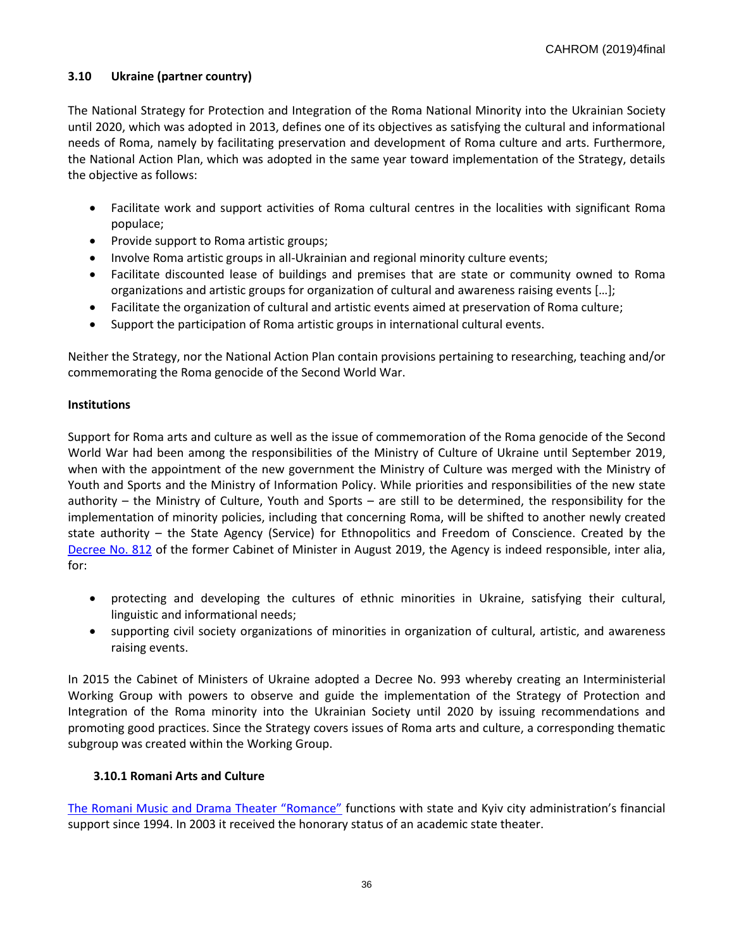## **3.10 Ukraine (partner country)**

The National Strategy for Protection and Integration of the Roma National Minority into the Ukrainian Society until 2020, which was adopted in 2013, defines one of its objectives as satisfying the cultural and informational needs of Roma, namely by facilitating preservation and development of Roma culture and arts. Furthermore, the National Action Plan, which was adopted in the same year toward implementation of the Strategy, details the objective as follows:

- Facilitate work and support activities of Roma cultural centres in the localities with significant Roma populace;
- Provide support to Roma artistic groups;
- Involve Roma artistic groups in all-Ukrainian and regional minority culture events;
- Facilitate discounted lease of buildings and premises that are state or community owned to Roma organizations and artistic groups for organization of cultural and awareness raising events […];
- Facilitate the organization of cultural and artistic events aimed at preservation of Roma culture;
- Support the participation of Roma artistic groups in international cultural events.

Neither the Strategy, nor the National Action Plan contain provisions pertaining to researching, teaching and/or commemorating the Roma genocide of the Second World War.

## **Institutions**

Support for Roma arts and culture as well as the issue of commemoration of the Roma genocide of the Second World War had been among the responsibilities of the Ministry of Culture of Ukraine until September 2019, when with the appointment of the new government the Ministry of Culture was merged with the Ministry of Youth and Sports and the Ministry of Information Policy. While priorities and responsibilities of the new state authority – the Ministry of Culture, Youth and Sports – are still to be determined, the responsibility for the implementation of minority policies, including that concerning Roma, will be shifted to another newly created state authority – the State Agency (Service) for Ethnopolitics and Freedom of Conscience. Created by the [Decree No. 812](https://zakon.rada.gov.ua/laws/show/812-2019-п) of the former Cabinet of Minister in August 2019, the Agency is indeed responsible, inter alia, for:

- protecting and developing the cultures of ethnic minorities in Ukraine, satisfying their cultural, linguistic and informational needs;
- supporting civil society organizations of minorities in organization of cultural, artistic, and awareness raising events.

In 2015 the Cabinet of Ministers of Ukraine adopted a Decree No. 993 whereby creating an Interministerial Working Group with powers to observe and guide the implementation of the Strategy of Protection and Integration of the Roma minority into the Ukrainian Society until 2020 by issuing recommendations and promoting good practices. Since the Strategy covers issues of Roma arts and culture, a corresponding thematic subgroup was created within the Working Group.

## **3.10.1 Romani Arts and Culture**

[The Romani Music and Drama Theater "Romance"](http://teatr-romans.com.ua/) functions with state and Kyiv city administration's financial support since 1994. In 2003 it received the honorary status of an academic state theater.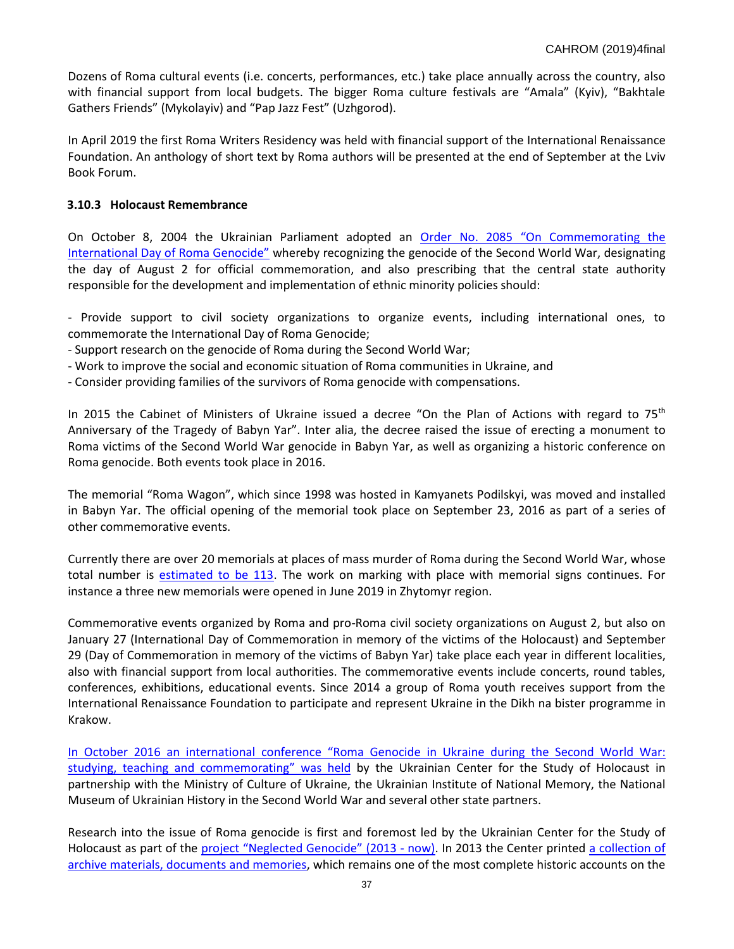Dozens of Roma cultural events (i.e. concerts, performances, etc.) take place annually across the country, also with financial support from local budgets. The bigger Roma culture festivals are "Amala" (Kyiv), "Bakhtale Gathers Friends" (Mykolayiv) and "Pap Jazz Fest" (Uzhgorod).

In April 2019 the first Roma Writers Residency was held with financial support of the International Renaissance Foundation. An anthology of short text by Roma authors will be presented at the end of September at the Lviv Book Forum.

## **3.10.3 Holocaust Remembrance**

On October 8, 2004 the Ukrainian Parliament adopted an [Order No. 2085 "On Commemorating the](http://zakon4.rada.gov.ua/laws/show/2085-iv)  [International Day of Roma Genocide"](http://zakon4.rada.gov.ua/laws/show/2085-iv) whereby recognizing the genocide of the Second World War, designating the day of August 2 for official commemoration, and also prescribing that the central state authority responsible for the development and implementation of ethnic minority policies should:

- Provide support to civil society organizations to organize events, including international ones, to commemorate the International Day of Roma Genocide;

- Support research on the genocide of Roma during the Second World War;

- Work to improve the social and economic situation of Roma communities in Ukraine, and

- Consider providing families of the survivors of Roma genocide with compensations.

In 2015 the Cabinet of Ministers of Ukraine issued a decree "On the Plan of Actions with regard to  $75<sup>th</sup>$ Anniversary of the Tragedy of Babyn Yar". Inter alia, the decree raised the issue of erecting a monument to Roma victims of the Second World War genocide in Babyn Yar, as well as organizing a historic conference on Roma genocide. Both events took place in 2016.

The memorial "Roma Wagon", which since 1998 was hosted in Kamyanets Podilskyi, was moved and installed in Babyn Yar. The official opening of the memorial took place on September 23, 2016 as part of a series of other commemorative events.

Currently there are over 20 memorials at places of mass murder of Roma during the Second World War, whose total number is [estimated to be 113.](http://romagenocide.com.ua/karta-mists-zahybeli-romiv-ukrainy/) The work on marking with place with memorial signs continues. For instance a three new memorials were opened in June 2019 in Zhytomyr region.

Commemorative events organized by Roma and pro-Roma civil society organizations on August 2, but also on January 27 (International Day of Commemoration in memory of the victims of the Holocaust) and September 29 (Day of Commemoration in memory of the victims of Babyn Yar) take place each year in different localities, also with financial support from local authorities. The commemorative events include concerts, round tables, conferences, exhibitions, educational events. Since 2014 a group of Roma youth receives support from the International Renaissance Foundation to participate and represent Ukraine in the Dikh na bister programme in Krakow.

[In October 2016 an international conference "Roma Genocide in Ukraine during the Second Wo](http://www.holocaust.kiev.ua/other/details/konf_genromiv_2018?objId=2)rld War: [studying, teaching and commemorating](http://www.holocaust.kiev.ua/other/details/konf_genromiv_2018?objId=2)" was held by the Ukrainian Center for the Study of Holocaust in partnership with the Ministry of Culture of Ukraine, the Ukrainian Institute of National Memory, the National Museum of Ukrainian History in the Second World War and several other state partners.

Research into the issue of Roma genocide is first and foremost led by the Ukrainian Center for the Study of Holocaust as part of the [project "Neglecte](http://romagenocide.com.ua/pro-proekt/)d Genocide" (2013 - now). In 2013 the Center printed a collection of [archive materials, documents and memories,](http://www.holocaust.kiev.ua/Files/naykVid/roma_bookl.pdf) which remains one of the most complete historic accounts on the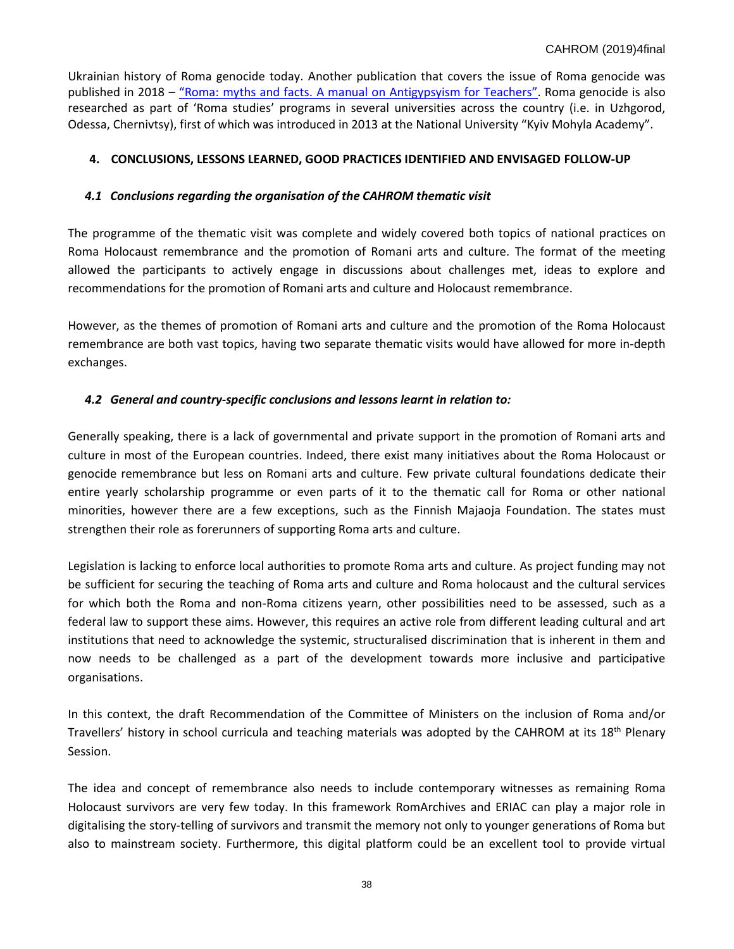Ukrainian history of Roma genocide today. Another publication that covers the issue of Roma genocide was published in 2018 – "Roma: [myths and facts. A manual on Antigypsyism for](http://romagenocide.com.ua/news/upershe-v-ukraini-vydano-navchalnometodychnyi-posibnyk-dlya-vchytelya-z-protydii-romofobii-) Teachers". Roma genocide is also researched as part of 'Roma studies' programs in several universities across the country (i.e. in Uzhgorod, Odessa, Chernivtsy), first of which was introduced in 2013 at the National University "Kyiv Mohyla Academy".

# **4. CONCLUSIONS, LESSONS LEARNED, GOOD PRACTICES IDENTIFIED AND ENVISAGED FOLLOW-UP**

## *4.1 Conclusions regarding the organisation of the CAHROM thematic visit*

The programme of the thematic visit was complete and widely covered both topics of national practices on Roma Holocaust remembrance and the promotion of Romani arts and culture. The format of the meeting allowed the participants to actively engage in discussions about challenges met, ideas to explore and recommendations for the promotion of Romani arts and culture and Holocaust remembrance.

However, as the themes of promotion of Romani arts and culture and the promotion of the Roma Holocaust remembrance are both vast topics, having two separate thematic visits would have allowed for more in-depth exchanges.

## *4.2 General and country-specific conclusions and lessons learnt in relation to:*

Generally speaking, there is a lack of governmental and private support in the promotion of Romani arts and culture in most of the European countries. Indeed, there exist many initiatives about the Roma Holocaust or genocide remembrance but less on Romani arts and culture. Few private cultural foundations dedicate their entire yearly scholarship programme or even parts of it to the thematic call for Roma or other national minorities, however there are a few exceptions, such as the Finnish Majaoja Foundation. The states must strengthen their role as forerunners of supporting Roma arts and culture.

Legislation is lacking to enforce local authorities to promote Roma arts and culture. As project funding may not be sufficient for securing the teaching of Roma arts and culture and Roma holocaust and the cultural services for which both the Roma and non-Roma citizens yearn, other possibilities need to be assessed, such as a federal law to support these aims. However, this requires an active role from different leading cultural and art institutions that need to acknowledge the systemic, structuralised discrimination that is inherent in them and now needs to be challenged as a part of the development towards more inclusive and participative organisations.

In this context, the draft Recommendation of the Committee of Ministers on the inclusion of Roma and/or Travellers' history in school curricula and teaching materials was adopted by the CAHROM at its 18<sup>th</sup> Plenary Session.

The idea and concept of remembrance also needs to include contemporary witnesses as remaining Roma Holocaust survivors are very few today. In this framework RomArchives and ERIAC can play a major role in digitalising the story-telling of survivors and transmit the memory not only to younger generations of Roma but also to mainstream society. Furthermore, this digital platform could be an excellent tool to provide virtual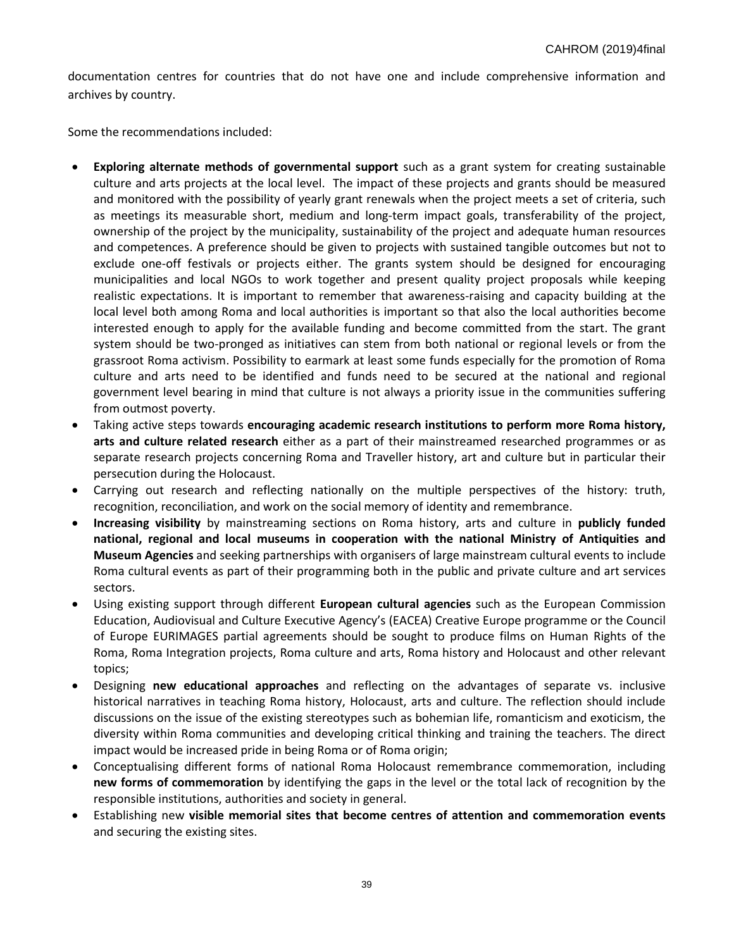documentation centres for countries that do not have one and include comprehensive information and archives by country.

Some the recommendations included:

- **Exploring alternate methods of governmental support** such as a grant system for creating sustainable culture and arts projects at the local level. The impact of these projects and grants should be measured and monitored with the possibility of yearly grant renewals when the project meets a set of criteria, such as meetings its measurable short, medium and long-term impact goals, transferability of the project, ownership of the project by the municipality, sustainability of the project and adequate human resources and competences. A preference should be given to projects with sustained tangible outcomes but not to exclude one-off festivals or projects either. The grants system should be designed for encouraging municipalities and local NGOs to work together and present quality project proposals while keeping realistic expectations. It is important to remember that awareness-raising and capacity building at the local level both among Roma and local authorities is important so that also the local authorities become interested enough to apply for the available funding and become committed from the start. The grant system should be two-pronged as initiatives can stem from both national or regional levels or from the grassroot Roma activism. Possibility to earmark at least some funds especially for the promotion of Roma culture and arts need to be identified and funds need to be secured at the national and regional government level bearing in mind that culture is not always a priority issue in the communities suffering from outmost poverty.
- Taking active steps towards **encouraging academic research institutions to perform more Roma history, arts and culture related research** either as a part of their mainstreamed researched programmes or as separate research projects concerning Roma and Traveller history, art and culture but in particular their persecution during the Holocaust.
- Carrying out research and reflecting nationally on the multiple perspectives of the history: truth, recognition, reconciliation, and work on the social memory of identity and remembrance.
- **Increasing visibility** by mainstreaming sections on Roma history, arts and culture in **publicly funded national, regional and local museums in cooperation with the national Ministry of Antiquities and Museum Agencies** and seeking partnerships with organisers of large mainstream cultural events to include Roma cultural events as part of their programming both in the public and private culture and art services sectors.
- Using existing support through different **European cultural agencies** such as the European Commission Education, Audiovisual and Culture Executive Agency's (EACEA) Creative Europe programme or the Council of Europe EURIMAGES partial agreements should be sought to produce films on Human Rights of the Roma, Roma Integration projects, Roma culture and arts, Roma history and Holocaust and other relevant topics;
- Designing **new educational approaches** and reflecting on the advantages of separate vs. inclusive historical narratives in teaching Roma history, Holocaust, arts and culture. The reflection should include discussions on the issue of the existing stereotypes such as bohemian life, romanticism and exoticism, the diversity within Roma communities and developing critical thinking and training the teachers. The direct impact would be increased pride in being Roma or of Roma origin;
- Conceptualising different forms of national Roma Holocaust remembrance commemoration, including **new forms of commemoration** by identifying the gaps in the level or the total lack of recognition by the responsible institutions, authorities and society in general.
- Establishing new **visible memorial sites that become centres of attention and commemoration events** and securing the existing sites.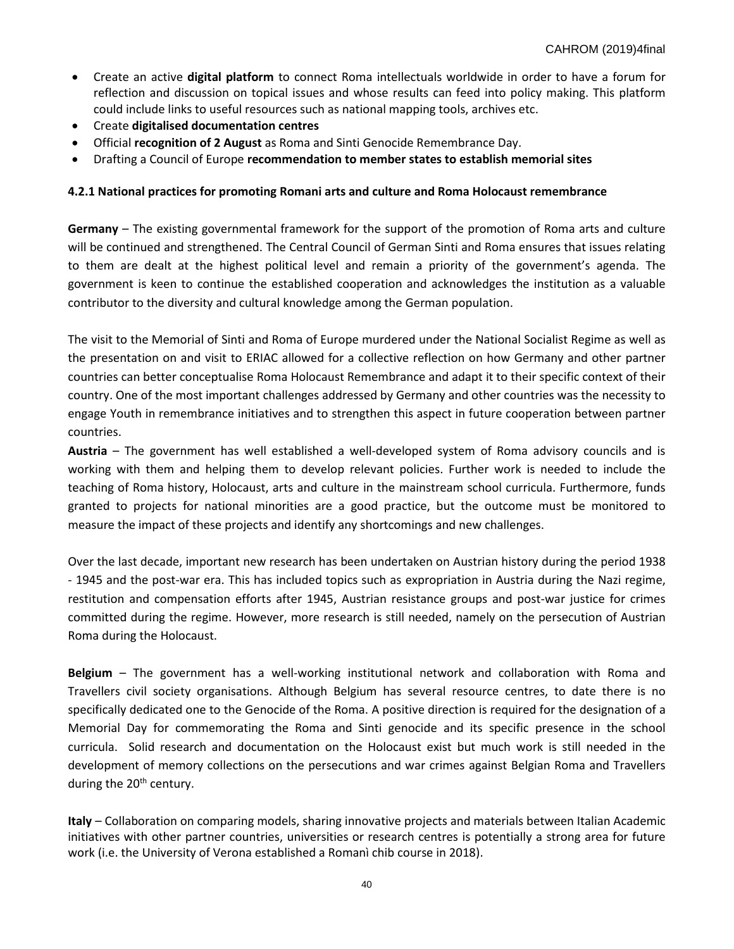- Create an active **digital platform** to connect Roma intellectuals worldwide in order to have a forum for reflection and discussion on topical issues and whose results can feed into policy making. This platform could include links to useful resources such as national mapping tools, archives etc.
- Create **digitalised documentation centres**
- Official **recognition of 2 August** as Roma and Sinti Genocide Remembrance Day.
- Drafting a Council of Europe **recommendation to member states to establish memorial sites**

# **4.2.1 National practices for promoting Romani arts and culture and Roma Holocaust remembrance**

**Germany** – The existing governmental framework for the support of the promotion of Roma arts and culture will be continued and strengthened. The Central Council of German Sinti and Roma ensures that issues relating to them are dealt at the highest political level and remain a priority of the government's agenda. The government is keen to continue the established cooperation and acknowledges the institution as a valuable contributor to the diversity and cultural knowledge among the German population.

The visit to the Memorial of Sinti and Roma of Europe murdered under the National Socialist Regime as well as the presentation on and visit to ERIAC allowed for a collective reflection on how Germany and other partner countries can better conceptualise Roma Holocaust Remembrance and adapt it to their specific context of their country. One of the most important challenges addressed by Germany and other countries was the necessity to engage Youth in remembrance initiatives and to strengthen this aspect in future cooperation between partner countries.

**Austria** – The government has well established a well-developed system of Roma advisory councils and is working with them and helping them to develop relevant policies. Further work is needed to include the teaching of Roma history, Holocaust, arts and culture in the mainstream school curricula. Furthermore, funds granted to projects for national minorities are a good practice, but the outcome must be monitored to measure the impact of these projects and identify any shortcomings and new challenges.

Over the last decade, important new research has been undertaken on Austrian history during the period 1938 - 1945 and the post-war era. This has included topics such as expropriation in Austria during the Nazi regime, restitution and compensation efforts after 1945, Austrian resistance groups and post-war justice for crimes committed during the regime. However, more research is still needed, namely on the persecution of Austrian Roma during the Holocaust.

**Belgium** – The government has a well-working institutional network and collaboration with Roma and Travellers civil society organisations. Although Belgium has several resource centres, to date there is no specifically dedicated one to the Genocide of the Roma. A positive direction is required for the designation of a Memorial Day for commemorating the Roma and Sinti genocide and its specific presence in the school curricula. Solid research and documentation on the Holocaust exist but much work is still needed in the development of memory collections on the persecutions and war crimes against Belgian Roma and Travellers during the 20<sup>th</sup> century.

**Italy** – Collaboration on comparing models, sharing innovative projects and materials between Italian Academic initiatives with other partner countries, universities or research centres is potentially a strong area for future work (i.e. the University of Verona established a Romanì chib course in 2018).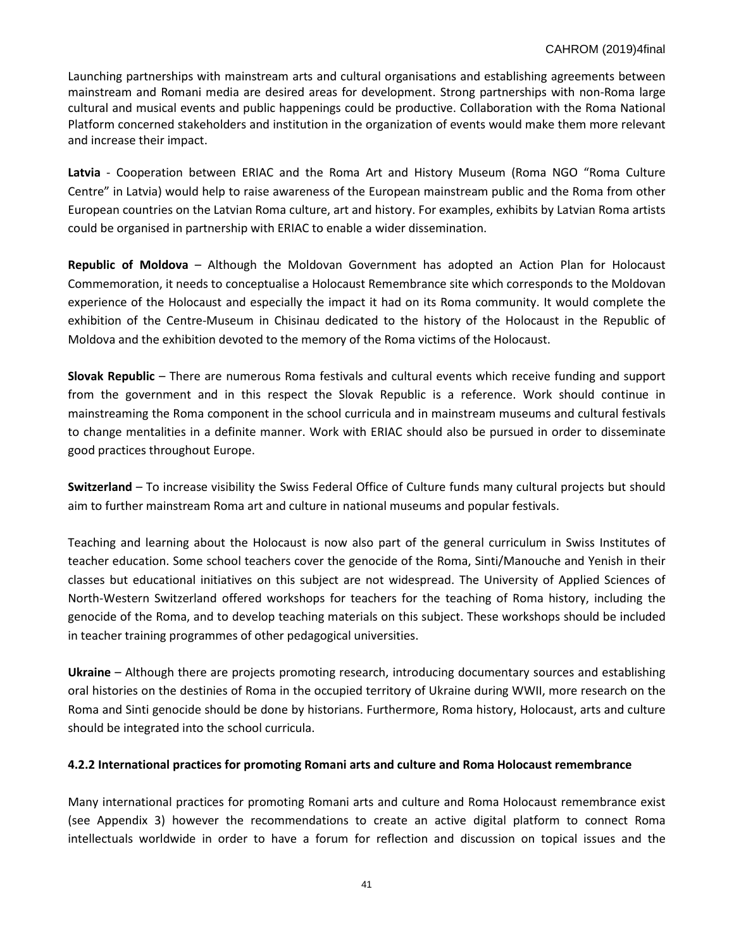Launching partnerships with mainstream arts and cultural organisations and establishing agreements between mainstream and Romani media are desired areas for development. Strong partnerships with non-Roma large cultural and musical events and public happenings could be productive. Collaboration with the Roma National Platform concerned stakeholders and institution in the organization of events would make them more relevant and increase their impact.

**Latvia** - Cooperation between ERIAC and the Roma Art and History Museum (Roma NGO "Roma Culture Centre" in Latvia) would help to raise awareness of the European mainstream public and the Roma from other European countries on the Latvian Roma culture, art and history. For examples, exhibits by Latvian Roma artists could be organised in partnership with ERIAC to enable a wider dissemination.

**Republic of Moldova** – Although the Moldovan Government has adopted an Action Plan for Holocaust Commemoration, it needs to conceptualise a Holocaust Remembrance site which corresponds to the Moldovan experience of the Holocaust and especially the impact it had on its Roma community. It would complete the exhibition of the Centre-Museum in Chisinau dedicated to the history of the Holocaust in the Republic of Moldova and the exhibition devoted to the memory of the Roma victims of the Holocaust.

**Slovak Republic** – There are numerous Roma festivals and cultural events which receive funding and support from the government and in this respect the Slovak Republic is a reference. Work should continue in mainstreaming the Roma component in the school curricula and in mainstream museums and cultural festivals to change mentalities in a definite manner. Work with ERIAC should also be pursued in order to disseminate good practices throughout Europe.

**Switzerland** – To increase visibility the Swiss Federal Office of Culture funds many cultural projects but should aim to further mainstream Roma art and culture in national museums and popular festivals.

Teaching and learning about the Holocaust is now also part of the general curriculum in Swiss Institutes of teacher education. Some school teachers cover the genocide of the Roma, Sinti/Manouche and Yenish in their classes but educational initiatives on this subject are not widespread. The University of Applied Sciences of North-Western Switzerland offered workshops for teachers for the teaching of Roma history, including the genocide of the Roma, and to develop teaching materials on this subject. These workshops should be included in teacher training programmes of other pedagogical universities.

**Ukraine** – Although there are projects promoting research, introducing documentary sources and establishing oral histories on the destinies of Roma in the occupied territory of Ukraine during WWII, more research on the Roma and Sinti genocide should be done by historians. Furthermore, Roma history, Holocaust, arts and culture should be integrated into the school curricula.

## **4.2.2 International practices for promoting Romani arts and culture and Roma Holocaust remembrance**

Many international practices for promoting Romani arts and culture and Roma Holocaust remembrance exist (see Appendix 3) however the recommendations to create an active digital platform to connect Roma intellectuals worldwide in order to have a forum for reflection and discussion on topical issues and the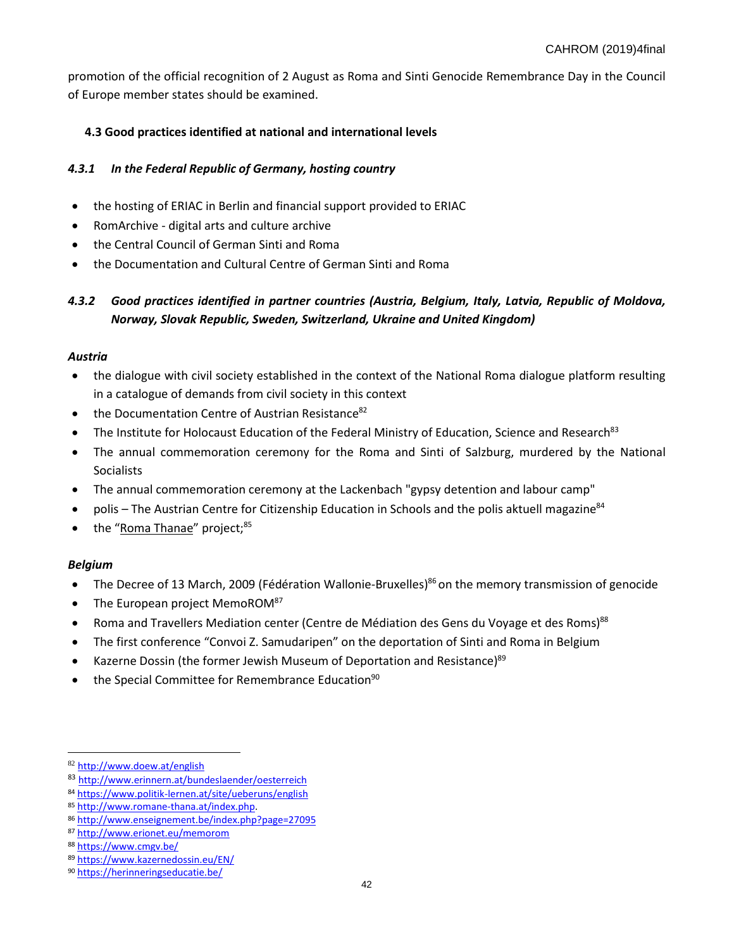promotion of the official recognition of 2 August as Roma and Sinti Genocide Remembrance Day in the Council of Europe member states should be examined.

# **4.3 Good practices identified at national and international levels**

## *4.3.1 In the Federal Republic of Germany, hosting country*

- the hosting of ERIAC in Berlin and financial support provided to ERIAC
- RomArchive digital arts and culture archive
- the Central Council of German Sinti and Roma
- the Documentation and Cultural Centre of German Sinti and Roma

# *4.3.2 Good practices identified in partner countries (Austria, Belgium, Italy, Latvia, Republic of Moldova, Norway, Slovak Republic, Sweden, Switzerland, Ukraine and United Kingdom)*

#### *Austria*

- the dialogue with civil society established in the context of the National Roma dialogue platform resulting in a catalogue of demands from civil society in this context
- the Documentation Centre of Austrian Resistance<sup>82</sup>
- The Institute for Holocaust Education of the Federal Ministry of Education, Science and Research<sup>83</sup>
- The annual commemoration ceremony for the Roma and Sinti of Salzburg, murdered by the National **Socialists**
- The annual commemoration ceremony at the Lackenbach "gypsy detention and labour camp"
- polis The Austrian Centre for Citizenship Education in Schools and the polis aktuell magazine<sup>84</sup>
- the "<u>[Roma Thanae](http://www.romane-thana.at/index.php)</u>" project;<sup>85</sup>

## *Belgium*

 $\overline{\phantom{a}}$ 

- The Decree of 13 March, 2009 (Fédération Wallonie-Bruxelles)<sup>86</sup> on the memory transmission of genocide
- [The European project MemoROM](http://www.erionet.eu/memorom) $87$
- Roma and Travellers Mediation center (Centre de Médiation des Gens du Voyage et des Roms)<sup>88</sup>
- The first conference "Convoi Z. Samudaripen" on the deportation of Sinti and Roma in Belgium
- [Kazerne Dossin \(the former Jewish Museum of Deportation and Resistance\)](https://www.kazernedossin.eu/EN/)<sup>89</sup>
- $\bullet$  th[e Special Committee for Remembrance Education](https://herinneringseducatie.be/)<sup>90</sup>

83 <http://www.erinnern.at/bundeslaender/oesterreich>

<sup>82</sup> <http://www.doew.at/english>

<sup>84</sup> <https://www.politik-lernen.at/site/ueberuns/english>

<sup>85</sup> [http://www.romane-thana.at/index.php.](http://www.romane-thana.at/index.php)

<sup>86</sup> <http://www.enseignement.be/index.php?page=27095>

<sup>87</sup> <http://www.erionet.eu/memorom>

<sup>88</sup> <https://www.cmgv.be/>

<sup>89</sup> <https://www.kazernedossin.eu/EN/>

<sup>90</sup> <https://herinneringseducatie.be/>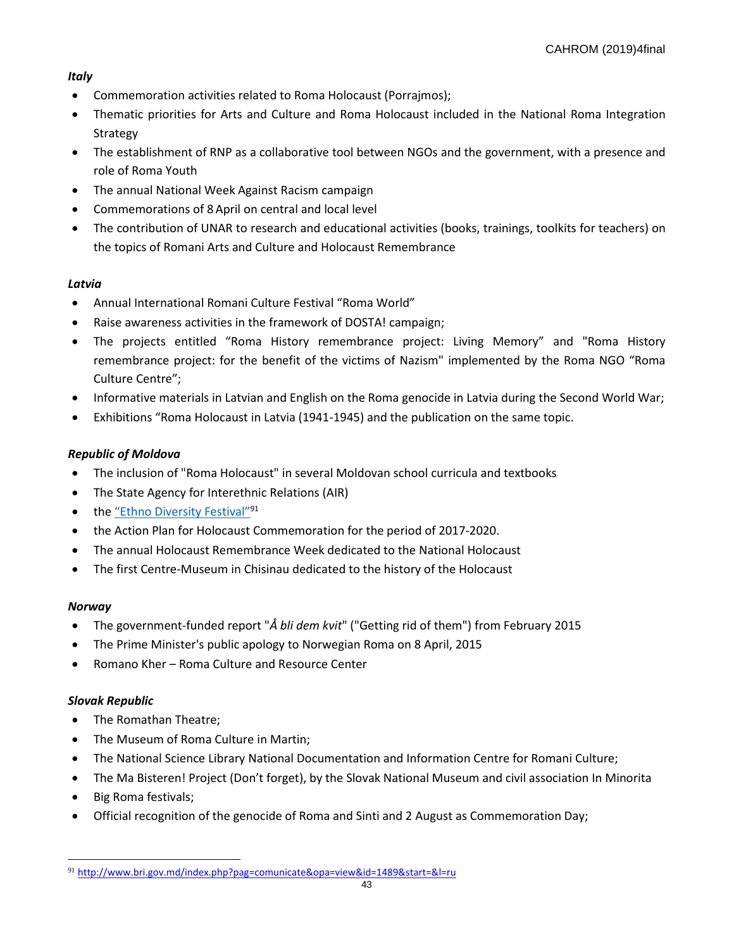# *Italy*

- Commemoration activities related to Roma Holocaust (Porrajmos);
- Thematic priorities for Arts and Culture and Roma Holocaust included in the National Roma Integration Strategy
- The establishment of RNP as a collaborative tool between NGOs and the government, with a presence and role of Roma Youth
- The annual National Week Against Racism campaign
- Commemorations of 8 April on central and local level
- The contribution of UNAR to research and educational activities (books, trainings, toolkits for teachers) on the topics of Romani Arts and Culture and Holocaust Remembrance

# *Latvia*

- Annual International Romani Culture Festival "Roma World"
- Raise awareness activities in the framework of DOSTA! campaign;
- The projects entitled "Roma History remembrance project: Living Memory" and "Roma History remembrance project: for the benefit of the victims of Nazism" implemented by the Roma NGO "Roma Culture Centre";
- Informative materials in Latvian and English on the Roma genocide in Latvia during the Second World War;
- Exhibitions "Roma Holocaust in Latvia (1941-1945) and the publication on the same topic.

# *Republic of Moldova*

- The inclusion of "Roma Holocaust" in several Moldovan school curricula and textbooks
- The State Agency for Interethnic Relations (AIR)
- the "Ethno [Diversity Fes](http://www.bri.gov.md/index.php?pag=comunicate&opa=view&id=1489&start=&l=ru)tival"<sup>91</sup>
- the Action Plan for Holocaust Commemoration for the period of 2017-2020.
- The annual Holocaust Remembrance Week dedicated to the National Holocaust
- The first Centre-Museum in Chisinau dedicated to the history of the Holocaust

# *Norway*

l

- The government-funded report "*Å bli dem kvit*" ("Getting rid of them") from February 2015
- The Prime Minister's public apology to Norwegian Roma on 8 April, 2015
- Romano Kher Roma Culture and Resource Center

# *Slovak Republic*

- The Romathan Theatre;
- The Museum of Roma Culture in Martin;
- The National Science Library National Documentation and Information Centre for Romani Culture;
- The Ma Bisteren! Project (Don't forget), by the Slovak National Museum and civil association In Minorita
- Big Roma festivals;
- Official recognition of the genocide of Roma and Sinti and 2 August as Commemoration Day;

<sup>91</sup> <http://www.bri.gov.md/index.php?pag=comunicate&opa=view&id=1489&start=&l=ru>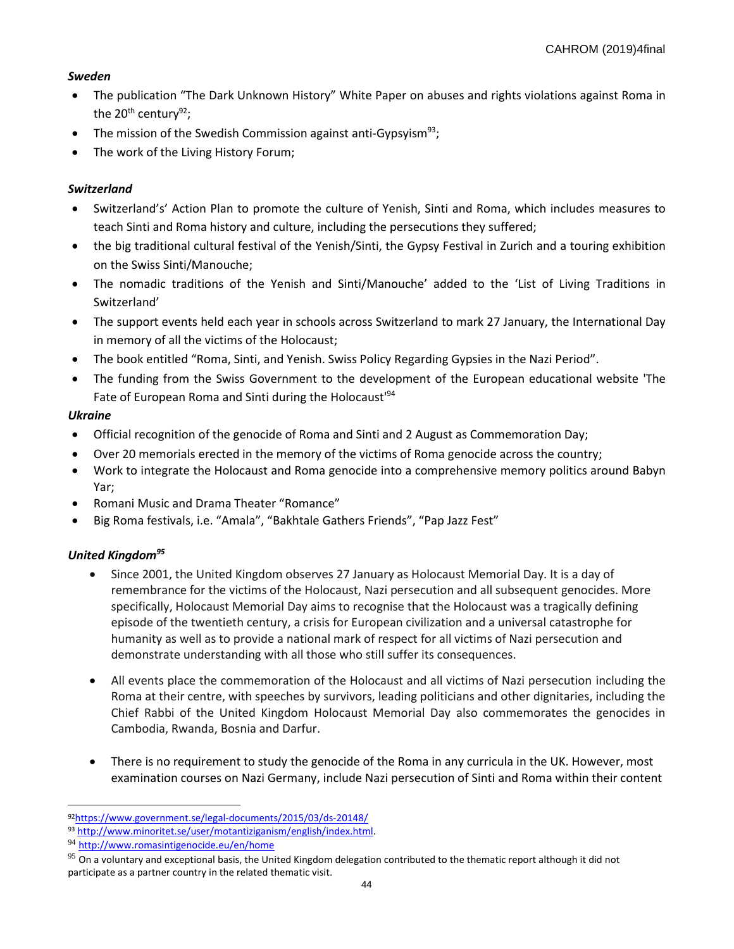# *Sweden*

- The publication "The Dark Unknown History" White Paper on abuses and rights violations against Roma in the  $20^{th}$  century<sup>92</sup>;
- The mission of the Swedish Commission against anti-Gypsvism<sup>93</sup>;
- The work of the Living History Forum;

# *Switzerland*

- Switzerland's' Action Plan to promote the culture of Yenish, Sinti and Roma, which includes measures to teach Sinti and Roma history and culture, including the persecutions they suffered;
- the big traditional cultural festival of the Yenish/Sinti, the Gypsy Festival in Zurich and a touring exhibition on the Swiss Sinti/Manouche;
- The nomadic traditions of the Yenish and Sinti/Manouche' added to the 'List of Living Traditions in Switzerland'
- The support events held each year in schools across Switzerland to mark 27 January, the International Day in memory of all the victims of the Holocaust;
- The book entitled "Roma, Sinti, and Yenish. Swiss Policy Regarding Gypsies in the Nazi Period".
- The funding from the Swiss Government to the development of the European educational website 'The Fate of European Roma and Sinti during the Holocaust'<sup>94</sup>

# *Ukraine*

- Official recognition of the genocide of Roma and Sinti and 2 August as Commemoration Day;
- Over 20 memorials erected in the memory of the victims of Roma genocide across the country;
- Work to integrate the Holocaust and Roma genocide into a comprehensive memory politics around Babyn Yar;
- Romani Music and Drama Theater "Romance"
- Big Roma festivals, i.e. "Amala", "Bakhtale Gathers Friends", "Pap Jazz Fest"

# *United Kingdom<sup>95</sup>*

- Since 2001, the United Kingdom observes 27 January as Holocaust Memorial Day. It is a day of remembrance for the victims of the Holocaust, Nazi persecution and all subsequent genocides. More specifically, Holocaust Memorial Day aims to recognise that the Holocaust was a tragically defining episode of the twentieth century, a crisis for European civilization and a universal catastrophe for humanity as well as to provide a national mark of respect for all victims of Nazi persecution and demonstrate understanding with all those who still suffer its consequences.
- All events place the commemoration of the Holocaust and all victims of Nazi persecution including the Roma at their centre, with speeches by survivors, leading politicians and other dignitaries, including the Chief Rabbi of the United Kingdom Holocaust Memorial Day also commemorates the genocides in Cambodia, Rwanda, Bosnia and Darfur.
- There is no requirement to study the genocide of the Roma in any curricula in the UK. However, most examination courses on Nazi Germany, include Nazi persecution of Sinti and Roma within their content

 $\overline{a}$ <sup>92</sup><https://www.government.se/legal-documents/2015/03/ds-20148/>

<sup>93</sup> [http://www.minoritet.se/user/motantiziganism/english/index.html.](http://www.minoritet.se/user/motantiziganism/english/index.html)

<sup>94</sup> <http://www.romasintigenocide.eu/en/home>

 $95$  On a voluntary and exceptional basis, the United Kingdom delegation contributed to the thematic report although it did not participate as a partner country in the related thematic visit.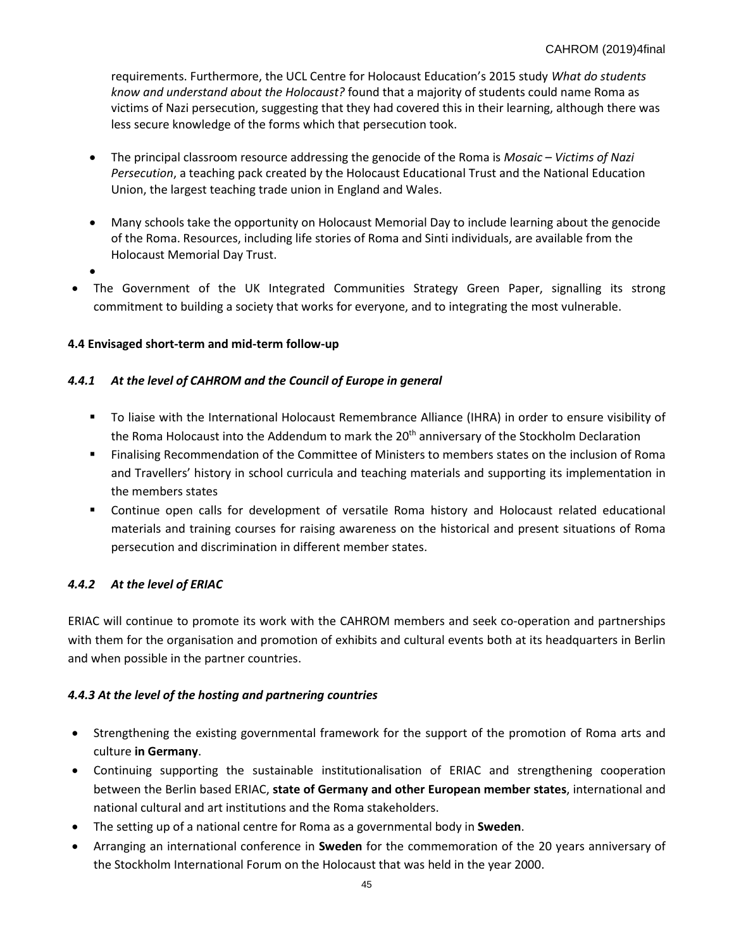requirements. Furthermore, the UCL Centre for Holocaust Education's 2015 study *What do students know and understand about the Holocaust?* found that a majority of students could name Roma as victims of Nazi persecution, suggesting that they had covered this in their learning, although there was less secure knowledge of the forms which that persecution took.

- The principal classroom resource addressing the genocide of the Roma is *Mosaic – Victims of Nazi Persecution*, a teaching pack created by the Holocaust Educational Trust and the National Education Union, the largest teaching trade union in England and Wales.
- Many schools take the opportunity on Holocaust Memorial Day to include learning about the genocide of the Roma. Resources, including life stories of Roma and Sinti individuals, are available from the Holocaust Memorial Day Trust.
- •
- The Government of the UK Integrated Communities Strategy Green Paper, signalling its strong commitment to building a society that works for everyone, and to integrating the most vulnerable.

# **4.4 Envisaged short-term and mid-term follow-up**

# *4.4.1 At the level of CAHROM and the Council of Europe in general*

- To liaise with the International Holocaust Remembrance Alliance (IHRA) in order to ensure visibility of the Roma Holocaust into the Addendum to mark the 20<sup>th</sup> anniversary of the Stockholm Declaration
- **EXECOMMENT FINALIST FINALIST COMMENT OF STATE IS COMM** FINIST FINIST FINIST FINIST FINIST FINIST FINIST FINIST FINIST FINIST FINIST FINIST FINIST FINIST FINIST FINIST FINIST FINIST FINIST FINIST FINIST FINIST FINIST FINIS and Travellers' history in school curricula and teaching materials and supporting its implementation in the members states
- Continue open calls for development of versatile Roma history and Holocaust related educational materials and training courses for raising awareness on the historical and present situations of Roma persecution and discrimination in different member states.

# *4.4.2 At the level of ERIAC*

ERIAC will continue to promote its work with the CAHROM members and seek co-operation and partnerships with them for the organisation and promotion of exhibits and cultural events both at its headquarters in Berlin and when possible in the partner countries.

# *4.4.3 At the level of the hosting and partnering countries*

- Strengthening the existing governmental framework for the support of the promotion of Roma arts and culture **in Germany**.
- Continuing supporting the sustainable institutionalisation of ERIAC and strengthening cooperation between the Berlin based ERIAC, **state of Germany and other European member states**, international and national cultural and art institutions and the Roma stakeholders.
- The setting up of a national centre for Roma as a governmental body in **Sweden**.
- Arranging an international conference in **Sweden** for the commemoration of the 20 years anniversary of the Stockholm International Forum on the Holocaust that was held in the year 2000.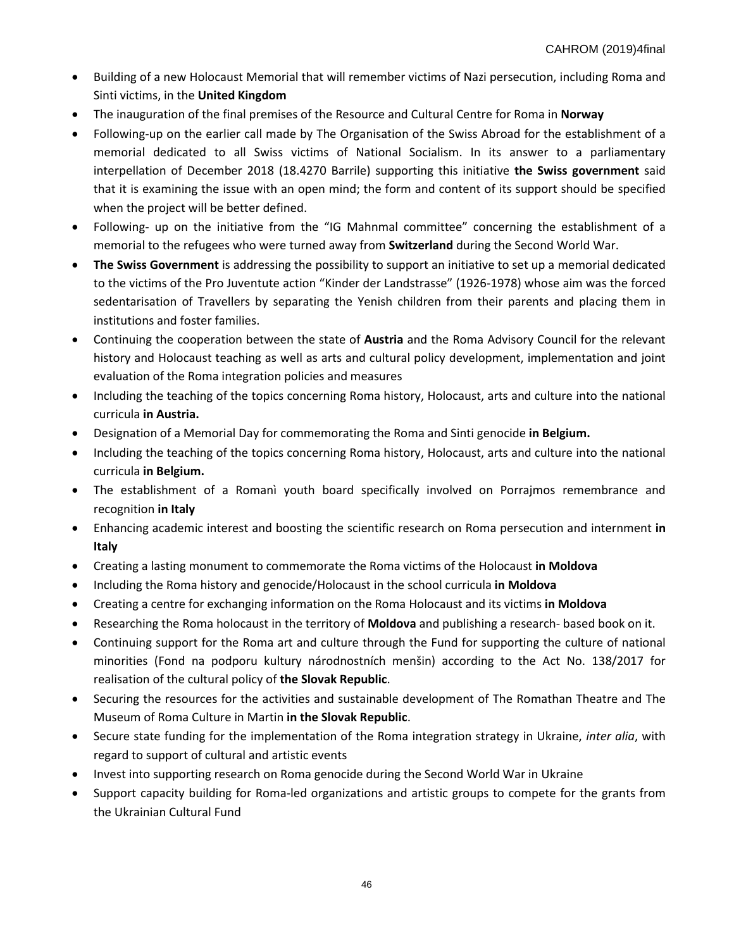- Building of a new Holocaust Memorial that will remember victims of Nazi persecution, including Roma and Sinti victims, in the **United Kingdom**
- The inauguration of the final premises of the Resource and Cultural Centre for Roma in **Norway**
- Following-up on the earlier call made by The Organisation of the Swiss Abroad for the establishment of a memorial dedicated to all Swiss victims of National Socialism. In its answer to a parliamentary interpellation of December 2018 (18.4270 Barrile) supporting this initiative **the Swiss government** said that it is examining the issue with an open mind; the form and content of its support should be specified when the project will be better defined.
- Following- up on the initiative from the "IG Mahnmal committee" concerning the establishment of a memorial to the refugees who were turned away from **Switzerland** during the Second World War.
- **The Swiss Government** is addressing the possibility to support an initiative to set up a memorial dedicated to the victims of the Pro Juventute action "Kinder der Landstrasse" (1926-1978) whose aim was the forced sedentarisation of Travellers by separating the Yenish children from their parents and placing them in institutions and foster families.
- Continuing the cooperation between the state of **Austria** and the Roma Advisory Council for the relevant history and Holocaust teaching as well as arts and cultural policy development, implementation and joint evaluation of the Roma integration policies and measures
- Including the teaching of the topics concerning Roma history, Holocaust, arts and culture into the national curricula **in Austria.**
- Designation of a Memorial Day for commemorating the Roma and Sinti genocide **in Belgium.**
- Including the teaching of the topics concerning Roma history, Holocaust, arts and culture into the national curricula **in Belgium.**
- The establishment of a Romanì youth board specifically involved on Porrajmos remembrance and recognition **in Italy**
- Enhancing academic interest and boosting the scientific research on Roma persecution and internment **in Italy**
- Creating a lasting monument to commemorate the Roma victims of the Holocaust **in Moldova**
- Including the Roma history and genocide/Holocaust in the school curricula **in Moldova**
- Creating a centre for exchanging information on the Roma Holocaust and its victims **in Moldova**
- Researching the Roma holocaust in the territory of **Moldova** and publishing a research- based book on it.
- Continuing support for the Roma art and culture through the Fund for supporting the culture of national minorities (Fond na podporu kultury národnostních menšin) according to the Act No. 138/2017 for realisation of the cultural policy of **the Slovak Republic**.
- Securing the resources for the activities and sustainable development of The Romathan Theatre and The Museum of Roma Culture in Martin **in the Slovak Republic**.
- Secure state funding for the implementation of the Roma integration strategy in Ukraine, *inter alia*, with regard to support of cultural and artistic events
- Invest into supporting research on Roma genocide during the Second World War in Ukraine
- Support capacity building for Roma-led organizations and artistic groups to compete for the grants from the Ukrainian Cultural Fund